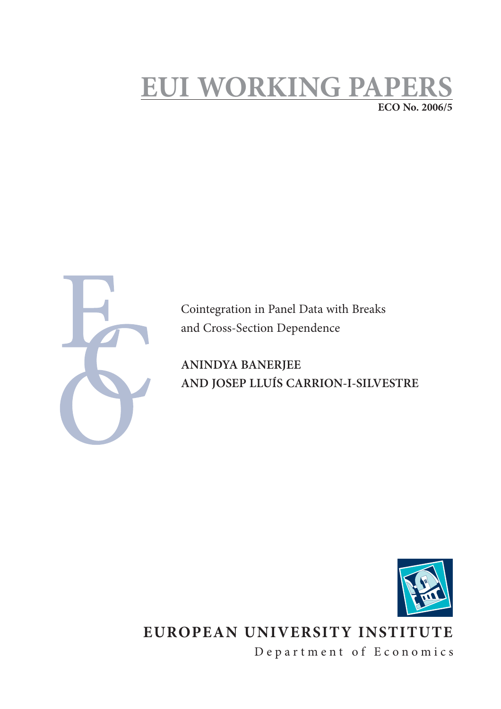# **EUI WORKING PAPEI ECO No. 2006/5**



Cointegration in Panel Data with Breaks and Cross-Section Dependence

**ANINDYA BANERJEE AND JOSEP LLUÍS CARRION-I-SILVESTRE** 



# **EUROPEAN UNIVERSITY INSTITUTE**

Department of Economics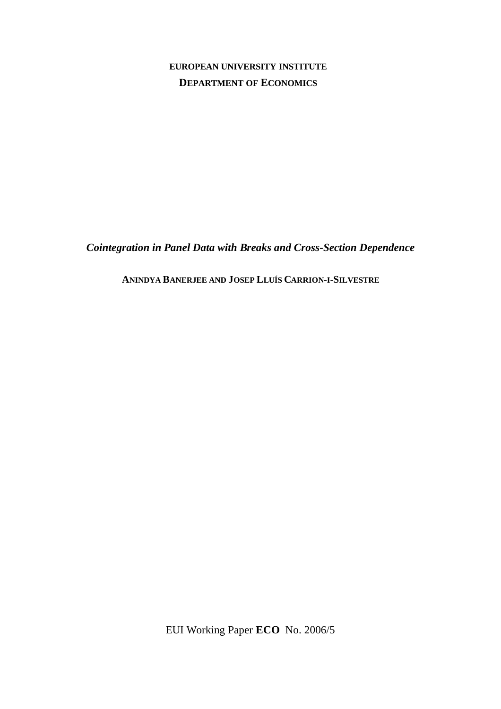## **EUROPEAN UNIVERSITY INSTITUTE DEPARTMENT OF ECONOMICS**

*Cointegration in Panel Data with Breaks and Cross-Section Dependence*

**ANINDYA BANERJEE AND JOSEP LLUÍS CARRION-I-SILVESTRE**

EUI Working Paper **ECO** No. 2006/5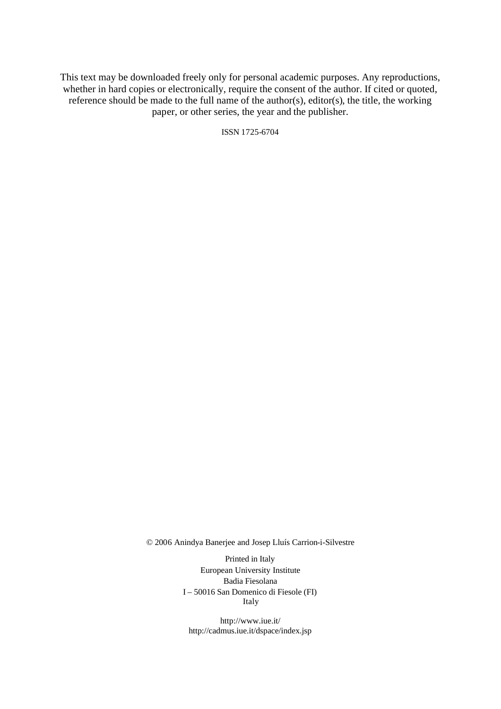This text may be downloaded freely only for personal academic purposes. Any reproductions, whether in hard copies or electronically, require the consent of the author. If cited or quoted, reference should be made to the full name of the author(s), editor(s), the title, the working paper, or other series, the year and the publisher.

ISSN 1725-6704

© 2006 Anindya Banerjee and Josep Lluís Carrion-i-Silvestre

Printed in Italy European University Institute Badia Fiesolana I – 50016 San Domenico di Fiesole (FI) Italy

http://www.iue.it/ http://cadmus.iue.it/dspace/index.jsp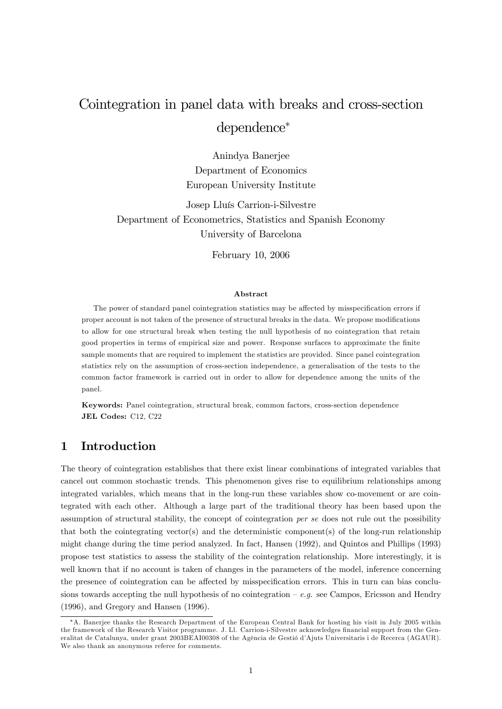## Cointegration in panel data with breaks and cross-section dependence

Anindya Banerjee Department of Economics European University Institute

Josep Lluís Carrion-i-Silvestre Department of Econometrics, Statistics and Spanish Economy University of Barcelona

February 10, 2006

#### Abstract

The power of standard panel cointegration statistics may be affected by misspecification errors if proper account is not taken of the presence of structural breaks in the data. We propose modifications to allow for one structural break when testing the null hypothesis of no cointegration that retain good properties in terms of empirical size and power. Response surfaces to approximate the finite sample moments that are required to implement the statistics are provided. Since panel cointegration statistics rely on the assumption of cross-section independence, a generalisation of the tests to the common factor framework is carried out in order to allow for dependence among the units of the panel.

Keywords: Panel cointegration, structural break, common factors, cross-section dependence JEL Codes: C12, C22

## 1 Introduction

The theory of cointegration establishes that there exist linear combinations of integrated variables that cancel out common stochastic trends. This phenomenon gives rise to equilibrium relationships among integrated variables, which means that in the long-run these variables show co-movement or are cointegrated with each other. Although a large part of the traditional theory has been based upon the assumption of structural stability, the concept of cointegration per se does not rule out the possibility that both the cointegrating vector(s) and the deterministic component(s) of the long-run relationship might change during the time period analyzed. In fact, Hansen (1992), and Quintos and Phillips (1993) propose test statistics to assess the stability of the cointegration relationship. More interestingly, it is well known that if no account is taken of changes in the parameters of the model, inference concerning the presence of cointegration can be affected by misspecification errors. This in turn can bias conclusions towards accepting the null hypothesis of no cointegration  $-e.g.$  see Campos, Ericsson and Hendry (1996), and Gregory and Hansen (1996).

A. Banerjee thanks the Research Department of the European Central Bank for hosting his visit in July 2005 within the framework of the Research Visitor programme. J. Ll. Carrion-i-Silvestre acknowledges financial support from the Generalitat de Catalunya, under grant 2003BEAI00308 of the Agència de Gestió d'Ajuts Universitaris i de Recerca (AGAUR). We also thank an anonymous referee for comments.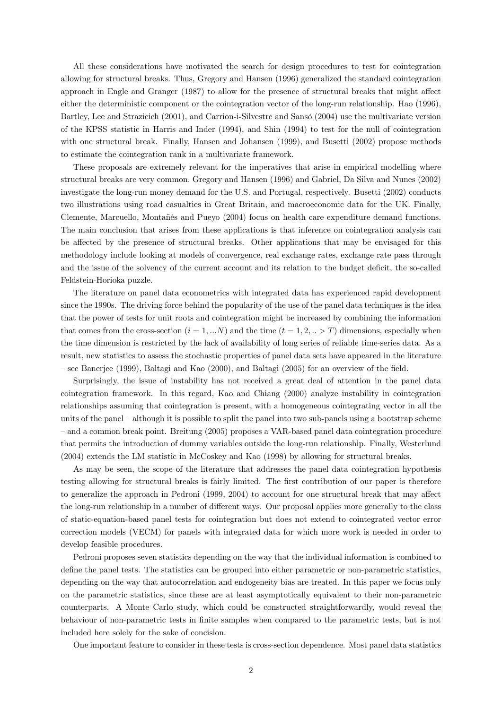All these considerations have motivated the search for design procedures to test for cointegration allowing for structural breaks. Thus, Gregory and Hansen (1996) generalized the standard cointegration approach in Engle and Granger (1987) to allow for the presence of structural breaks that might affect either the deterministic component or the cointegration vector of the long-run relationship. Hao (1996), Bartley, Lee and Strazicich (2001), and Carrion-i-Silvestre and Sansó (2004) use the multivariate version of the KPSS statistic in Harris and Inder (1994), and Shin (1994) to test for the null of cointegration with one structural break. Finally, Hansen and Johansen (1999), and Busetti (2002) propose methods to estimate the cointegration rank in a multivariate framework.

These proposals are extremely relevant for the imperatives that arise in empirical modelling where structural breaks are very common. Gregory and Hansen (1996) and Gabriel, Da Silva and Nunes (2002) investigate the long-run money demand for the U.S. and Portugal, respectively. Busetti (2002) conducts two illustrations using road casualties in Great Britain, and macroeconomic data for the UK. Finally, Clemente, Marcuello, Montañés and Pueyo (2004) focus on health care expenditure demand functions. The main conclusion that arises from these applications is that inference on cointegration analysis can be affected by the presence of structural breaks. Other applications that may be envisaged for this methodology include looking at models of convergence, real exchange rates, exchange rate pass through and the issue of the solvency of the current account and its relation to the budget deficit, the so-called Feldstein-Horioka puzzle.

The literature on panel data econometrics with integrated data has experienced rapid development since the 1990s. The driving force behind the popularity of the use of the panel data techniques is the idea that the power of tests for unit roots and cointegration might be increased by combining the information that comes from the cross-section  $(i = 1, ...N)$  and the time  $(t = 1, 2, ... > T)$  dimensions, especially when the time dimension is restricted by the lack of availability of long series of reliable time-series data. As a result, new statistics to assess the stochastic properties of panel data sets have appeared in the literature  $\sim$  see Banerjee (1999), Baltagi and Kao (2000), and Baltagi (2005) for an overview of the field.

Surprisingly, the issue of instability has not received a great deal of attention in the panel data cointegration framework. In this regard, Kao and Chiang (2000) analyze instability in cointegration relationships assuming that cointegration is present, with a homogeneous cointegrating vector in all the units of the panel – although it is possible to split the panel into two sub-panels using a bootstrap scheme – and a common break point. Breitung (2005) proposes a VAR-based panel data cointegration procedure that permits the introduction of dummy variables outside the long-run relationship. Finally, Westerlund (2004) extends the LM statistic in McCoskey and Kao (1998) by allowing for structural breaks.

As may be seen, the scope of the literature that addresses the panel data cointegration hypothesis testing allowing for structural breaks is fairly limited. The first contribution of our paper is therefore to generalize the approach in Pedroni (1999, 2004) to account for one structural break that may affect the long-run relationship in a number of different ways. Our proposal applies more generally to the class of static-equation-based panel tests for cointegration but does not extend to cointegrated vector error correction models (VECM) for panels with integrated data for which more work is needed in order to develop feasible procedures.

Pedroni proposes seven statistics depending on the way that the individual information is combined to define the panel tests. The statistics can be grouped into either parametric or non-parametric statistics, depending on the way that autocorrelation and endogeneity bias are treated. In this paper we focus only on the parametric statistics, since these are at least asymptotically equivalent to their non-parametric counterparts. A Monte Carlo study, which could be constructed straightforwardly, would reveal the behaviour of non-parametric tests in finite samples when compared to the parametric tests, but is not included here solely for the sake of concision.

One important feature to consider in these tests is cross-section dependence. Most panel data statistics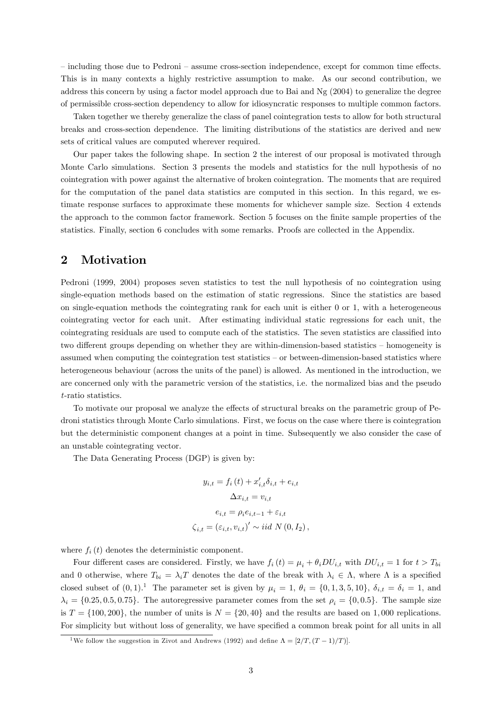– including those due to Pedroni – assume cross-section independence, except for common time effects. This is in many contexts a highly restrictive assumption to make. As our second contribution, we address this concern by using a factor model approach due to Bai and Ng (2004) to generalize the degree of permissible cross-section dependency to allow for idiosyncratic responses to multiple common factors.

Taken together we thereby generalize the class of panel cointegration tests to allow for both structural breaks and cross-section dependence. The limiting distributions of the statistics are derived and new sets of critical values are computed wherever required.

Our paper takes the following shape. In section 2 the interest of our proposal is motivated through Monte Carlo simulations. Section 3 presents the models and statistics for the null hypothesis of no cointegration with power against the alternative of broken cointegration. The moments that are required for the computation of the panel data statistics are computed in this section. In this regard, we estimate response surfaces to approximate these moments for whichever sample size. Section 4 extends the approach to the common factor framework. Section 5 focuses on the finite sample properties of the statistics. Finally, section 6 concludes with some remarks. Proofs are collected in the Appendix.

## 2 Motivation

Pedroni (1999, 2004) proposes seven statistics to test the null hypothesis of no cointegration using single-equation methods based on the estimation of static regressions. Since the statistics are based on single-equation methods the cointegrating rank for each unit is either 0 or 1, with a heterogeneous cointegrating vector for each unit. After estimating individual static regressions for each unit, the cointegrating residuals are used to compute each of the statistics. The seven statistics are classified into two different groups depending on whether they are within-dimension-based statistics – homogeneity is assumed when computing the cointegration test statistics – or between-dimension-based statistics where heterogeneous behaviour (across the units of the panel) is allowed. As mentioned in the introduction, we are concerned only with the parametric version of the statistics, i.e. the normalized bias and the pseudo t-ratio statistics.

To motivate our proposal we analyze the effects of structural breaks on the parametric group of Pedroni statistics through Monte Carlo simulations. First, we focus on the case where there is cointegration but the deterministic component changes at a point in time. Subsequently we also consider the case of an unstable cointegrating vector.

The Data Generating Process (DGP) is given by:

$$
y_{i,t} = f_i(t) + x'_{i,t}\delta_{i,t} + e_{i,t}
$$

$$
\Delta x_{i,t} = v_{i,t}
$$

$$
e_{i,t} = \rho_i e_{i,t-1} + \varepsilon_{i,t}
$$

$$
\zeta_{i,t} = (\varepsilon_{i,t}, v_{i,t})' \sim iid N(0, I_2),
$$

where  $f_i(t)$  denotes the deterministic component.

Four different cases are considered. Firstly, we have  $f_i(t) = \mu_i + \theta_i DU_{i,t}$  with  $DU_{i,t} = 1$  for  $t > T_{bi}$ and 0 otherwise, where  $T_{bi} = \lambda_i T$  denotes the date of the break with  $\lambda_i \in \Lambda$ , where  $\Lambda$  is a specified closed subset of  $(0, 1)$ .<sup>1</sup> The parameter set is given by  $\mu_i = 1$ ,  $\theta_i = \{0, 1, 3, 5, 10\}$ ,  $\delta_{i,t} = \delta_i = 1$ , and  $\lambda_i = \{0.25, 0.5, 0.75\}$ . The autoregressive parameter comes from the set  $\rho_i = \{0.05\}$ . The sample size is  $T = \{100, 200\}$ , the number of units is  $N = \{20, 40\}$  and the results are based on 1,000 replications. For simplicity but without loss of generality, we have specified a common break point for all units in all

<sup>&</sup>lt;sup>1</sup>We follow the suggestion in Zivot and Andrews (1992) and define  $\Lambda = [2/T, (T - 1)/T)]$ .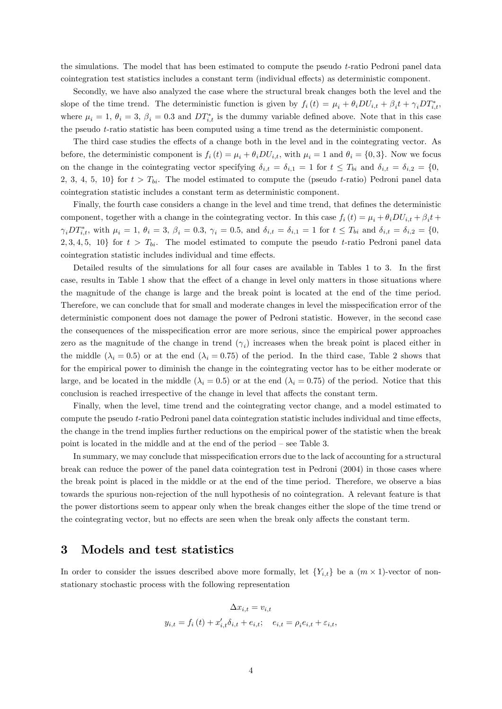the simulations. The model that has been estimated to compute the pseudo t-ratio Pedroni panel data cointegration test statistics includes a constant term (individual effects) as deterministic component.

Secondly, we have also analyzed the case where the structural break changes both the level and the slope of the time trend. The deterministic function is given by  $f_i(t) = \mu_i + \theta_i DU_{i,t} + \beta_i t + \gamma_i DT_{i,t}^*$ where  $\mu_i = 1, \theta_i = 3, \beta_i = 0.3$  and  $DT_{i,t}^*$  is the dummy variable defined above. Note that in this case the pseudo t-ratio statistic has been computed using a time trend as the deterministic component.

The third case studies the effects of a change both in the level and in the cointegrating vector. As before, the deterministic component is  $f_i(t) = \mu_i + \theta_i DU_{i,t}$ , with  $\mu_i = 1$  and  $\theta_i = \{0, 3\}$ . Now we focus on the change in the cointegrating vector specifying  $\delta_{i,t} = \delta_{i,1} = 1$  for  $t \leq T_{bi}$  and  $\delta_{i,t} = \delta_{i,2} = \{0,$ 2, 3, 4, 5, 10} for  $t > T_{bi}$ . The model estimated to compute the (pseudo t-ratio) Pedroni panel data cointegration statistic includes a constant term as deterministic component.

Finally, the fourth case considers a change in the level and time trend, that defines the deterministic component, together with a change in the cointegrating vector. In this case  $f_i(t) = \mu_i + \theta_i DU_{i,t} + \beta_i t +$  $\gamma_i DT_{i,t}^*$ , with  $\mu_i = 1, \ \theta_i = 3, \ \beta_i = 0.3, \ \gamma_i = 0.5, \text{ and } \ \delta_{i,t} = \delta_{i,1} = 1 \text{ for } t \le T_{bi} \text{ and } \delta_{i,t} = \delta_{i,2} = \{0,$ 2, 3, 4, 5, 10} for  $t > T_{bi}$ . The model estimated to compute the pseudo t-ratio Pedroni panel data cointegration statistic includes individual and time effects.

Detailed results of the simulations for all four cases are available in Tables 1 to 3. In the first case, results in Table 1 show that the effect of a change in level only matters in those situations where the magnitude of the change is large and the break point is located at the end of the time period. Therefore, we can conclude that for small and moderate changes in level the misspecification error of the deterministic component does not damage the power of Pedroni statistic. However, in the second case the consequences of the misspecification error are more serious, since the empirical power approaches zero as the magnitude of the change in trend  $(\gamma_i)$  increases when the break point is placed either in the middle  $(\lambda_i = 0.5)$  or at the end  $(\lambda_i = 0.75)$  of the period. In the third case, Table 2 shows that for the empirical power to diminish the change in the cointegrating vector has to be either moderate or large, and be located in the middle  $(\lambda_i = 0.5)$  or at the end  $(\lambda_i = 0.75)$  of the period. Notice that this conclusion is reached irrespective of the change in level that affects the constant term.

Finally, when the level, time trend and the cointegrating vector change, and a model estimated to compute the pseudo  $t$ -ratio Pedroni panel data cointegration statistic includes individual and time effects, the change in the trend implies further reductions on the empirical power of the statistic when the break point is located in the middle and at the end of the period  $-$  see Table 3.

In summary, we may conclude that misspecification errors due to the lack of accounting for a structural break can reduce the power of the panel data cointegration test in Pedroni (2004) in those cases where the break point is placed in the middle or at the end of the time period. Therefore, we observe a bias towards the spurious non-rejection of the null hypothesis of no cointegration. A relevant feature is that the power distortions seem to appear only when the break changes either the slope of the time trend or the cointegrating vector, but no effects are seen when the break only affects the constant term.

## 3 Models and test statistics

In order to consider the issues described above more formally, let  ${Y_{i,t}}$  be a  $(m \times 1)$ -vector of nonstationary stochastic process with the following representation

$$
\Delta x_{i,t} = v_{i,t}
$$
  

$$
y_{i,t} = f_i(t) + x'_{i,t} \delta_{i,t} + e_{i,t}; \quad e_{i,t} = \rho_i e_{i,t} + \varepsilon_{i,t},
$$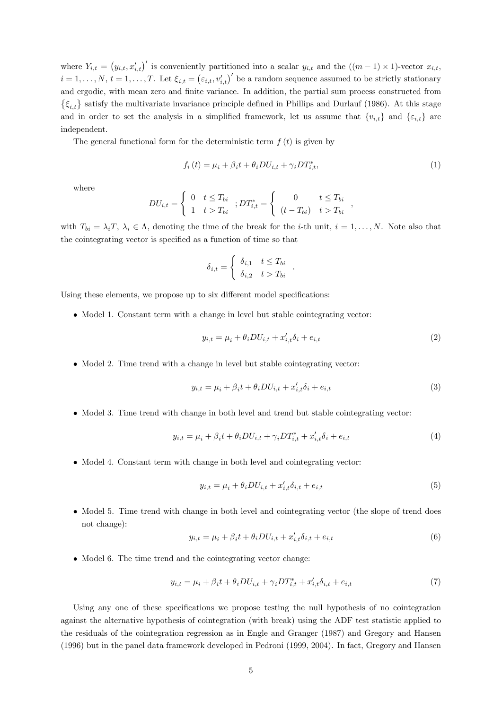where  $Y_{i,t} = (y_{i,t}, x'_{i,t})'$  is conveniently partitioned into a scalar  $y_{i,t}$  and the  $((m-1) \times 1)$ -vector  $x_{i,t}$ ,  $i = 1, \ldots, N, t = 1, \ldots, T$ . Let  $\xi_{i,t} = (\varepsilon_{i,t}, v'_{i,t})'$  be a random sequence assumed to be strictly stationary and ergodic, with mean zero and finite variance. In addition, the partial sum process constructed from  $\{\xi_{i,t}\}\$  satisfy the multivariate invariance principle defined in Phillips and Durlauf (1986). At this stage and in order to set the analysis in a simplified framework, let us assume that  $\{v_{i,t}\}\$  and  $\{\varepsilon_{i,t}\}\$  are independent.

The general functional form for the deterministic term  $f(t)$  is given by

$$
f_i(t) = \mu_i + \beta_i t + \theta_i DU_{i,t} + \gamma_i DT_{i,t}^*,
$$
\n<sup>(1)</sup>

:

;

where

$$
DU_{i,t} = \begin{cases} 0 & t \le T_{bi} \\ 1 & t > T_{bi} \end{cases}; DT_{i,t}^{*} = \begin{cases} 0 & t \le T_{bi} \\ (t - T_{bi}) & t > T_{bi} \end{cases}
$$

with  $T_{bi} = \lambda_i T$ ,  $\lambda_i \in \Lambda$ , denoting the time of the break for the *i*-th unit,  $i = 1, ..., N$ . Note also that the cointegrating vector is specified as a function of time so that

$$
\delta_{i,t} = \begin{cases} \delta_{i,1} & t \le T_{bi} \\ \delta_{i,2} & t > T_{bi} \end{cases}
$$

Using these elements, we propose up to six different model specifications:

 $\bullet$  Model 1. Constant term with a change in level but stable cointegrating vector:

$$
y_{i,t} = \mu_i + \theta_i DU_{i,t} + x'_{i,t} \delta_i + e_{i,t}
$$
\n
$$
\tag{2}
$$

• Model 2. Time trend with a change in level but stable cointegrating vector:

$$
y_{i,t} = \mu_i + \beta_i t + \theta_i DU_{i,t} + x'_{i,t} \delta_i + e_{i,t}
$$
\n
$$
\tag{3}
$$

• Model 3. Time trend with change in both level and trend but stable cointegrating vector:

$$
y_{i,t} = \mu_i + \beta_i t + \theta_i DU_{i,t} + \gamma_i DT_{i,t}^* + x_{i,t}' \delta_i + e_{i,t}
$$
\n(4)

• Model 4. Constant term with change in both level and cointegrating vector:

$$
y_{i,t} = \mu_i + \theta_i DU_{i,t} + x'_{i,t} \delta_{i,t} + e_{i,t}
$$
\n
$$
\tag{5}
$$

• Model 5. Time trend with change in both level and cointegrating vector (the slope of trend does not change):

$$
y_{i,t} = \mu_i + \beta_i t + \theta_i DU_{i,t} + x'_{i,t} \delta_{i,t} + e_{i,t}
$$
\n
$$
\tag{6}
$$

• Model 6. The time trend and the cointegrating vector change:

$$
y_{i,t} = \mu_i + \beta_i t + \theta_i DU_{i,t} + \gamma_i DT_{i,t}^* + x_{i,t}' \delta_{i,t} + e_{i,t}
$$
\n(7)

Using any one of these specifications we propose testing the null hypothesis of no cointegration against the alternative hypothesis of cointegration (with break) using the ADF test statistic applied to the residuals of the cointegration regression as in Engle and Granger (1987) and Gregory and Hansen (1996) but in the panel data framework developed in Pedroni (1999, 2004). In fact, Gregory and Hansen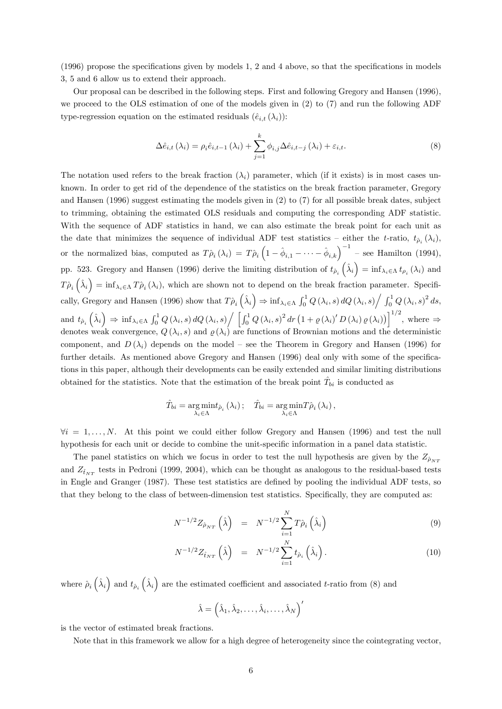$(1996)$  propose the specifications given by models 1, 2 and 4 above, so that the specifications in models 3, 5 and 6 allow us to extend their approach.

Our proposal can be described in the following steps. First and following Gregory and Hansen (1996), we proceed to the OLS estimation of one of the models given in (2) to (7) and run the following ADF type-regression equation on the estimated residuals  $(\hat{e}_{i,t}(\lambda_i))$ :

$$
\Delta \hat{e}_{i,t}(\lambda_i) = \rho_i \hat{e}_{i,t-1}(\lambda_i) + \sum_{j=1}^k \phi_{i,j} \Delta \hat{e}_{i,t-j}(\lambda_i) + \varepsilon_{i,t}.
$$
\n(8)

The notation used refers to the break fraction  $(\lambda_i)$  parameter, which (if it exists) is in most cases unknown. In order to get rid of the dependence of the statistics on the break fraction parameter, Gregory and Hansen (1996) suggest estimating the models given in (2) to (7) for all possible break dates, subject to trimming, obtaining the estimated OLS residuals and computing the corresponding ADF statistic. With the sequence of ADF statistics in hand, we can also estimate the break point for each unit as the date that minimizes the sequence of individual ADF test statistics – either the t-ratio,  $t_{\hat{\rho}_i}(\lambda_i)$ , or the normalized bias, computed as  $T\hat{\rho}_i(\lambda_i) = T\hat{\rho}_i \left(1 - \hat{\phi}_{i,1} - \cdots - \hat{\phi}_{i,k}\right)^{-1}$  – see Hamilton (1994), pp. 523. Gregory and Hansen (1996) derive the limiting distribution of  $t_{\hat{p}_i}(\hat{\lambda}_i) = \inf_{\lambda_i \in \Lambda} t_{\rho_i}(\lambda_i)$  and  $T\hat{\rho}_i\left(\hat{\lambda}_i\right) = \inf_{\lambda_i \in \Lambda} T\hat{\rho}_i\left(\lambda_i\right)$ , which are shown not to depend on the break fraction parameter. Specifically, Gregory and Hansen (1996) show that  $T\hat{\rho}_i\left(\hat{\lambda}_i\right) \Rightarrow \inf_{\lambda_i \in \Lambda} \int_0^1 Q\left(\lambda_i, s\right) dQ\left(\lambda_i, s\right) \Big/ \int_0^1 Q\left(\lambda_i, s\right)^2 ds$ , and  $t_{\hat{\rho}_i}(\hat{\lambda}_i) \Rightarrow \inf_{\lambda_i \in \Lambda} \int_0^1 Q(\lambda_i, s) dQ(\lambda_i, s) / \left[ \int_0^1 Q(\lambda_i, s)^2 dr \left(1 + \varrho(\lambda_i)' D(\lambda_i) \varrho(\lambda_i)\right) \right]^{1/2}$ , where  $\Rightarrow$ denotes weak convergence,  $Q(\lambda_i, s)$  and  $\varrho(\lambda_i)$  are functions of Brownian motions and the deterministic component, and  $D(\lambda_i)$  depends on the model – see the Theorem in Gregory and Hansen (1996) for further details. As mentioned above Gregory and Hansen (1996) deal only with some of the specifications in this paper, although their developments can be easily extended and similar limiting distributions obtained for the statistics. Note that the estimation of the break point  $\hat{T}_{bi}$  is conducted as

$$
\hat{T}_{bi} = \underset{\lambda_i \in \Lambda}{\arg \min} t_{\hat{\rho}_i} (\lambda_i); \quad \hat{T}_{bi} = \underset{\lambda_i \in \Lambda}{\arg \min} T_{\hat{\rho}_i} (\lambda_i),
$$

 $\forall i = 1, \ldots, N$ . At this point we could either follow Gregory and Hansen (1996) and test the null hypothesis for each unit or decide to combine the unit-specific information in a panel data statistic.

The panel statistics on which we focus in order to test the null hypothesis are given by the  $Z_{\hat{\rho}_{NT}}$ and  $Z_{\hat{t}_{NT}}$  tests in Pedroni (1999, 2004), which can be thought as analogous to the residual-based tests in Engle and Granger (1987). These test statistics are defined by pooling the individual ADF tests, so that they belong to the class of between-dimension test statistics. Specifically, they are computed as:

$$
N^{-1/2}Z_{\hat{\rho}_{NT}}\left(\hat{\lambda}\right) = N^{-1/2}\sum_{i=1}^{N}T\hat{\rho}_i\left(\hat{\lambda}_i\right) \tag{9}
$$

$$
N^{-1/2}Z_{\hat{t}_{NT}}\left(\hat{\lambda}\right) = N^{-1/2}\sum_{i=1}^{N} t_{\hat{\rho}_i}\left(\hat{\lambda}_i\right).
$$
 (10)

where  $\hat{\rho}_i\left(\hat{\lambda}_i\right)$  and  $t_{\hat{\rho}_i}\left(\hat{\lambda}_i\right)$  are the estimated coefficient and associated t-ratio from (8) and

$$
\hat{\lambda} = \left(\hat{\lambda}_1, \hat{\lambda}_2, \dots, \hat{\lambda}_i, \dots, \hat{\lambda}_N\right)'
$$

is the vector of estimated break fractions.

Note that in this framework we allow for a high degree of heterogeneity since the cointegrating vector,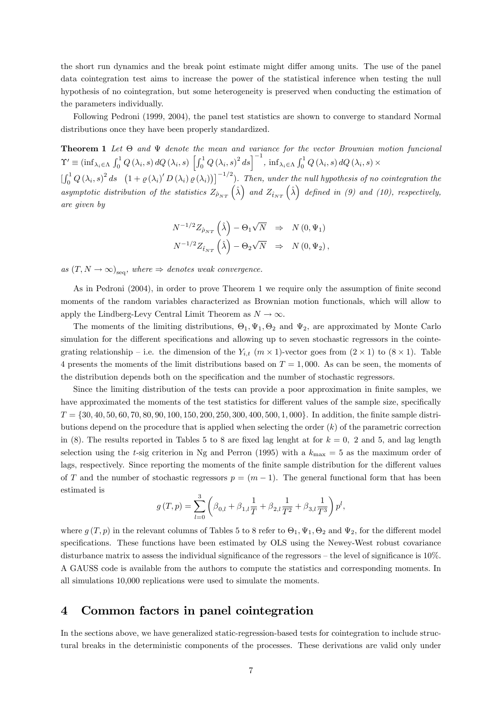the short run dynamics and the break point estimate might differ among units. The use of the panel data cointegration test aims to increase the power of the statistical inference when testing the null hypothesis of no cointegration, but some heterogeneity is preserved when conducting the estimation of the parameters individually.

Following Pedroni (1999, 2004), the panel test statistics are shown to converge to standard Normal distributions once they have been properly standardized.

**Theorem 1** Let  $\Theta$  and  $\Psi$  denote the mean and variance for the vector Brownian motion funcional  $\Upsilon' \equiv \left(\inf\nolimits_{\lambda_i \in \Lambda} \,\int_0^1 Q\left(\lambda_i, s\right) dQ\left(\lambda_i, s\right) \,\left[ \int_0^1 Q\left(\lambda_i, s\right)^2 ds \right]^{-1} , \\ \inf\nolimits_{\lambda_i \in \Lambda} \int_0^1 Q\left(\lambda_i, s\right) dQ\left(\lambda_i, s\right) \times \nonumber$  $\left[\int_0^1 Q(\lambda_i, s)^2 ds \right] (1 + \varrho(\lambda_i)' D(\lambda_i) \varrho(\lambda_i))]^{-1/2}$ . Then, under the null hypothesis of no cointegration the asymptotic distribution of the statistics  $Z_{\hat{\rho}_{NT}}(\hat{\lambda})$  and  $Z_{\hat{t}_{NT}}(\hat{\lambda})$  defined in (9) and (10), respectively,

are given by

$$
\begin{split} N^{-1/2} Z_{\hat{\rho}_{NT}}\left(\hat{\lambda}\right) - \Theta_1 \sqrt{N} & \Rightarrow N\left(0, \Psi_1\right) \\ N^{-1/2} Z_{\hat{t}_{NT}}\left(\hat{\lambda}\right) - \Theta_2 \sqrt{N} & \Rightarrow N\left(0, \Psi_2\right), \end{split}
$$

as  $(T, N \to \infty)_{\text{seq}}$ , where  $\Rightarrow$  denotes weak convergence.

As in Pedroni (2004), in order to prove Theorem 1 we require only the assumption of finite second moments of the random variables characterized as Brownian motion functionals, which will allow to apply the Lindberg-Levy Central Limit Theorem as  $N \to \infty$ .

The moments of the limiting distributions,  $\Theta_1, \Psi_1, \Theta_2$  and  $\Psi_2$ , are approximated by Monte Carlo simulation for the different specifications and allowing up to seven stochastic regressors in the cointegrating relationship – i.e. the dimension of the  $Y_{i,t}$   $(m \times 1)$ -vector goes from  $(2 \times 1)$  to  $(8 \times 1)$ . Table 4 presents the moments of the limit distributions based on  $T = 1,000$ . As can be seen, the moments of the distribution depends both on the specification and the number of stochastic regressors.

Since the limiting distribution of the tests can provide a poor approximation in finite samples, we have approximated the moments of the test statistics for different values of the sample size, specifically  $T = \{30, 40, 50, 60, 70, 80, 90, 100, 150, 200, 250, 300, 400, 500, 1, 000\}$ . In addition, the finite sample distributions depend on the procedure that is applied when selecting the order  $(k)$  of the parametric correction in (8). The results reported in Tables 5 to 8 are fixed lag lenght at for  $k = 0$ , 2 and 5, and lag length selection using the t-sig criterion in Ng and Perron (1995) with a  $k_{\text{max}} = 5$  as the maximum order of lags, respectively. Since reporting the moments of the finite sample distribution for the different values of T and the number of stochastic regressors  $p = (m - 1)$ . The general functional form that has been estimated is

$$
g(T, p) = \sum_{l=0}^{3} \left( \beta_{0,l} + \beta_{1,l} \frac{1}{T} + \beta_{2,l} \frac{1}{T^2} + \beta_{3,l} \frac{1}{T^3} \right) p^l,
$$

where  $g(T, p)$  in the relevant columns of Tables 5 to 8 refer to  $\Theta_1, \Psi_1, \Theta_2$  and  $\Psi_2$ , for the different model specifications. These functions have been estimated by OLS using the Newey-West robust covariance disturbance matrix to assess the individual significance of the regressors  $-$  the level of significance is 10%. A GAUSS code is available from the authors to compute the statistics and corresponding moments. In all simulations 10,000 replications were used to simulate the moments.

## 4 Common factors in panel cointegration

In the sections above, we have generalized static-regression-based tests for cointegration to include structural breaks in the deterministic components of the processes. These derivations are valid only under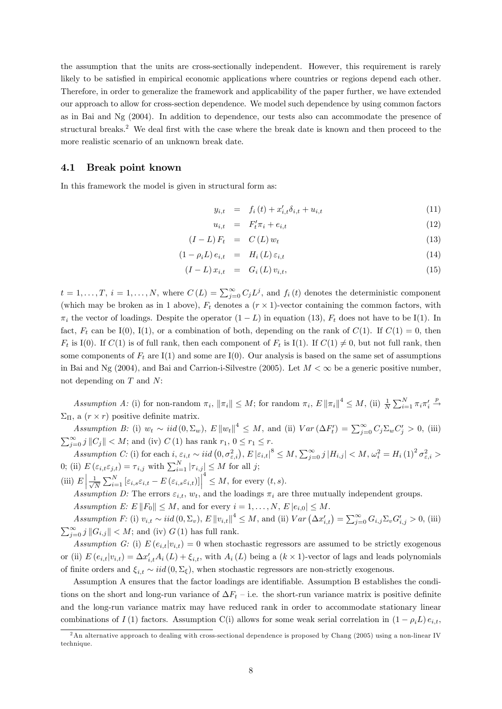the assumption that the units are cross-sectionally independent. However, this requirement is rarely likely to be satisfied in empirical economic applications where countries or regions depend each other. Therefore, in order to generalize the framework and applicability of the paper further, we have extended our approach to allow for cross-section dependence. We model such dependence by using common factors as in Bai and Ng (2004). In addition to dependence, our tests also can accommodate the presence of structural breaks.<sup>2</sup> We deal first with the case where the break date is known and then proceed to the more realistic scenario of an unknown break date.

#### 4.1 Break point known

In this framework the model is given in structural form as:

$$
y_{i,t} = f_i(t) + x'_{i,t} \delta_{i,t} + u_{i,t}
$$
\n(11)

$$
u_{i,t} = F'_t \pi_i + e_{i,t} \tag{12}
$$

$$
(I - L) F_t = C(L) w_t \tag{13}
$$

$$
(1 - \rho_i L) e_{i,t} = H_i(L) \varepsilon_{i,t} \tag{14}
$$

$$
(I - L)x_{i,t} = G_i(L)v_{i,t}, \t\t(15)
$$

 $t = 1, \ldots, T, i = 1, \ldots, N$ , where  $C(L) = \sum_{j=0}^{\infty} C_j L^j$ , and  $f_i(t)$  denotes the deterministic component (which may be broken as in 1 above),  $F_t$  denotes a  $(r \times 1)$ -vector containing the common factors, with  $\pi_i$  the vector of loadings. Despite the operator  $(1 - L)$  in equation (13),  $F_t$  does not have to be I(1). In fact,  $F_t$  can be I(0), I(1), or a combination of both, depending on the rank of  $C(1)$ . If  $C(1) = 0$ , then  $F_t$  is I(0). If  $C(1)$  is of full rank, then each component of  $F_t$  is I(1). If  $C(1) \neq 0$ , but not full rank, then some components of  $F_t$  are I(1) and some are I(0). Our analysis is based on the same set of assumptions in Bai and Ng (2004), and Bai and Carrion-i-Silvestre (2005). Let  $M < \infty$  be a generic positive number, not depending on  $T$  and  $N$ :

Assumption A: (i) for non-random  $\pi_i$ ,  $\|\pi_i\| \leq M$ ; for random  $\pi_i$ ,  $E \|\pi_i\|^4 \leq M$ , (ii)  $\frac{1}{N} \sum_{i=1}^N \pi_i \pi_i'$  $\stackrel{p}{\longrightarrow}$  $\Sigma_{\Pi}$ , a  $(r \times r)$  positive definite matrix.

Assumption B: (i)  $w_t \sim \text{iid}(0, \Sigma_w)$ ,  $E \|w_t\|^4 \leq M$ , and (ii)  $Var(\Delta F_t') = \sum_{j=0}^{\infty} C_j \Sigma_w C_j' > 0$ , (iii)  $\sum_{j=0}^{\infty} j ||C_j|| < M$ ; and (iv)  $C(1)$  has rank  $r_1, 0 \le r_1 \le r$ .

Assumption C: (i) for each  $i, \varepsilon_{i,t} \sim iid(0, \sigma_{\varepsilon,i}^2), E |\varepsilon_{i,t}|^8 \leq M, \sum_{j=0}^{\infty} j |H_{i,j}| < M, \omega_i^2 = H_i(1)^2 \sigma_{\varepsilon,i}^2 >$ 0; (ii)  $E\left(\varepsilon_{i,t}\varepsilon_{j,t}\right) = \tau_{i,j}$  with  $\sum_{i=1}^{N} |\tau_{i,j}| \leq M$  for all j;

(iii)  $E\left|\frac{1}{\sqrt{l}}\right|$  $\frac{1}{N} \sum_{i=1}^{N} \left[ \varepsilon_{i,s} \varepsilon_{i,t} - E \left( \varepsilon_{i,s} \varepsilon_{i,t} \right) \right]$  $\frac{4}{s} \leq M$ , for every  $(t, s)$ .

Assumption D: The errors  $\varepsilon_{i,t}$ ,  $w_t$ , and the loadings  $\pi_i$  are three mutually independent groups.

Assumption E:  $E \|F_0\| \leq M$ , and for every  $i = 1, \ldots, N$ ,  $E |e_{i,0}| \leq M$ .

Assumption F: (i)  $v_{i,t} \sim iid(0, \Sigma_v)$ , E  $\left\|v_{i,t}\right\|^4 \leq M$ , and (ii)  $Var\left(\Delta x'_{i,t}\right) = \sum_{j=0}^{\infty} G_{i,j} \Sigma_v G'_{i,j} > 0$ , (iii)  $\sum_{j=0}^{\infty} j ||G_{i,j}|| < M$ ; and (iv)  $G(1)$  has full rank.

Assumption G: (i)  $E(e_{i,t}|v_{i,t}) = 0$  when stochastic regressors are assumed to be strictly exogenous or (ii)  $E(e_{i,t}|v_{i,t}) = \Delta x'_{i,t}A_i(L) + \xi_{i,t}$ , with  $A_i(L)$  being a  $(k \times 1)$ -vector of lags and leads polynomials of finite orders and  $\xi_{i,t} \sim iid(0,\Sigma_{\xi})$ , when stochastic regressors are non-strictly exogenous.

Assumption A ensures that the factor loadings are identifiable. Assumption B establishes the conditions on the short and long-run variance of  $\Delta F_t$  – i.e. the short-run variance matrix is positive definite and the long-run variance matrix may have reduced rank in order to accommodate stationary linear combinations of I (1) factors. Assumption C(i) allows for some weak serial correlation in  $(1 - \rho_i L) e_{i,t}$ ,

<sup>2</sup>An alternative approach to dealing with cross-sectional dependence is proposed by Chang (2005) using a non-linear IV technique.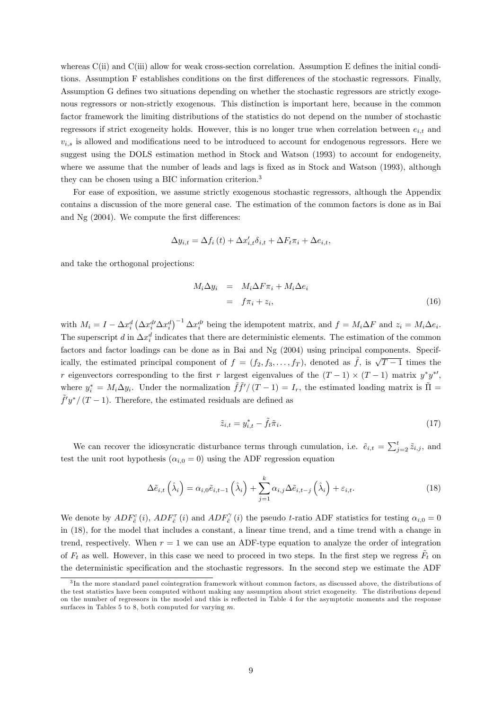whereas  $C(i)$  and  $C(iii)$  allow for weak cross-section correlation. Assumption E defines the initial conditions. Assumption F establishes conditions on the first differences of the stochastic regressors. Finally, Assumption G defines two situations depending on whether the stochastic regressors are strictly exogenous regressors or non-strictly exogenous. This distinction is important here, because in the common factor framework the limiting distributions of the statistics do not depend on the number of stochastic regressors if strict exogeneity holds. However, this is no longer true when correlation between  $e_{i,t}$  and  $v_{i,s}$  is allowed and modifications need to be introduced to account for endogenous regressors. Here we suggest using the DOLS estimation method in Stock and Watson (1993) to account for endogeneity, where we assume that the number of leads and lags is fixed as in Stock and Watson (1993), although they can be chosen using a BIC information criterion.<sup>3</sup>

For ease of exposition, we assume strictly exogenous stochastic regressors, although the Appendix contains a discussion of the more general case. The estimation of the common factors is done as in Bai and  $Ng$  (2004). We compute the first differences:

$$
\Delta y_{i,t} = \Delta f_i(t) + \Delta x'_{i,t} \delta_{i,t} + \Delta F_t \pi_i + \Delta e_{i,t},
$$

and take the orthogonal projections:

$$
M_i \Delta y_i = M_i \Delta F \pi_i + M_i \Delta e_i
$$
  
=  $f \pi_i + z_i,$  (16)

with  $M_i = I - \Delta x_i^d (\Delta x_i^d \Delta x_i^d)^{-1} \Delta x_i^d$  being the idempotent matrix, and  $f = M_i \Delta F$  and  $z_i = M_i \Delta e_i$ . The superscript d in  $\Delta x_i^d$  indicates that there are deterministic elements. The estimation of the common factors and factor loadings can be done as in Bai and Ng (2004) using principal components. Specifically, the estimated principal component of  $f = (f_2, f_3, \ldots, f_T)$ , denoted as  $\tilde{f}$ , is  $\sqrt{T-1}$  times the r eigenvectors corresponding to the first r largest eigenvalues of the  $(T-1) \times (T-1)$  matrix  $y^*y^{*'}$ , where  $y_i^* = M_i \Delta y_i$ . Under the normalization  $\tilde{f}f'/(T-1) = I_r$ , the estimated loading matrix is  $\tilde{\Pi} =$  $\tilde{f}'y^*/(T-1)$ . Therefore, the estimated residuals are defined as

$$
\tilde{z}_{i,t} = y_{i,t}^* - \tilde{f}_t \tilde{\pi}_i. \tag{17}
$$

We can recover the idiosyncratic disturbance terms through cumulation, i.e.  $\tilde{e}_{i,t} = \sum_{j=2}^{t} \tilde{z}_{i,j}$ , and test the unit root hypothesis ( $\alpha_{i,0} = 0$ ) using the ADF regression equation

$$
\Delta \tilde{e}_{i,t} \left( \hat{\lambda}_i \right) = \alpha_{i,0} \tilde{e}_{i,t-1} \left( \hat{\lambda}_i \right) + \sum_{j=1}^k \alpha_{i,j} \Delta \tilde{e}_{i,t-j} \left( \hat{\lambda}_i \right) + \varepsilon_{i,t}.
$$
\n(18)

We denote by  $ADF_{\tilde{e}}^{c}(i)$ ,  $ADF_{\tilde{e}}^{T}(i)$  and  $ADF_{\tilde{e}}^{S}(i)$  the pseudo t-ratio ADF statistics for testing  $\alpha_{i,0} = 0$ in (18), for the model that includes a constant, a linear time trend, and a time trend with a change in trend, respectively. When  $r = 1$  we can use an ADF-type equation to analyze the order of integration of  $F_t$  as well. However, in this case we need to proceed in two steps. In the first step we regress  $\tilde{F}_t$  on the deterministic specification and the stochastic regressors. In the second step we estimate the ADF

<sup>&</sup>lt;sup>3</sup>In the more standard panel cointegration framework without common factors, as discussed above, the distributions of the test statistics have been computed without making any assumption about strict exogeneity. The distributions depend on the number of regressors in the model and this is reflected in Table 4 for the asymptotic moments and the response surfaces in Tables 5 to 8, both computed for varying  $m$ .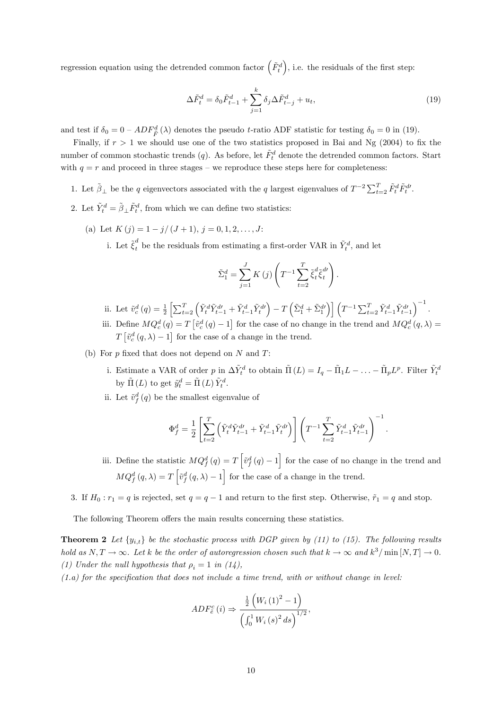regression equation using the detrended common factor  $(\tilde{F}_{t}^{d})$ , i.e. the residuals of the first step:

$$
\Delta \tilde{F}_t^d = \delta_0 \tilde{F}_{t-1}^d + \sum_{j=1}^k \delta_j \Delta \tilde{F}_{t-j}^d + u_t,
$$
\n(19)

and test if  $\delta_0 = 0 - ADF_{\tilde{F}}^d(\lambda)$  denotes the pseudo t-ratio ADF statistic for testing  $\delta_0 = 0$  in (19).

Finally, if  $r > 1$  we should use one of the two statistics proposed in Bai and Ng (2004) to fix the number of common stochastic trends  $(q)$ . As before, let  $\tilde{F}^d_t$  denote the detrended common factors. Start with  $q = r$  and proceed in three stages – we reproduce these steps here for completeness:

- 1. Let  $\tilde{\beta}_{\perp}$  be the q eigenvectors associated with the q largest eigenvalues of  $T^{-2} \sum_{t=2}^{T} \tilde{F}_t^d \tilde{F}_t^d$ .
- 2. Let  $\tilde{Y}_t^d = \tilde{\beta}_{\perp} \tilde{F}_t^d$ , from which we can define two statistics:
	- (a) Let  $K(i) = 1 i/(J + 1), i = 0, 1, 2, \ldots, J$ :
		- i. Let  $\tilde{\xi}^d_t$  be the residuals from estimating a first-order VAR in  $\tilde{Y}^d_t$ , and let

$$
\tilde{\Sigma}_1^d = \sum_{j=1}^J K(j) \left( T^{-1} \sum_{t=2}^T \tilde{\xi}_t^d \tilde{\xi}_t^{d\prime} \right).
$$

- ii. Let  $\tilde{v}_{c}^{d}(q) = \frac{1}{2} \left[ \sum_{t=2}^{T} \left( \tilde{Y}_{t}^{d} \tilde{Y}_{t-1}^{d} + \tilde{Y}_{t-1}^{d} \tilde{Y}_{t}^{d\prime} \right) T \left( \tilde{\Sigma}_{1}^{d} + \tilde{\Sigma}_{1}^{d\prime} \right) \right] \left( T^{-1} \sum_{t=2}^{T} \tilde{Y}_{t-1}^{d} \tilde{Y}_{t-1}^{d\prime} \right)$  $\big)^{-1}$ .
- iii. Define  $MQ_c^d(q) = T \left[ \tilde{v}_c^d(q) 1 \right]$  for the case of no change in the trend and  $MQ_c^d(q, \lambda) =$  $T\left[\tilde{v}_{c}^{d}\left(q,\lambda\right)-1\right]$  for the case of a change in the trend.
- (b) For  $p$  fixed that does not depend on  $N$  and  $T$ :
	- i. Estimate a VAR of order p in  $\Delta \tilde{Y}_t^d$  to obtain  $\tilde{\Pi}(L) = I_q \tilde{\Pi}_1 L \ldots \tilde{\Pi}_p L^p$ . Filter  $\tilde{Y}_t^d$ by  $\tilde{\Pi}(L)$  to get  $\tilde{y}_t^d = \tilde{\Pi}(L) \tilde{Y}_t^d$ .
	- ii. Let  $\tilde{v}^d_f(q)$  be the smallest eigenvalue of

$$
\Phi_f^d = \frac{1}{2} \left[ \sum_{t=2}^T \left( \tilde{Y}_t^d \tilde{Y}_{t-1}^{d\prime} + \tilde{Y}_{t-1}^d \tilde{Y}_t^{d\prime} \right) \right] \left( T^{-1} \sum_{t=2}^T \tilde{Y}_{t-1}^d \tilde{Y}_{t-1}^{d\prime} \right)^{-1}.
$$

iii. Define the statistic  $MQ_f^d(q) = T \left[ \tilde{v}_f^d(q) - 1 \right]$  for the case of no change in the trend and  $MQ_f^d(q, \lambda) = T \left[ \tilde{v}_f^d(q, \lambda) - 1 \right]$  for the case of a change in the trend.

3. If  $H_0: r_1 = q$  is rejected, set  $q = q - 1$  and return to the first step. Otherwise,  $\tilde{r}_1 = q$  and stop.

The following Theorem offers the main results concerning these statistics.

**Theorem 2** Let  $\{y_{i,t}\}$  be the stochastic process with DGP given by (11) to (15). The following results hold as  $N, T \to \infty$ . Let k be the order of autoregression chosen such that  $k \to \infty$  and  $k^3/\min[N, T] \to 0$ . (1) Under the null hypothesis that  $\rho_i = 1$  in (14),

 $(1.a)$  for the specification that does not include a time trend, with or without change in level:

$$
ADF_{\tilde{e}}^{c}(i) \Rightarrow \frac{\frac{1}{2}\left(W_{i}(1)^{2} - 1\right)}{\left(\int_{0}^{1} W_{i}(s)^{2} ds\right)^{1/2}},
$$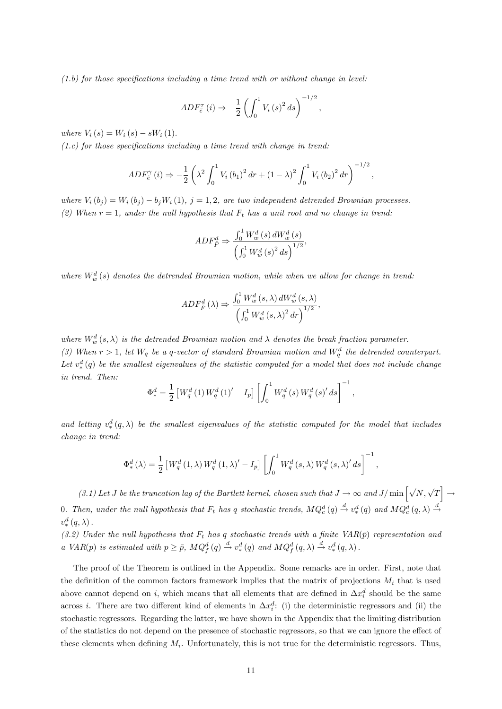$(1.b)$  for those specifications including a time trend with or without change in level:

$$
ADE_{\tilde{e}}^{\tau}(i) \Rightarrow -\frac{1}{2} \left( \int_0^1 V_i(s)^2 ds \right)^{-1/2},
$$

where  $V_i(s) = W_i(s) - sW_i(1)$ .

 $(1.c)$  for those specifications including a time trend with change in trend:

$$
ADE_{\tilde{e}}^{\gamma}(i) \Rightarrow -\frac{1}{2} \left( \lambda^2 \int_0^1 V_i (b_1)^2 dr + (1 - \lambda)^2 \int_0^1 V_i (b_2)^2 dr \right)^{-1/2},
$$

where  $V_i(b_i) = W_i(b_i) - b_i W_i(1), i = 1, 2$ , are two independent detrended Brownian processes. (2) When  $r = 1$ , under the null hypothesis that  $F_t$  has a unit root and no change in trend:

$$
ADF_{\tilde{F}}^{d} \Rightarrow \frac{\int_{0}^{1} W_{w}^{d}(s) dW_{w}^{d}(s)}{\left(\int_{0}^{1} W_{w}^{d}(s)\right)^{2} ds}.
$$

where  $W_w^d(s)$  denotes the detrended Brownian motion, while when we allow for change in trend:

$$
ADF_{\tilde{F}}^{d}(\lambda) \Rightarrow \frac{\int_0^1 W_w^d(s,\lambda) dW_w^d(s,\lambda)}{\left(\int_0^1 W_w^d(s,\lambda)^2 dr\right)^{1/2}},
$$

where  $W_w^d(s, \lambda)$  is the detrended Brownian motion and  $\lambda$  denotes the break fraction parameter. (3) When  $r > 1$ , let  $W_q$  be a q-vector of standard Brownian motion and  $W_q^d$  the detrended counterpart. Let  $v_*^d(q)$  be the smallest eigenvalues of the statistic computed for a model that does not include change  $\lim_{n \to \infty} \frac{f(x)}{f(n)}$  and  $\lim_{n \to \infty} \frac{f(x)}{f(n)}$ 

$$
\Phi_{*}^{d} = \frac{1}{2} \left[ W_{q}^{d} \left( 1 \right) W_{q}^{d} \left( 1 \right)' - I_{p} \right] \left[ \int_{0}^{1} W_{q}^{d} \left( s \right) W_{q}^{d} \left( s \right)' ds \right]^{-1},
$$

and letting  $v^d_*$  $(\alpha^d, (\alpha, \lambda))$  be the smallest eigenvalues of the statistic computed for the model that includes change in trend:

$$
\Phi_*^d(\lambda) = \frac{1}{2} \left[ W_q^d \left( 1, \lambda \right) W_q^d \left( 1, \lambda \right)' - I_p \right] \left[ \int_0^1 W_q^d \left( s, \lambda \right) W_q^d \left( s, \lambda \right)' ds \right]^{-1},
$$

(3.1) Let J be the truncation lag of the Bartlett kernel, chosen such that  $J \to \infty$  and  $J/\min \left[\sqrt{N}, \sqrt{T}\right]$  $\rightarrow$ 0. Then, under the null hypothesis that  $F_t$  has q stochastic trends,  $MQ_c^d(q) \stackrel{d}{\rightarrow} v_*^d$  $d_{*}^{d}(q)$  and  $MQ_{c}^{d}(q, \lambda) \stackrel{d}{\rightarrow}$  $v^d_*(q,\lambda)$ .

(3.2) Under the null hypothesis that  $F_t$  has q stochastic trends with a finite  $VAR(\bar{p})$  representation and (3.2) a VAR(p) is estimated with  $p \geq \bar{p}$ ,  $MQ_f^d(q) \stackrel{d}{\rightarrow} v_*^d$  $d_*^d(q)$  and  $MQ_f^d(q,\lambda) \stackrel{d}{\rightarrow} v_*^d$  $\varphi_*^d(q,\lambda)$ .

The proof of the Theorem is outlined in the Appendix. Some remarks are in order. First, note that the definition of the common factors framework implies that the matrix of projections  $M_i$  that is used above cannot depend on i, which means that all elements that are defined in  $\Delta x_i^d$  should be the same across *i*. There are two different kind of elements in  $\Delta x_i^d$ : (i) the deterministic regressors and (ii) the stochastic regressors. Regarding the latter, we have shown in the Appendix that the limiting distribution of the statistics do not depend on the presence of stochastic regressors, so that we can ignore the effect of these elements when defining  $M_i$ . Unfortunately, this is not true for the deterministic regressors. Thus,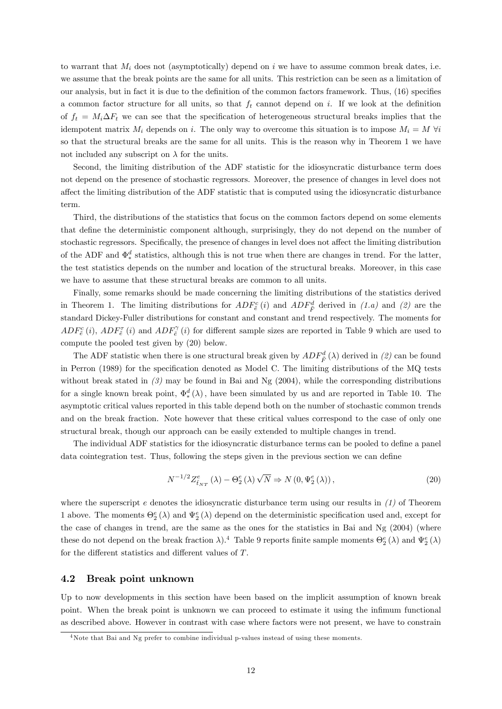to warrant that  $M_i$  does not (asymptotically) depend on i we have to assume common break dates, i.e. we assume that the break points are the same for all units. This restriction can be seen as a limitation of our analysis, but in fact it is due to the definition of the common factors framework. Thus, (16) specifies a common factor structure for all units, so that  $f_t$  cannot depend on i. If we look at the definition of  $f_t = M_i \Delta F_t$  we can see that the specification of heterogeneous structural breaks implies that the idempotent matrix  $M_i$  depends on i. The only way to overcome this situation is to impose  $M_i = M \forall i$ so that the structural breaks are the same for all units. This is the reason why in Theorem 1 we have not included any subscript on  $\lambda$  for the units.

Second, the limiting distribution of the ADF statistic for the idiosyncratic disturbance term does not depend on the presence of stochastic regressors. Moreover, the presence of changes in level does not affect the limiting distribution of the ADF statistic that is computed using the idiosyncratic disturbance term.

Third, the distributions of the statistics that focus on the common factors depend on some elements that define the deterministic component although, surprisingly, they do not depend on the number of stochastic regressors. Specifically, the presence of changes in level does not affect the limiting distribution of the ADF and  $\Phi^d_*$  $s^d$  statistics, although this is not true when there are changes in trend. For the latter, the test statistics depends on the number and location of the structural breaks. Moreover, in this case we have to assume that these structural breaks are common to all units.

Finally, some remarks should be made concerning the limiting distributions of the statistics derived in Theorem 1. The limiting distributions for  $ADF^c_{\tilde{e}}(i)$  and  $ADF^d_{\tilde{F}}$  derived in  $(1.a)$  and  $(2)$  are the standard Dickey-Fuller distributions for constant and constant and trend respectively. The moments for  $ADF_{\tilde{e}}^{c}(i)$ ,  $ADF_{\tilde{e}}^{T}(i)$  and  $ADF_{\tilde{e}}^{T}(i)$  for different sample sizes are reported in Table 9 which are used to compute the pooled test given by (20) below.

The ADF statistic when there is one structural break given by  $ADF^d_{\tilde{F}}(\lambda)$  derived in  $(2)$  can be found in Perron (1989) for the specification denoted as Model C. The limiting distributions of the MQ tests without break stated in  $(3)$  may be found in Bai and Ng (2004), while the corresponding distributions for a single known break point,  $\Phi^d_*$  $\binom{d}{*}$  ( $\lambda$ ), have been simulated by us and are reported in Table 10. The asymptotic critical values reported in this table depend both on the number of stochastic common trends and on the break fraction. Note however that these critical values correspond to the case of only one structural break, though our approach can be easily extended to multiple changes in trend.

The individual ADF statistics for the idiosyncratic disturbance terms can be pooled to define a panel data cointegration test. Thus, following the steps given in the previous section we can define

$$
N^{-1/2}Z_{\hat{t}_{NT}}^{e}(\lambda) - \Theta_{2}^{e}(\lambda)\sqrt{N} \Rightarrow N\left(0, \Psi_{2}^{e}(\lambda)\right), \tag{20}
$$

where the superscript e denotes the idiosyncratic disturbance term using our results in  $(1)$  of Theorem 1 above. The moments  $\Theta_2^e(\lambda)$  and  $\Psi_2^e(\lambda)$  depend on the deterministic specification used and, except for the case of changes in trend, are the same as the ones for the statistics in Bai and Ng (2004) (where these do not depend on the break fraction  $\lambda$ ).<sup>4</sup> Table 9 reports finite sample moments  $\Theta_2^e(\lambda)$  and  $\Psi_2^e(\lambda)$ for the different statistics and different values of  $T$ .

#### 4.2 Break point unknown

Up to now developments in this section have been based on the implicit assumption of known break point. When the break point is unknown we can proceed to estimate it using the infimum functional as described above. However in contrast with case where factors were not present, we have to constrain

<sup>&</sup>lt;sup>4</sup>Note that Bai and Ng prefer to combine individual p-values instead of using these moments.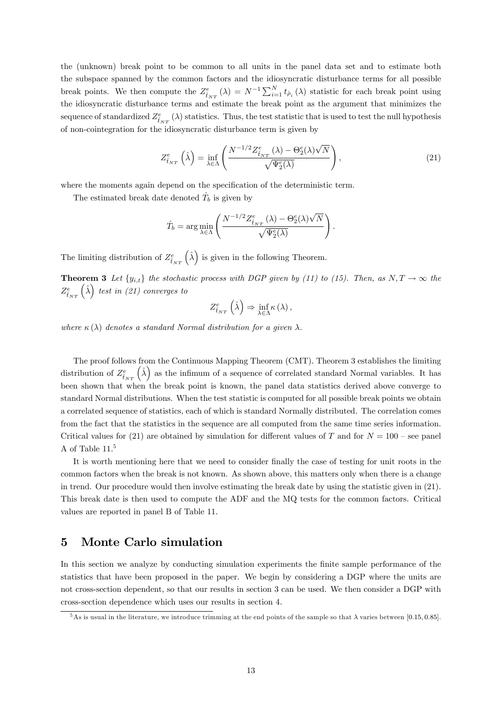the (unknown) break point to be common to all units in the panel data set and to estimate both the subspace spanned by the common factors and the idiosyncratic disturbance terms for all possible break points. We then compute the  $Z_{\hat{t}_{NT}}^e(\lambda) = N^{-1} \sum_{i=1}^N t_{\hat{\rho}_i}(\lambda)$  statistic for each break point using the idiosyncratic disturbance terms and estimate the break point as the argument that minimizes the sequence of standardized  $Z_{\hat{t}_{NT}}^e(\lambda)$  statistics. Thus, the test statistic that is used to test the null hypothesis of non-cointegration for the idiosyncratic disturbance term is given by

$$
Z_{\hat{t}_{NT}}^{e}\left(\hat{\lambda}\right) = \inf_{\lambda \in \Lambda} \left(\frac{N^{-1/2} Z_{\hat{t}_{NT}}^{e}\left(\lambda\right) - \Theta_{2}^{e}(\lambda)\sqrt{N}}{\sqrt{\Psi_{2}^{e}(\lambda)}}\right),\tag{21}
$$

:

where the moments again depend on the specification of the deterministic term.

The estimated break date denoted  $\hat{T}_b$  is given by

$$
\hat{T}_b = \arg\min_{\lambda \in \Lambda} \left( \frac{N^{-1/2} Z^e_{\hat{t}_{NT}}\left( \lambda \right) - \Theta^e_2(\lambda) \sqrt{N} }{\sqrt{\Psi^e_2(\lambda)}} \right)
$$

The limiting distribution of  $Z_{\hat{t}_{NT}}^e(\hat{\lambda})$  is given in the following Theorem.

**Theorem 3** Let  $\{y_{i,t}\}\)$  the stochastic process with DGP given by (11) to (15). Then, as  $N, T \to \infty$  the  $Z_{\hat{t}_{NT}}^{e}(\hat{\lambda})$  test in (21) converges to

$$
Z_{\hat{t}_{NT}}^{e}(\hat{\lambda}) \Rightarrow \inf_{\lambda \in \Lambda} \kappa(\lambda),
$$

where  $\kappa(\lambda)$  denotes a standard Normal distribution for a given  $\lambda$ .

The proof follows from the Continuous Mapping Theorem (CMT). Theorem 3 establishes the limiting distribution of  $Z_{\hat{t}_{NT}}^e(\hat{\lambda})$  as the infimum of a sequence of correlated standard Normal variables. It has been shown that when the break point is known, the panel data statistics derived above converge to standard Normal distributions. When the test statistic is computed for all possible break points we obtain a correlated sequence of statistics, each of which is standard Normally distributed. The correlation comes from the fact that the statistics in the sequence are all computed from the same time series information. Critical values for (21) are obtained by simulation for different values of T and for  $N = 100$  – see panel A of Table  $11<sup>5</sup>$ 

It is worth mentioning here that we need to consider finally the case of testing for unit roots in the common factors when the break is not known. As shown above, this matters only when there is a change in trend. Our procedure would then involve estimating the break date by using the statistic given in (21). This break date is then used to compute the ADF and the MQ tests for the common factors. Critical values are reported in panel B of Table 11.

## 5 Monte Carlo simulation

In this section we analyze by conducting simulation experiments the finite sample performance of the statistics that have been proposed in the paper. We begin by considering a DGP where the units are not cross-section dependent, so that our results in section 3 can be used. We then consider a DGP with cross-section dependence which uses our results in section 4.

<sup>&</sup>lt;sup>5</sup>As is usual in the literature, we introduce trimming at the end points of the sample so that  $\lambda$  varies between [0.15, 0.85].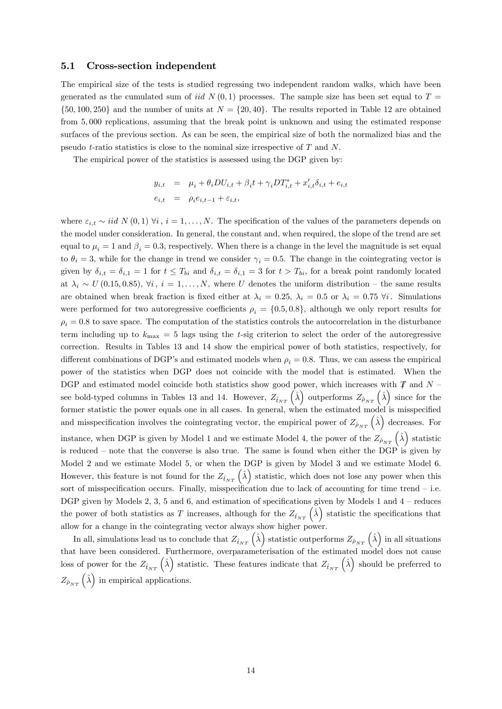#### 5.1 Cross-section independent

The empirical size of the tests is studied regressing two independent random walks, which have been generated as the cumulated sum of iid  $N(0,1)$  processes. The sample size has been set equal to  $T =$  $\{50, 100, 250\}$  and the number of units at  $N = \{20, 40\}$ . The results reported in Table 12 are obtained from 5; 000 replications, assuming that the break point is unknown and using the estimated response surfaces of the previous section. As can be seen, the empirical size of both the normalized bias and the pseudo t-ratio statistics is close to the nominal size irrespective of T and N.

The empirical power of the statistics is assessed using the DGP given by:

$$
y_{i,t} = \mu_i + \theta_i DU_{i,t} + \beta_i t + \gamma_i DT_{i,t}^* + x'_{i,t}\delta_{i,t} + e_{i,t}
$$
  

$$
e_{i,t} = \rho_i e_{i,t-1} + \varepsilon_{i,t},
$$

where  $\varepsilon_{i,t} \sim iid N(0,1) \ \forall i, i = 1,\ldots,N$ . The specification of the values of the parameters depends on the model under consideration. In general, the constant and, when required, the slope of the trend are set equal to  $\mu_i = 1$  and  $\beta_i = 0.3$ , respectively. When there is a change in the level the magnitude is set equal to  $\theta_i = 3$ , while for the change in trend we consider  $\gamma_i = 0.5$ . The change in the cointegrating vector is given by  $\delta_{i,t} = \delta_{i,1} = 1$  for  $t \leq T_{bi}$  and  $\delta_{i,t} = \delta_{i,1} = 3$  for  $t > T_{bi}$ , for a break point randomly located at  $\lambda_i \sim U(0.15, 0.85), \forall i, i = 1, \ldots, N$ , where U denotes the uniform distribution – the same results are obtained when break fraction is fixed either at  $\lambda_i = 0.25$ ,  $\lambda_i = 0.5$  or  $\lambda_i = 0.75$   $\forall i$ . Simulations were performed for two autoregressive coefficients  $\rho_i = \{0.5, 0.8\}$ , although we only report results for  $\rho_i = 0.8$  to save space. The computation of the statistics controls the autocorrelation in the disturbance term including up to  $k_{\text{max}} = 5$  lags using the t-sig criterion to select the order of the autoregressive correction. Results in Tables 13 and 14 show the empirical power of both statistics, respectively, for different combinations of DGP's and estimated models when  $\rho_i = 0.8$ . Thus, we can assess the empirical power of the statistics when DGP does not coincide with the model that is estimated. When the DGP and estimated model coincide both statistics show good power, which increases with  $\mathcal T$  and  $N$ see bold-typed columns in Tables 13 and 14. However,  $Z_{\hat{t}_{NT}}(\hat{\lambda})$  outperforms  $Z_{\hat{\rho}_{NT}}(\hat{\lambda})$  since for the former statistic the power equals one in all cases. In general, when the estimated model is misspecified and misspecification involves the cointegrating vector, the empirical power of  $Z_{\hat{\rho}_{NT}}(\hat{\lambda})$  decreases. For instance, when DGP is given by Model 1 and we estimate Model 4, the power of the  $Z_{\hat{\rho}_{NT}}(\hat{\lambda})$  statistic is reduced  $-$  note that the converse is also true. The same is found when either the DGP is given by Model 2 and we estimate Model 5, or when the DGP is given by Model 3 and we estimate Model 6. However, this feature is not found for the  $Z_{\hat{t}_{NT}}(\hat{\lambda})$  statistic, which does not lose any power when this sort of misspecification occurs. Finally, misspecification due to lack of accounting for time trend  $-$  i.e. DGP given by Models 2, 3, 5 and 6, and estimation of specifications given by Models 1 and  $4$  – reduces the power of both statistics as T increases, although for the  $Z_{\hat{t}_{NT}}(\hat{\lambda})$  statistic the specifications that allow for a change in the cointegrating vector always show higher power.

In all, simulations lead us to conclude that  $Z_{\hat{t}_{NT}}(\hat{\lambda})$  statistic outperforms  $Z_{\hat{\rho}_{NT}}(\hat{\lambda})$  in all situations that have been considered. Furthermore, overparameterisation of the estimated model does not cause loss of power for the  $Z_{\hat{t}_{NT}}(\hat{\lambda})$  statistic. These features indicate that  $Z_{\hat{t}_{NT}}(\hat{\lambda})$  should be preferred to  $Z_{\hat{\rho}_{NT}}\left(\hat{\lambda}\right)$  in empirical applications.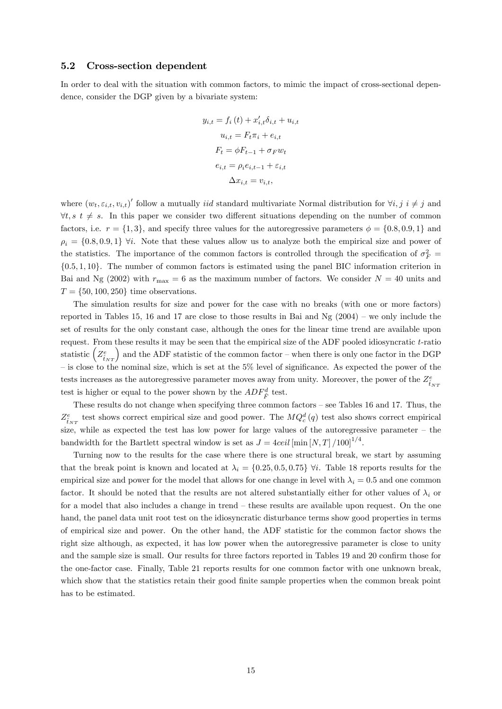#### 5.2 Cross-section dependent

In order to deal with the situation with common factors, to mimic the impact of cross-sectional dependence, consider the DGP given by a bivariate system:

$$
y_{i,t} = f_i(t) + x'_{i,t}\delta_{i,t} + u_{i,t}
$$

$$
u_{i,t} = F_t \pi_i + e_{i,t}
$$

$$
F_t = \phi F_{t-1} + \sigma_F w_t
$$

$$
e_{i,t} = \rho_i e_{i,t-1} + \varepsilon_{i,t}
$$

$$
\Delta x_{i,t} = v_{i,t},
$$

where  $(w_t, \varepsilon_{i,t}, v_{i,t})'$  follow a mutually *iid* standard multivariate Normal distribution for  $\forall i, j \in \mathcal{j}$  and  $\forall t, s \ t \neq s$ . In this paper we consider two different situations depending on the number of common factors, i.e.  $r = \{1, 3\}$ , and specify three values for the autoregressive parameters  $\phi = \{0.8, 0.9, 1\}$  and  $\rho_i = \{0.8, 0.9, 1\}$   $\forall i$ . Note that these values allow us to analyze both the empirical size and power of the statistics. The importance of the common factors is controlled through the specification of  $\sigma_F^2$  =  $\{0.5, 1, 10\}$ . The number of common factors is estimated using the panel BIC information criterion in Bai and Ng (2002) with  $r_{\text{max}} = 6$  as the maximum number of factors. We consider  $N = 40$  units and  $T = \{50, 100, 250\}$  time observations.

The simulation results for size and power for the case with no breaks (with one or more factors) reported in Tables 15, 16 and 17 are close to those results in Bai and Ng  $(2004)$  – we only include the set of results for the only constant case, although the ones for the linear time trend are available upon request. From these results it may be seen that the empirical size of the ADF pooled idiosyncratic  $t$ -ratio statistic  $\left(Z_{\hat{t}_{NT}}^e\right)$  and the ADF statistic of the common factor – when there is only one factor in the DGP  $-$  is close to the nominal size, which is set at the  $5\%$  level of significance. As expected the power of the tests increases as the autoregressive parameter moves away from unity. Moreover, the power of the  $Z_{\hat{t}_{NT}}^{e}$ test is higher or equal to the power shown by the  $ADF_{\hat{F}}^d$  test.

These results do not change when specifying three common factors  $-$  see Tables 16 and 17. Thus, the  $Z_{\hat{t}_{NT}}^e$  test shows correct empirical size and good power. The  $MQ_c^d(q)$  test also shows correct empirical size, while as expected the test has low power for large values of the autoregressive parameter  $-$  the bandwidth for the Bartlett spectral window is set as  $J = 4ceil \left[ \min \left[ N, T \right] / 100 \right]^{1/4}$ .

Turning now to the results for the case where there is one structural break, we start by assuming that the break point is known and located at  $\lambda_i = \{0.25, 0.5, 0.75\}$   $\forall i$ . Table 18 reports results for the empirical size and power for the model that allows for one change in level with  $\lambda_i = 0.5$  and one common factor. It should be noted that the results are not altered substantially either for other values of  $\lambda_i$  or for a model that also includes a change in trend  $-$  these results are available upon request. On the one hand, the panel data unit root test on the idiosyncratic disturbance terms show good properties in terms of empirical size and power. On the other hand, the ADF statistic for the common factor shows the right size although, as expected, it has low power when the autoregressive parameter is close to unity and the sample size is small. Our results for three factors reported in Tables 19 and 20 confirm those for the one-factor case. Finally, Table 21 reports results for one common factor with one unknown break, which show that the statistics retain their good finite sample properties when the common break point has to be estimated.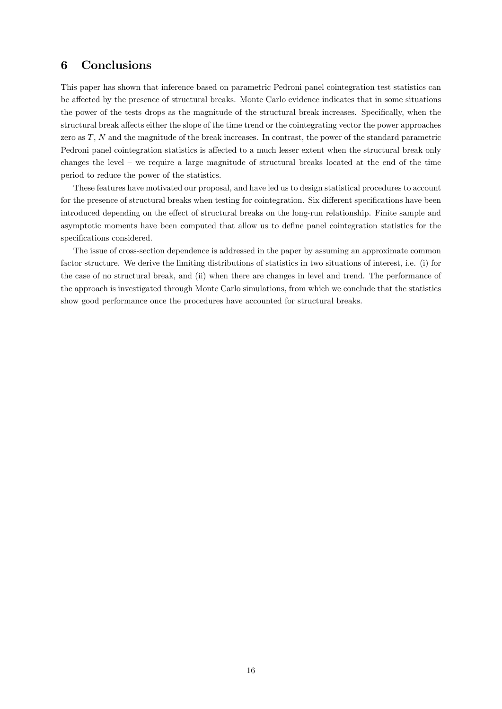## 6 Conclusions

This paper has shown that inference based on parametric Pedroni panel cointegration test statistics can be affected by the presence of structural breaks. Monte Carlo evidence indicates that in some situations the power of the tests drops as the magnitude of the structural break increases. Specifically, when the structural break affects either the slope of the time trend or the cointegrating vector the power approaches zero as T, N and the magnitude of the break increases. In contrast, the power of the standard parametric Pedroni panel cointegration statistics is affected to a much lesser extent when the structural break only changes the level  $-$  we require a large magnitude of structural breaks located at the end of the time period to reduce the power of the statistics.

These features have motivated our proposal, and have led us to design statistical procedures to account for the presence of structural breaks when testing for cointegration. Six different specifications have been introduced depending on the effect of structural breaks on the long-run relationship. Finite sample and asymptotic moments have been computed that allow us to define panel cointegration statistics for the specifications considered.

The issue of cross-section dependence is addressed in the paper by assuming an approximate common factor structure. We derive the limiting distributions of statistics in two situations of interest, i.e. (i) for the case of no structural break, and (ii) when there are changes in level and trend. The performance of the approach is investigated through Monte Carlo simulations, from which we conclude that the statistics show good performance once the procedures have accounted for structural breaks.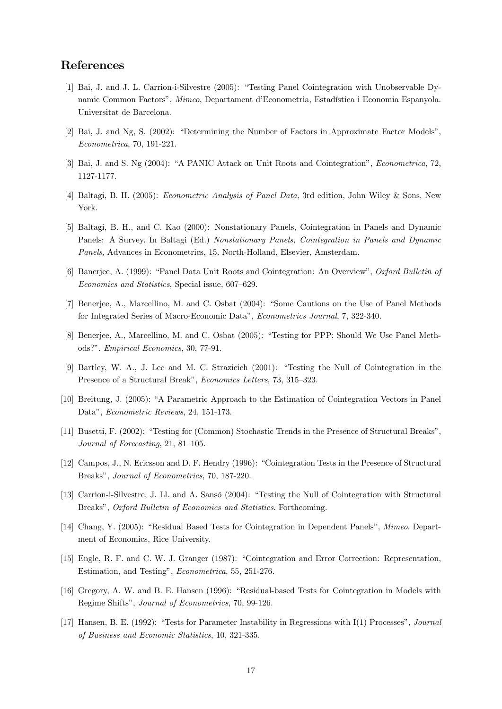## References

- [1] Bai, J. and J. L. Carrion-i-Silvestre (2005): "Testing Panel Cointegration with Unobservable Dynamic Common Factors", Mimeo, Departament d'Econometria, Estadística i Economia Espanyola. Universitat de Barcelona.
- $[2]$  Bai, J. and Ng, S.  $(2002)$ : "Determining the Number of Factors in Approximate Factor Models", Econometrica, 70, 191-221.
- [3] Bai, J. and S. Ng (2004): "A PANIC Attack on Unit Roots and Cointegration", *Econometrica*, 72, 1127-1177.
- [4] Baltagi, B. H. (2005): Econometric Analysis of Panel Data, 3rd edition, John Wiley & Sons, New York.
- [5] Baltagi, B. H., and C. Kao (2000): Nonstationary Panels, Cointegration in Panels and Dynamic Panels: A Survey. In Baltagi (Ed.) Nonstationary Panels, Cointegration in Panels and Dynamic Panels, Advances in Econometrics, 15. North-Holland, Elsevier, Amsterdam.
- [6] Banerjee, A. (1999): "Panel Data Unit Roots and Cointegration: An Overview", Oxford Bulletin of Economics and Statistics, Special issue, 607-629.
- [7] Benerjee, A., Marcellino, M. and C. Osbat (2004): "Some Cautions on the Use of Panel Methods for Integrated Series of Macro-Economic Dataî, Econometrics Journal, 7, 322-340.
- [8] Benerjee, A., Marcellino, M. and C. Osbat (2005): "Testing for PPP: Should We Use Panel Methods?î. Empirical Economics, 30, 77-91.
- [9] Bartley, W. A., J. Lee and M. C. Strazicich (2001): "Testing the Null of Cointegration in the Presence of a Structural Break", Economics Letters, 73, 315–323.
- [10] Breitung, J. (2005): "A Parametric Approach to the Estimation of Cointegration Vectors in Panel Data", Econometric Reviews, 24, 151-173.
- [11] Busetti, F. (2002): "Testing for (Common) Stochastic Trends in the Presence of Structural Breaks", Journal of Forecasting,  $21, 81-105$ .
- [12] Campos, J., N. Ericsson and D. F. Hendry (1996): "Cointegration Tests in the Presence of Structural Breaks", Journal of Econometrics, 70, 187-220.
- [13] Carrion-i-Silvestre, J. Ll. and A. Sansó (2004): "Testing the Null of Cointegration with Structural Breaks", Oxford Bulletin of Economics and Statistics. Forthcoming.
- [14] Chang, Y. (2005): "Residual Based Tests for Cointegration in Dependent Panels", Mimeo. Department of Economics, Rice University.
- [15] Engle, R. F. and C. W. J. Granger (1987): "Cointegration and Error Correction: Representation, Estimation, and Testing", *Econometrica*, 55, 251-276.
- [16] Gregory, A. W. and B. E. Hansen (1996): "Residual-based Tests for Cointegration in Models with Regime Shiftsî, Journal of Econometrics, 70, 99-126.
- [17] Hansen, B. E. (1992): "Tests for Parameter Instability in Regressions with I(1) Processes", Journal of Business and Economic Statistics, 10, 321-335.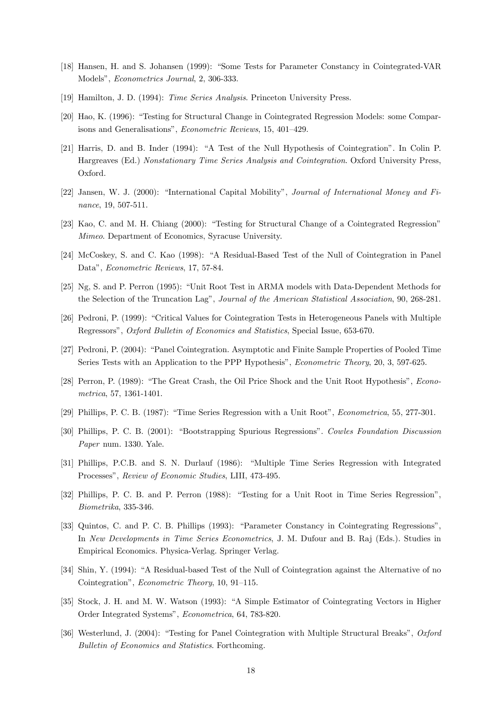- [18] Hansen, H. and S. Johansen (1999): "Some Tests for Parameter Constancy in Cointegrated-VAR Modelsî, Econometrics Journal, 2, 306-333.
- [19] Hamilton, J. D. (1994): Time Series Analysis. Princeton University Press.
- [20] Hao, K. (1996): "Testing for Structural Change in Cointegrated Regression Models: some Comparisons and Generalisations", Econometric Reviews, 15, 401-429.
- [21] Harris, D. and B. Inder (1994): "A Test of the Null Hypothesis of Cointegration". In Colin P. Hargreaves (Ed.) Nonstationary Time Series Analysis and Cointegration. Oxford University Press, Oxford.
- [22] Jansen, W. J. (2000): "International Capital Mobility", Journal of International Money and Finance, 19, 507-511.
- [23] Kao, C. and M. H. Chiang (2000): "Testing for Structural Change of a Cointegrated Regression" Mimeo. Department of Economics, Syracuse University.
- [24] McCoskey, S. and C. Kao (1998): "A Residual-Based Test of the Null of Cointegration in Panel Data", Econometric Reviews, 17, 57-84.
- [25] Ng, S. and P. Perron (1995): "Unit Root Test in ARMA models with Data-Dependent Methods for the Selection of the Truncation Lag", *Journal of the American Statistical Association*, 90, 268-281.
- [26] Pedroni, P. (1999): "Critical Values for Cointegration Tests in Heterogeneous Panels with Multiple Regressors", Oxford Bulletin of Economics and Statistics, Special Issue, 653-670.
- [27] Pedroni, P. (2004): "Panel Cointegration. Asymptotic and Finite Sample Properties of Pooled Time Series Tests with an Application to the PPP Hypothesis", *Econometric Theory*, 20, 3, 597-625.
- [28] Perron, P. (1989): "The Great Crash, the Oil Price Shock and the Unit Root Hypothesis", Econometrica, 57, 1361-1401.
- [29] Phillips, P. C. B. (1987): "Time Series Regression with a Unit Root", *Econometrica*, 55, 277-301.
- [30] Phillips, P. C. B. (2001): "Bootstrapping Spurious Regressions". Cowles Foundation Discussion Paper num. 1330. Yale.
- [31] Phillips, P.C.B. and S. N. Durlauf (1986): "Multiple Time Series Regression with Integrated Processes", Review of Economic Studies, LIII, 473-495.
- [32] Phillips, P. C. B. and P. Perron (1988): "Testing for a Unit Root in Time Series Regression", Biometrika, 335-346.
- [33] Quintos, C. and P. C. B. Phillips (1993): "Parameter Constancy in Cointegrating Regressions". In New Developments in Time Series Econometrics, J. M. Dufour and B. Raj (Eds.). Studies in Empirical Economics. Physica-Verlag. Springer Verlag.
- [34] Shin, Y. (1994): "A Residual-based Test of the Null of Cointegration against the Alternative of no Cointegration", *Econometric Theory*, 10, 91–115.
- [35] Stock, J. H. and M. W. Watson (1993): "A Simple Estimator of Cointegrating Vectors in Higher Order Integrated Systems", Econometrica, 64, 783-820.
- [36] Westerlund, J. (2004): "Testing for Panel Cointegration with Multiple Structural Breaks", Oxford Bulletin of Economics and Statistics. Forthcoming.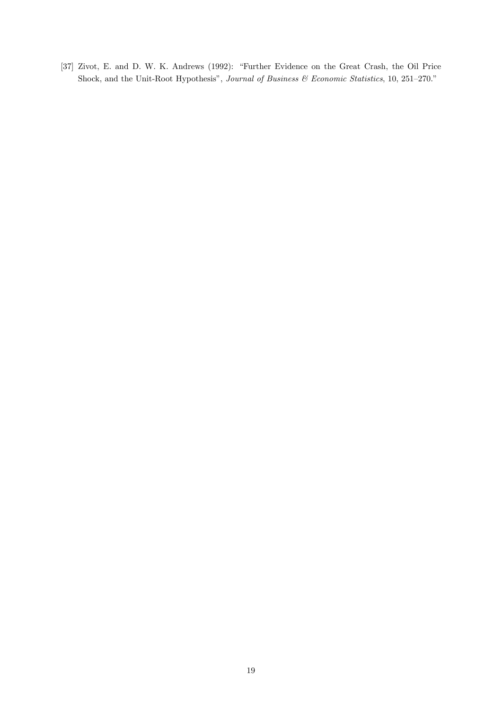[37] Zivot, E. and D. W. K. Andrews (1992): "Further Evidence on the Great Crash, the Oil Price Shock, and the Unit-Root Hypothesis", Journal of Business & Economic Statistics, 10, 251-270."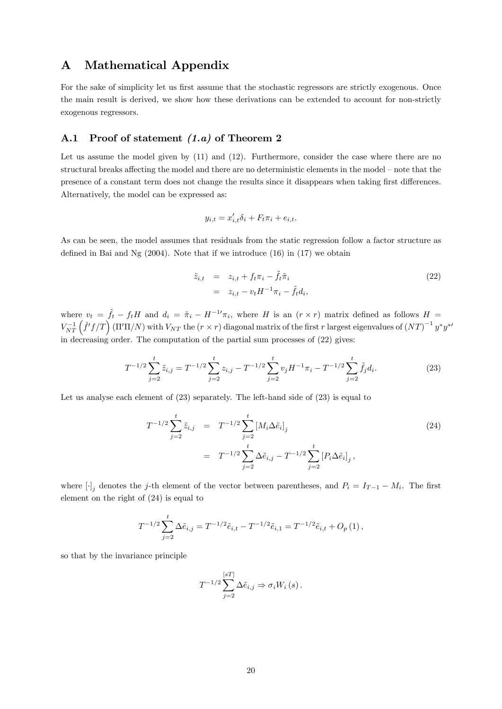## A Mathematical Appendix

For the sake of simplicity let us first assume that the stochastic regressors are strictly exogenous. Once the main result is derived, we show how these derivations can be extended to account for non-strictly exogenous regressors.

## A.1 Proof of statement  $(1.a)$  of Theorem 2

Let us assume the model given by  $(11)$  and  $(12)$ . Furthermore, consider the case where there are no structural breaks affecting the model and there are no deterministic elements in the model – note that the presence of a constant term does not change the results since it disappears when taking first differences. Alternatively, the model can be expressed as:

$$
y_{i,t} = x'_{i,t} \delta_i + F_t \pi_i + e_{i,t}.
$$

As can be seen, the model assumes that residuals from the static regression follow a factor structure as defined in Bai and Ng  $(2004)$ . Note that if we introduce  $(16)$  in  $(17)$  we obtain

$$
\tilde{z}_{i,t} = z_{i,t} + f_t \pi_i - \tilde{f}_t \tilde{\pi}_i
$$
\n
$$
= z_{i,t} - v_t H^{-1} \pi_i - \tilde{f}_t d_i,
$$
\n(22)

where  $v_t = \tilde{f}_t - f_t H$  and  $d_i = \tilde{\pi}_i - H^{-1} \pi_i$ , where H is an  $(r \times r)$  matrix defined as follows  $H =$  $V_{NT}^{-1}(\hat{f}'f/T)(\Pi'\Pi/N)$  with  $V_{NT}$  the  $(r \times r)$  diagonal matrix of the first r largest eigenvalues of  ${(NT)}^{-1}y^*y^*$ in decreasing order. The computation of the partial sum processes of (22) gives:

$$
T^{-1/2} \sum_{j=2}^{t} \tilde{z}_{i,j} = T^{-1/2} \sum_{j=2}^{t} z_{i,j} - T^{-1/2} \sum_{j=2}^{t} v_j H^{-1} \pi_i - T^{-1/2} \sum_{j=2}^{t} \tilde{f}_j d_i.
$$
 (23)

Let us analyse each element of  $(23)$  separately. The left-hand side of  $(23)$  is equal to

$$
T^{-1/2} \sum_{j=2}^{t} \tilde{z}_{i,j} = T^{-1/2} \sum_{j=2}^{t} [M_i \Delta \tilde{e}_i]_j
$$
  
= 
$$
T^{-1/2} \sum_{j=2}^{t} \Delta \tilde{e}_{i,j} - T^{-1/2} \sum_{j=2}^{t} [P_i \Delta \tilde{e}_i]_j,
$$
 (24)

where  $[\cdot]_j$  denotes the j-th element of the vector between parentheses, and  $P_i = I_{T-1} - M_i$ . The first element on the right of (24) is equal to

$$
T^{-1/2} \sum_{j=2}^{t} \Delta \tilde{e}_{i,j} = T^{-1/2} \tilde{e}_{i,t} - T^{-1/2} \tilde{e}_{i,1} = T^{-1/2} \tilde{e}_{i,t} + O_p(1),
$$

so that by the invariance principle

$$
T^{-1/2} \sum_{j=2}^{[sT]} \Delta \tilde{e}_{i,j} \Rightarrow \sigma_i W_i (s).
$$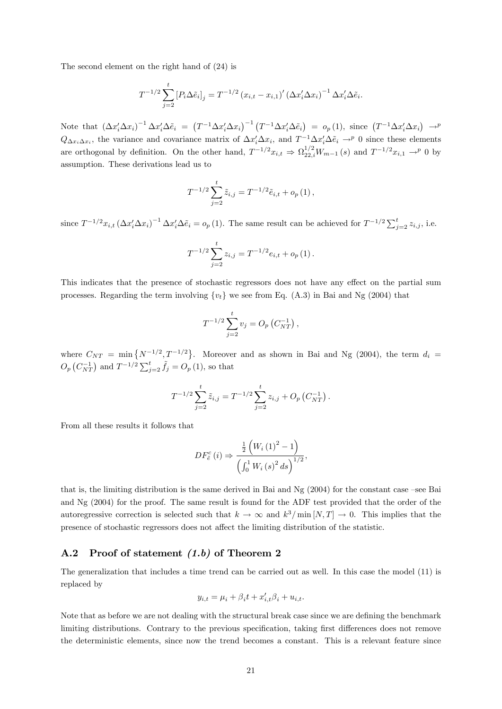The second element on the right hand of (24) is

$$
T^{-1/2} \sum_{j=2}^{t} \left[ P_i \Delta \tilde{e}_i \right]_j = T^{-1/2} \left( x_{i,t} - x_{i,1} \right)' \left( \Delta x_i' \Delta x_i \right)^{-1} \Delta x_i' \Delta \tilde{e}_i.
$$

Note that  $(\Delta x_i' \Delta x_i)^{-1} \Delta x_i' \Delta \tilde{e}_i = (T^{-1} \Delta x_i' \Delta x_i)^{-1} (T^{-1} \Delta x_i' \Delta \tilde{e}_i) = o_p(1)$ , since  $(T^{-1} \Delta x_i' \Delta x_i) \rightarrow^p$  $Q_{\Delta x_i \Delta x_i}$ , the variance and covariance matrix of  $\Delta x_i' \Delta x_i$ , and  $T^{-1} \Delta x_i' \Delta \tilde{e}_i \rightarrow^p 0$  since these elements are orthogonal by definition. On the other hand,  $T^{-1/2}x_{i,t} \Rightarrow \Omega_{22,i}^{1/2}W_{m-1}(s)$  and  $T^{-1/2}x_{i,1} \rightarrow^p 0$  by assumption. These derivations lead us to

$$
T^{-1/2} \sum_{j=2}^{t} \tilde{z}_{i,j} = T^{-1/2} \tilde{e}_{i,t} + o_p(1),
$$

since  $T^{-1/2}x_{i,t} (\Delta x_i' \Delta x_i)^{-1} \Delta x_i' \Delta \tilde{e}_i = o_p(1)$ . The same result can be achieved for  $T^{-1/2} \sum_{j=2}^t z_{i,j}$ , i.e.

$$
T^{-1/2} \sum_{j=2}^{t} z_{i,j} = T^{-1/2} e_{i,t} + o_p(1).
$$

This indicates that the presence of stochastic regressors does not have any effect on the partial sum processes. Regarding the term involving  $\{v_t\}$  we see from Eq. (A.3) in Bai and Ng (2004) that

$$
T^{-1/2} \sum_{j=2}^{t} v_j = O_p(C_{NT}^{-1}),
$$

where  $C_{NT} = \min\{N^{-1/2}, T^{-1/2}\}\.$  Moreover and as shown in Bai and Ng (2004), the term  $d_i =$  $O_p(C_{NT}^{-1})$  and  $T^{-1/2} \sum_{j=2}^{t} \tilde{f}_j = O_p(1)$ , so that

$$
T^{-1/2} \sum_{j=2}^{t} \tilde{z}_{i,j} = T^{-1/2} \sum_{j=2}^{t} z_{i,j} + O_p(C_{NT}^{-1}).
$$

From all these results it follows that

$$
DF_{\tilde{e}}^{c}(i) \Rightarrow \frac{\frac{1}{2} \left( W_{i} (1)^{2} - 1 \right)}{\left( \int_{0}^{1} W_{i} (s)^{2} ds \right)^{1/2}},
$$

that is, the limiting distribution is the same derived in Bai and Ng  $(2004)$  for the constant case –see Bai and Ng (2004) for the proof. The same result is found for the ADF test provided that the order of the autoregressive correction is selected such that  $k \to \infty$  and  $k^3/\min[N,T] \to 0$ . This implies that the presence of stochastic regressors does not a§ect the limiting distribution of the statistic.

#### A.2 Proof of statement (1.b) of Theorem 2

The generalization that includes a time trend can be carried out as well. In this case the model (11) is replaced by

$$
y_{i,t} = \mu_i + \beta_i t + x'_{i,t}\beta_i + u_{i,t}.
$$

Note that as before we are not dealing with the structural break case since we are defining the benchmark limiting distributions. Contrary to the previous specification, taking first differences does not remove the deterministic elements, since now the trend becomes a constant. This is a relevant feature since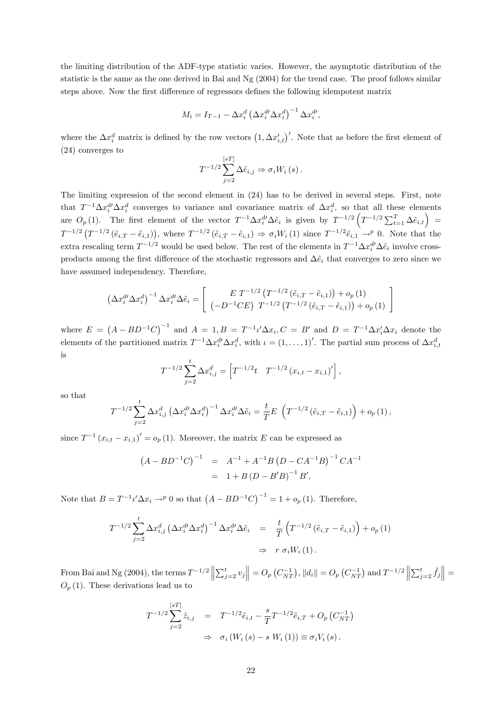the limiting distribution of the ADF-type statistic varies. However, the asymptotic distribution of the statistic is the same as the one derived in Bai and Ng (2004) for the trend case. The proof follows similar steps above. Now the first difference of regressors defines the following idempotent matrix

$$
M_i = I_{T-1} - \Delta x_i^d \left(\Delta x_i^{d\prime} \Delta x_i^d\right)^{-1} \Delta x_i^{d\prime},
$$

where the  $\Delta x_i^d$  matrix is defined by the row vectors  $(1, \Delta x_{i,t}')'$ . Note that as before the first element of (24) converges to

$$
T^{-1/2} \sum_{j=2}^{[sT]} \Delta \tilde{e}_{i,j} \Rightarrow \sigma_i W_i (s).
$$

The limiting expression of the second element in (24) has to be derived in several steps. First, note that  $T^{-1}\Delta x_i^d \Delta x_i^d$  converges to variance and covariance matrix of  $\Delta x_i^d$ , so that all these elements are  $O_p(1)$ . The first element of the vector  $T^{-1}\Delta x_i^{d} \Delta \tilde{e}_i$  is given by  $T^{-1/2} \left(T^{-1/2}\sum_{t=1}^T \Delta \tilde{e}_{i,t}\right)$  $T^{-1/2}(\tilde{r}_{i,T} - \tilde{e}_{i,1}),$  where  $T^{-1/2}(\tilde{e}_{i,T} - \tilde{e}_{i,1}) \Rightarrow \sigma_i W_i(1)$  since  $T^{-1/2}\tilde{e}_{i,1} \rightarrow^p 0$ . Note that the extra rescaling term  $T^{-1/2}$  would be used below. The rest of the elements in  $T^{-1}\Delta x_i^{d'}\Delta \tilde{e}_i$  involve crossproducts among the first difference of the stochastic regressors and  $\Delta\tilde{e}_i$  that converges to zero since we have assumed independency. Therefore,

$$
\left(\Delta x_{i}^{d} \Delta x_{i}^{d}\right)^{-1} \Delta x_{i}^{d} \Delta \tilde{e}_{i} = \left[\begin{array}{cc} E T^{-1/2} \left(T^{-1/2} \left(\tilde{e}_{i,T} - \tilde{e}_{i,1}\right)\right) + o_{p}\left(1\right) \\ \left(-D^{-1} C E\right) T^{-1/2} \left(T^{-1/2} \left(\tilde{e}_{i,T} - \tilde{e}_{i,1}\right)\right) + o_{p}\left(1\right) \end{array}\right]
$$

where  $E = (A - BD^{-1}C)^{-1}$  and  $A = 1, B = T^{-1} \iota' \Delta x_i, C = B'$  and  $D = T^{-1} \Delta x_i' \Delta x_i$  denote the elements of the partitioned matrix  $T^{-1}\Delta x_i^d \Delta x_i^d$ , with  $\iota = (1,\ldots,1)'$ . The partial sum process of  $\Delta x_{i,t}^d$ is

$$
T^{-1/2} \sum_{j=2}^{t} \Delta x_{i,j}^{d} = \left[ T^{-1/2} t \quad T^{-1/2} \left( x_{i,t} - x_{i,1} \right)' \right],
$$

so that

$$
T^{-1/2} \sum_{j=2}^{t} \Delta x_{i,j}^{d} \left( \Delta x_{i}^{d \prime} \Delta x_{i}^{d} \right)^{-1} \Delta x_{i}^{d \prime} \Delta \tilde{e}_{i} = \frac{t}{T} E \left( T^{-1/2} \left( \tilde{e}_{i,T} - \tilde{e}_{i,1} \right) \right) + o_{p}(1),
$$

since  $T^{-1} (x_{i,t} - x_{i,1})' = o_p(1)$ . Moreover, the matrix E can be expressed as

$$
(A - BD^{-1}C)^{-1} = A^{-1} + A^{-1}B(D - CA^{-1}B)^{-1}CA^{-1}
$$
  
= 1 + B(D - B'B)<sup>-1</sup>B'.

Note that  $B = T^{-1} \iota' \Delta x_i \rightarrow^p 0$  so that  $(A - BD^{-1}C)^{-1} = 1 + o_p(1)$ . Therefore,

$$
T^{-1/2} \sum_{j=2}^{t} \Delta x_{i,j}^{d} \left( \Delta x_{i}^{d\prime} \Delta x_{i}^{d} \right)^{-1} \Delta x_{i}^{d\prime} \Delta \tilde{e}_{i} = \frac{t}{T} \left( T^{-1/2} \left( \tilde{e}_{i,T} - \tilde{e}_{i,1} \right) \right) + o_{p}(1)
$$
  

$$
\Rightarrow r \sigma_{i} W_{i}(1).
$$

From Bai and Ng (2004), the terms  $T^{-1/2} \left\| \sum_{j=2}^{t} v_j \right\| = O_p(C_{NT}^{-1})$ ,  $\|d_i\| = O_p(C_{NT}^{-1})$  and  $T^{-1/2} \left\| \sum_{j=2}^{t} \tilde{f}_j \right\| = O_p(C_{NT}^{-1})$  $O_p(1)$ . These derivations lead us to

$$
T^{-1/2} \sum_{j=2}^{[sT]} \tilde{z}_{i,j} = T^{-1/2} \tilde{e}_{i,t} - \frac{s}{T} T^{-1/2} \tilde{e}_{i,T} + O_p(C_{NT}^{-1})
$$
  

$$
\Rightarrow \sigma_i (W_i(s) - s W_i(1)) \equiv \sigma_i V_i(s).
$$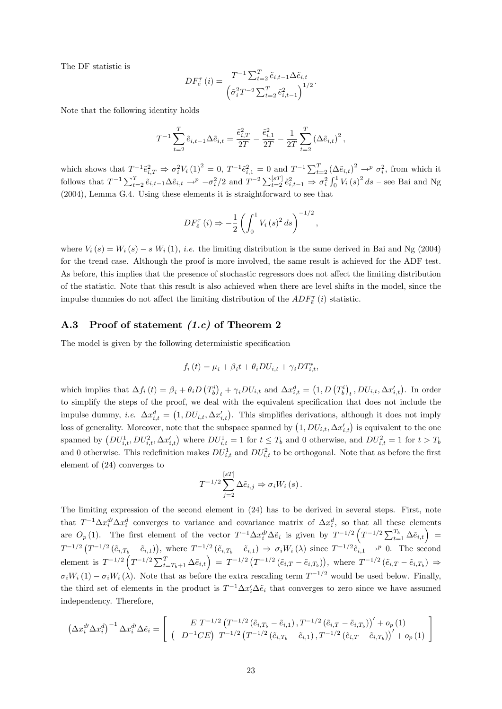The DF statistic is

$$
DF_{\tilde{e}}^{\tau}(i) = \frac{T^{-1} \sum_{t=2}^{T} \tilde{e}_{i,t-1} \Delta \tilde{e}_{i,t}}{\left(\tilde{\sigma}_i^2 T^{-2} \sum_{t=2}^{T} \tilde{e}_{i,t-1}^2\right)^{1/2}}.
$$

Note that the following identity holds

$$
T^{-1} \sum_{t=2}^{T} \tilde{e}_{i,t-1} \Delta \tilde{e}_{i,t} = \frac{\tilde{e}_{i,T}^2}{2T} - \frac{\tilde{e}_{i,1}^2}{2T} - \frac{1}{2T} \sum_{t=2}^{T} (\Delta \tilde{e}_{i,t})^2,
$$

which shows that  $T^{-1} \hat{e}_{i,T}^2 \Rightarrow \sigma_i^2 V_i (1)^2 = 0$ ,  $T^{-1} \hat{e}_{i,1}^2 = 0$  and  $T^{-1} \sum_{t=2}^T (\Delta \tilde{e}_{i,t})^2 \rightarrow^p \sigma_i^2$ , from which it follows that  $T^{-1} \sum_{t=2}^{T} \tilde{e}_{i,t-1} \Delta \tilde{e}_{i,t} \rightarrow^p -\sigma_i^2/2$  and  $T^{-2} \sum_{t=2}^{[sT]} \tilde{e}_{i,t-1}^2 \Rightarrow \sigma_i^2 \int_0^1 V_i(s)^2 ds$  – see Bai and Ng (2004), Lemma G.4. Using these elements it is straightforward to see that

$$
DF_{\tilde{e}}^{\tau}(i) \Rightarrow -\frac{1}{2} \left( \int_0^1 V_i(s)^2 ds \right)^{-1/2},
$$

where  $V_i(s) = W_i(s) - s W_i(1)$ , *i.e.* the limiting distribution is the same derived in Bai and Ng (2004) for the trend case. Although the proof is more involved, the same result is achieved for the ADF test. As before, this implies that the presence of stochastic regressors does not affect the limiting distribution of the statistic. Note that this result is also achieved when there are level shifts in the model, since the impulse dummies do not affect the limiting distribution of the  $ADF_{\tilde{e}}^{\tau}(i)$  statistic.

#### A.3 Proof of statement  $(1.c)$  of Theorem 2

The model is given by the following deterministic specification

$$
f_i(t) = \mu_i + \beta_i t + \theta_i DU_{i,t} + \gamma_i DT_{i,t}^*,
$$

which implies that  $\Delta f_i (t) = \beta_i + \theta_i D (T_b^i)_t + \gamma_i DU_{i,t}$  and  $\Delta x_{i,t}^d = (1, D (T_b^i)_t, DU_{i,t}, \Delta x_{i,t}^{\prime})$ . In order to simplify the steps of the proof, we deal with the equivalent specification that does not include the impulse dummy, *i.e.*  $\Delta x_{i,t}^d = (1, DU_{i,t}, \Delta x_{i,t}^t)$ . This simplifies derivations, although it does not imply loss of generality. Moreover, note that the subspace spanned by  $(1, DU_{i,t}, \Delta x'_{i,t})$  is equivalent to the one spanned by  $(DU_{i,t}^1, DU_{i,t}^2, \Delta x'_{i,t})$  where  $DU_{i,t}^1 = 1$  for  $t \leq T_b$  and 0 otherwise, and  $DU_{i,t}^2 = 1$  for  $t > T_b$ and 0 otherwise. This redefinition makes  $DU_{i,t}^1$  and  $DU_{i,t}^2$  to be orthogonal. Note that as before the first element of (24) converges to

$$
T^{-1/2} \sum_{j=2}^{[sT]} \Delta \tilde{e}_{i,j} \Rightarrow \sigma_i W_i (s).
$$

The limiting expression of the second element in (24) has to be derived in several steps. First, note that  $T^{-1}\Delta x_i^d \Delta x_i^d$  converges to variance and covariance matrix of  $\Delta x_i^d$ , so that all these elements are  $O_p(1)$ . The first element of the vector  $T^{-1}\Delta x_i^{d'}\Delta \tilde{e}_i$  is given by  $T^{-1/2}\left(T^{-1/2}\sum_{t=1}^{T_b}\Delta \tilde{e}_{i,t}\right)$  $T^{-1/2} \left( T^{-1/2} \left( \tilde{e}_{i,T_b} - \tilde{e}_{i,1} \right) \right)$ , where  $T^{-1/2} \left( \tilde{e}_{i,T_b} - \tilde{e}_{i,1} \right) \Rightarrow \sigma_i W_i(\lambda)$  since  $T^{-1/2} \tilde{e}_{i,1} \rightarrow^p 0$ . The second element is  $T^{-1/2} \left( T^{-1/2} \sum_{t=T_b+1}^{T} \Delta \tilde{e}_{i,t} \right) = T^{-1/2} \left( T^{-1/2} \left( \tilde{e}_{i,T} - \tilde{e}_{i,T_b} \right) \right)$ , where  $T^{-1/2} \left( \tilde{e}_{i,T} - \tilde{e}_{i,T_b} \right) \Rightarrow$  $\sigma_iW_i (1) - \sigma_iW_i (\lambda)$ . Note that as before the extra rescaling term  $T^{-1/2}$  would be used below. Finally, the third set of elements in the product is  $T^{-1}\Delta x_i^{\prime} \Delta \tilde{e}_i$  that converges to zero since we have assumed independency. Therefore,

$$
\left(\Delta x_{i}^{d} \Delta x_{i}^{d}\right)^{-1} \Delta x_{i}^{d} \Delta \tilde{e}_{i} = \left[\begin{array}{cc} E T^{-1/2} \left(T^{-1/2} \left(\tilde{e}_{i,T_{b}} - \tilde{e}_{i,1}\right), T^{-1/2} \left(\tilde{e}_{i,T} - \tilde{e}_{i,T_{b}}\right)\right)' + o_{p} \left(1\right) \\ \left(-D^{-1} C E\right) T^{-1/2} \left(T^{-1/2} \left(\tilde{e}_{i,T_{b}} - \tilde{e}_{i,1}\right), T^{-1/2} \left(\tilde{e}_{i,T} - \tilde{e}_{i,T_{b}}\right)\right)' + o_{p} \left(1\right) \end{array}\right]
$$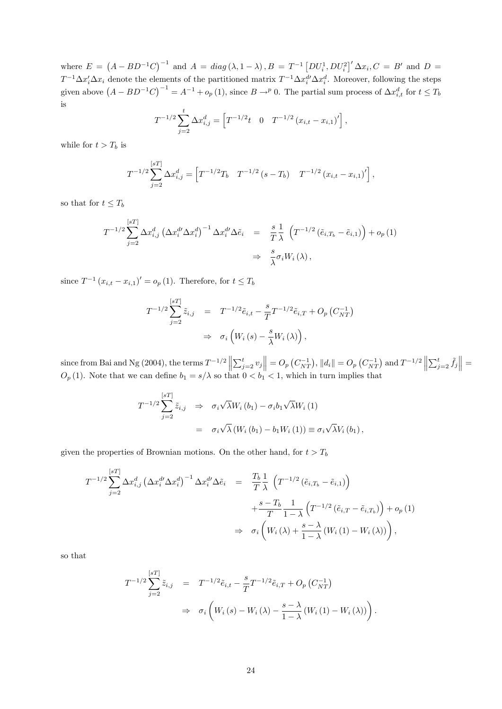where  $E = (A - BD^{-1}C)^{-1}$  and  $A = diag(\lambda, 1 - \lambda), B = T^{-1} [DU_i^1, DU_i^2]' \Delta x_i, C = B'$  and  $D =$  $T^{-1}\Delta x_i'\Delta x_i$  denote the elements of the partitioned matrix  $T^{-1}\Delta x_i^{d'}\Delta x_i^d$ . Moreover, following the steps given above  $(A - BD^{-1}C)^{-1} = A^{-1} + o_p(1)$ , since  $B \to^p 0$ . The partial sum process of  $\Delta x_{i,t}^d$  for  $t \le T_b$ is

$$
T^{-1/2} \sum_{j=2}^{t} \Delta x_{i,j}^{d} = \left[ T^{-1/2} t \quad 0 \quad T^{-1/2} \left( x_{i,t} - x_{i,1} \right)' \right],
$$

while for  $t > T_b$  is

$$
T^{-1/2} \sum_{j=2}^{[sT]} \Delta x_{i,j}^d = \left[ T^{-1/2} T_b \quad T^{-1/2} \left( s - T_b \right) \quad T^{-1/2} \left( x_{i,t} - x_{i,1} \right)' \right],
$$

so that for  $t \leq T_b$ 

$$
T^{-1/2} \sum_{j=2}^{[sT]} \Delta x_{i,j}^d \left(\Delta x_i^{d'} \Delta x_i^d\right)^{-1} \Delta x_i^{d'} \Delta \tilde{e}_i = \frac{s}{T} \frac{1}{\lambda} \left(T^{-1/2} \left(\tilde{e}_{i,T_b} - \tilde{e}_{i,1}\right)\right) + o_p(1)
$$
  

$$
\Rightarrow \frac{s}{\lambda} \sigma_i W_i(\lambda),
$$

since  $T^{-1} (x_{i,t} - x_{i,1})' = o_p(1)$ . Therefore, for  $t \le T_b$ 

$$
T^{-1/2} \sum_{j=2}^{[sT]} \tilde{z}_{i,j} = T^{-1/2} \tilde{e}_{i,t} - \frac{s}{T} T^{-1/2} \tilde{e}_{i,T} + O_p(C_{NT}^{-1})
$$
  

$$
\Rightarrow \sigma_i \left( W_i(s) - \frac{s}{\lambda} W_i(\lambda) \right),
$$

since from Bai and Ng (2004), the terms  $T^{-1/2}$   $\left\|\sum_{j=2}^t v_j\right\| = O_p(C_{NT}^{-1})$ ,  $\|d_i\| = O_p(C_{NT}^{-1})$  and  $T^{-1/2}$   $\left\|\sum_{j=2}^t \tilde{f}_j\right\| = O_p(C_{NT}^{-1})$  $O_p(1)$ . Note that we can define  $b_1 = s/\lambda$  so that  $0 < b_1 < 1$ , which in turn implies that

$$
T^{-1/2} \sum_{j=2}^{[sT]} \tilde{z}_{i,j} \Rightarrow \sigma_i \sqrt{\lambda} W_i (b_1) - \sigma_i b_1 \sqrt{\lambda} W_i (1)
$$
  
=  $\sigma_i \sqrt{\lambda} (W_i (b_1) - b_1 W_i (1)) \equiv \sigma_i \sqrt{\lambda} V_i (b_1),$ 

given the properties of Brownian motions. On the other hand, for  $t > T_b$ 

$$
T^{-1/2} \sum_{j=2}^{[sT]} \Delta x_{i,j}^d \left(\Delta x_i^{d\prime} \Delta x_i^d\right)^{-1} \Delta x_i^{d\prime} \Delta \tilde{e}_i = \frac{T_b}{T} \frac{1}{\lambda} \left(T^{-1/2} \left(\tilde{e}_{i,T_b} - \tilde{e}_{i,1}\right)\right)
$$
  

$$
+ \frac{s - T_b}{T} \frac{1}{1 - \lambda} \left(T^{-1/2} \left(\tilde{e}_{i,T} - \tilde{e}_{i,T_b}\right)\right) + o_p(1)
$$
  

$$
\Rightarrow \sigma_i \left(W_i(\lambda) + \frac{s - \lambda}{1 - \lambda} \left(W_i(1) - W_i(\lambda)\right)\right),
$$

so that

$$
T^{-1/2} \sum_{j=2}^{[sT]} \tilde{z}_{i,j} = T^{-1/2} \tilde{e}_{i,t} - \frac{s}{T} T^{-1/2} \tilde{e}_{i,T} + O_p(C_{NT}^{-1})
$$
  

$$
\Rightarrow \sigma_i \left( W_i(s) - W_i(\lambda) - \frac{s - \lambda}{1 - \lambda} (W_i(1) - W_i(\lambda)) \right).
$$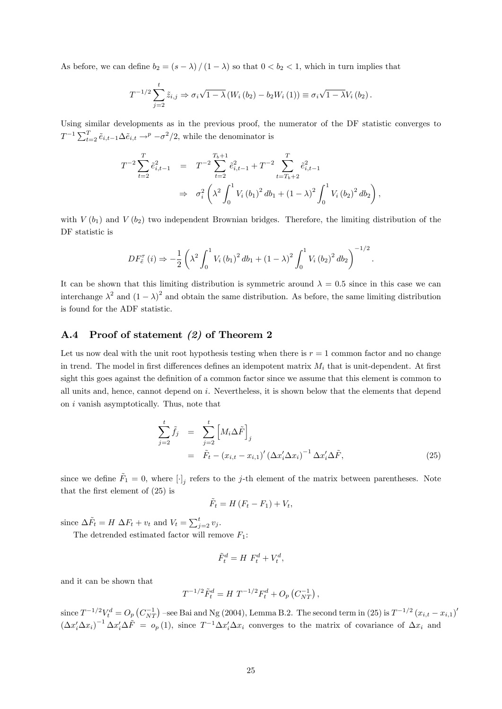As before, we can define  $b_2 = (s - \lambda) / (1 - \lambda)$  so that  $0 < b_2 < 1$ , which in turn implies that

$$
T^{-1/2} \sum_{j=2}^{t} \tilde{z}_{i,j} \Rightarrow \sigma_i \sqrt{1 - \lambda} \left( W_i \left( b_2 \right) - b_2 W_i \left( 1 \right) \right) \equiv \sigma_i \sqrt{1 - \lambda} V_i \left( b_2 \right).
$$

Using similar developments as in the previous proof, the numerator of the DF statistic converges to  $T^{-1} \sum_{t=2}^{T} \tilde{e}_{i,t-1} \Delta \tilde{e}_{i,t} \rightarrow^p -\sigma^2/2$ , while the denominator is

$$
T^{-2} \sum_{t=2}^{T} \tilde{e}_{i,t-1}^{2} = T^{-2} \sum_{t=2}^{T_{b+1}} \tilde{e}_{i,t-1}^{2} + T^{-2} \sum_{t=T_{b+2}}^{T} \tilde{e}_{i,t-1}^{2}
$$
  

$$
\Rightarrow \sigma_{i}^{2} \left( \lambda^{2} \int_{0}^{1} V_{i} (b_{1})^{2} db_{1} + (1 - \lambda)^{2} \int_{0}^{1} V_{i} (b_{2})^{2} db_{2} \right),
$$

with  $V(b_1)$  and  $V(b_2)$  two independent Brownian bridges. Therefore, the limiting distribution of the DF statistic is

$$
DF_{\tilde{e}}^{\tau}(i) \Rightarrow -\frac{1}{2} \left( \lambda^2 \int_0^1 V_i (b_1)^2 db_1 + (1 - \lambda)^2 \int_0^1 V_i (b_2)^2 db_2 \right)^{-1/2}.
$$

It can be shown that this limiting distribution is symmetric around  $\lambda = 0.5$  since in this case we can interchange  $\lambda^2$  and  $(1-\lambda)^2$  and obtain the same distribution. As before, the same limiting distribution is found for the ADF statistic.

#### A.4 Proof of statement (2) of Theorem 2

Let us now deal with the unit root hypothesis testing when there is  $r = 1$  common factor and no change in trend. The model in first differences defines an idempotent matrix  $M_i$  that is unit-dependent. At first sight this goes against the definition of a common factor since we assume that this element is common to all units and, hence, cannot depend on i. Nevertheless, it is shown below that the elements that depend on i vanish asymptotically. Thus, note that

$$
\sum_{j=2}^{t} \tilde{f}_{j} = \sum_{j=2}^{t} \left[ M_{i} \Delta \tilde{F} \right]_{j}
$$
\n
$$
= \tilde{F}_{t} - \left( x_{i,t} - x_{i,1} \right)' \left( \Delta x_{i}' \Delta x_{i} \right)^{-1} \Delta x_{i}' \Delta \tilde{F}, \qquad (25)
$$

since we define  $\tilde{F}_1 = 0$ , where  $[\cdot]_j$  refers to the j-th element of the matrix between parentheses. Note that the first element of  $(25)$  is

$$
\tilde{F}_t = H(F_t - F_1) + V_t,
$$

since  $\Delta \tilde{F}_t = H \Delta F_t + v_t$  and  $V_t = \sum_{j=2}^t v_j$ .

The detrended estimated factor will remove  $F_1$ :

$$
\tilde{F}_t^d = H \ F_t^d + V_t^d,
$$

and it can be shown that

$$
T^{-1/2}\tilde{F}_t^d = H T^{-1/2}F_t^d + O_p(C_{NT}^{-1}),
$$

since  $T^{-1/2}V_t^d = O_p(C_{NT}^{-1})$  -see Bai and Ng (2004), Lemma B.2. The second term in (25) is  $T^{-1/2}(x_{i,t} - x_{i,1})'$  $(\Delta x_i' \Delta x_i)^{-1} \Delta x_i' \Delta \tilde{F} = o_p(1)$ , since  $T^{-1} \Delta x_i' \Delta x_i$  converges to the matrix of covariance of  $\Delta x_i$  and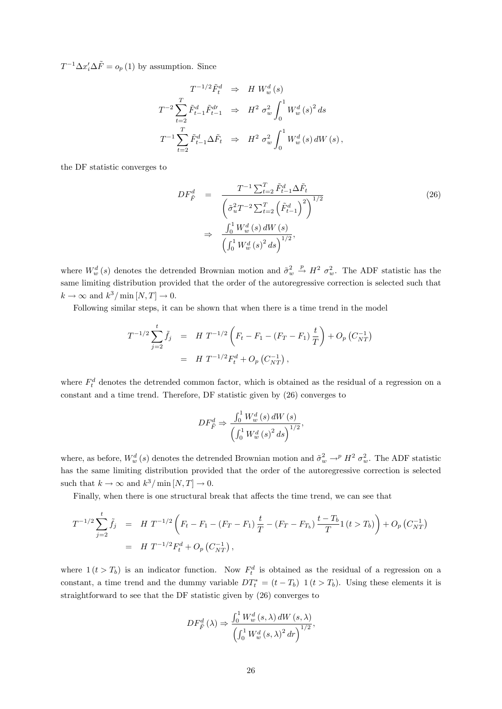$T^{-1} \Delta x_i' \Delta \tilde{F} = o_p(1)$  by assumption. Since

$$
T^{-1/2} \tilde{F}_t^d \Rightarrow H W_w^d (s)
$$
  
\n
$$
T^{-2} \sum_{t=2}^T \tilde{F}_{t-1}^d \tilde{F}_{t-1}^d \Rightarrow H^2 \sigma_w^2 \int_0^1 W_w^d (s)^2 ds
$$
  
\n
$$
T^{-1} \sum_{t=2}^T \tilde{F}_{t-1}^d \Delta \tilde{F}_t \Rightarrow H^2 \sigma_w^2 \int_0^1 W_w^d (s) dW (s),
$$

the DF statistic converges to

$$
DF_{\tilde{F}}^d = \frac{T^{-1} \sum_{t=2}^T \tilde{F}_{t-1}^d \Delta \tilde{F}_t}{\left(\tilde{\sigma}_u^2 T^{-2} \sum_{t=2}^T \left(\tilde{F}_{t-1}^d\right)^2\right)^{1/2}}
$$
\n
$$
\Rightarrow \frac{\int_0^1 W_w^d(s) dW(s)}{\left(\int_0^1 W_w^d(s)^2 ds\right)^{1/2}},
$$
\n(26)

where  $W_w^d(s)$  denotes the detrended Brownian motion and  $\tilde{\sigma}_w^2$  $\stackrel{p}{\rightarrow} H^2 \sigma_w^2$ . The ADF statistic has the same limiting distribution provided that the order of the autoregressive correction is selected such that  $k \to \infty$  and  $k^3 / \min[N, T] \to 0$ .

Following similar steps, it can be shown that when there is a time trend in the model

$$
T^{-1/2} \sum_{j=2}^{t} \tilde{f}_{j} = H T^{-1/2} \left( F_{t} - F_{1} - (F_{T} - F_{1}) \frac{t}{T} \right) + O_{p} \left( C_{NT}^{-1} \right)
$$
  
=  $H T^{-1/2} F_{t}^{d} + O_{p} \left( C_{NT}^{-1} \right),$ 

where  $F_t^d$  denotes the detrended common factor, which is obtained as the residual of a regression on a constant and a time trend. Therefore, DF statistic given by (26) converges to

$$
DF_{\tilde{F}}^d \Rightarrow \frac{\int_0^1 W_w^d(s) dW(s)}{\left(\int_0^1 W_w^d(s)^2 ds\right)^{1/2}},
$$

where, as before,  $W_w^d(s)$  denotes the detrended Brownian motion and  $\tilde{\sigma}_w^2 \to^p H^2 \sigma_w^2$ . The ADF statistic has the same limiting distribution provided that the order of the autoregressive correction is selected such that  $k \to \infty$  and  $k^3/\min[N,T] \to 0$ .

Finally, when there is one structural break that affects the time trend, we can see that

$$
T^{-1/2} \sum_{j=2}^{t} \tilde{f}_{j} = H T^{-1/2} \left( F_{t} - F_{1} - (F_{T} - F_{1}) \frac{t}{T} - (F_{T} - F_{T_{b}}) \frac{t - T_{b}}{T} \mathbb{1} (t > T_{b}) \right) + O_{p} \left( C_{NT}^{-1} \right)
$$
  
=  $H T^{-1/2} F_{t}^{d} + O_{p} \left( C_{NT}^{-1} \right),$ 

where  $1 (t > T_b)$  is an indicator function. Now  $F_t^d$  is obtained as the residual of a regression on a constant, a time trend and the dummy variable  $DT_t^* = (t - T_b) 1 (t > T_b)$ . Using these elements it is straightforward to see that the DF statistic given by (26) converges to

$$
DF_{\tilde{F}}^d\left(\lambda\right) \Rightarrow \frac{\int_0^1 W_w^d\left(s,\lambda\right)dW\left(s,\lambda\right)}{\left(\int_0^1 W_w^d\left(s,\lambda\right)^2 dr\right)^{1/2}},
$$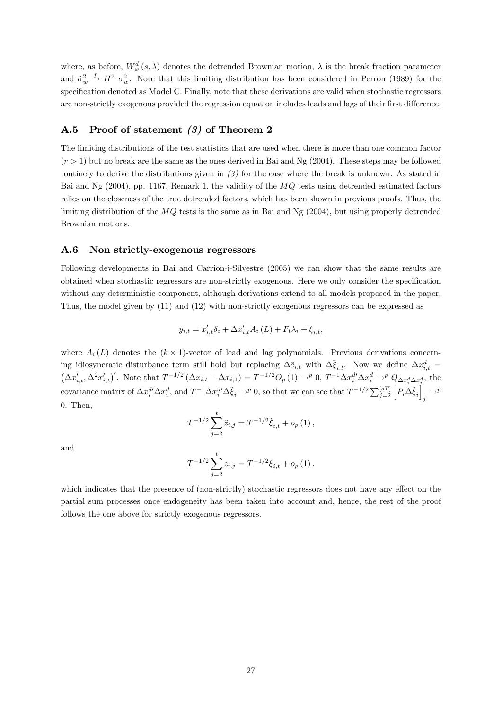where, as before,  $W_w^d(s, \lambda)$  denotes the detrended Brownian motion,  $\lambda$  is the break fraction parameter and  $\tilde{\sigma}_w^2$  $\stackrel{p}{\rightarrow} H^2$   $\sigma_w^2$ . Note that this limiting distribution has been considered in Perron (1989) for the specification denoted as Model C. Finally, note that these derivations are valid when stochastic regressors are non-strictly exogenous provided the regression equation includes leads and lags of their first difference.

#### A.5 Proof of statement (3) of Theorem 2

The limiting distributions of the test statistics that are used when there is more than one common factor  $(r > 1)$  but no break are the same as the ones derived in Bai and Ng (2004). These steps may be followed routinely to derive the distributions given in (3) for the case where the break is unknown. As stated in Bai and Ng  $(2004)$ , pp. 1167, Remark 1, the validity of the  $MQ$  tests using detrended estimated factors relies on the closeness of the true detrended factors, which has been shown in previous proofs. Thus, the limiting distribution of the  $MQ$  tests is the same as in Bai and Ng  $(2004)$ , but using properly detrended Brownian motions.

#### A.6 Non strictly-exogenous regressors

Following developments in Bai and Carrion-i-Silvestre (2005) we can show that the same results are obtained when stochastic regressors are non-strictly exogenous. Here we only consider the specification without any deterministic component, although derivations extend to all models proposed in the paper. Thus, the model given by (11) and (12) with non-strictly exogenous regressors can be expressed as

$$
y_{i,t} = x'_{i,t}\delta_i + \Delta x'_{i,t}A_i(L) + F_t\lambda_i + \xi_{i,t},
$$

where  $A_i(L)$  denotes the  $(k \times 1)$ -vector of lead and lag polynomials. Previous derivations concerning idiosyncratic disturbance term still hold but replacing  $\Delta \tilde{e}_{i,t}$  with  $\Delta \tilde{\xi}_{i,t}$ . Now we define  $\Delta x_{i,t}^d$  $\left(\Delta x'_{i,t},\Delta^2 x'_{i,t}\right)'$ . Note that  $T^{-1/2}\left(\Delta x_{i,t}-\Delta x_{i,1}\right)=T^{-1/2}O_p\left(1\right)\rightarrow^p 0$ ,  $T^{-1}\Delta x_i^{d'}\Delta x_i^d\rightarrow^p Q_{\Delta x_i^d\Delta x_i^d}$ , the covariance matrix of  $\Delta x_i^d \Delta x_i^d$ , and  $T^{-1} \Delta x_i^d \Delta \tilde{\xi}_i \rightarrow^p 0$ , so that we can see that  $T^{-1/2} \sum_{j=2}^{[sT]} \left[ P_i \Delta \tilde{\xi}_i \right]$  $j \stackrel{\longrightarrow p}{\longrightarrow}$ 0. Then,

$$
T^{-1/2} \sum_{j=2}^{t} \tilde{z}_{i,j} = T^{-1/2} \tilde{\xi}_{i,t} + o_p(1),
$$

and

$$
T^{-1/2} \sum_{j=2}^{t} z_{i,j} = T^{-1/2} \xi_{i,t} + o_p(1),
$$

which indicates that the presence of (non-strictly) stochastic regressors does not have any effect on the partial sum processes once endogeneity has been taken into account and, hence, the rest of the proof follows the one above for strictly exogenous regressors.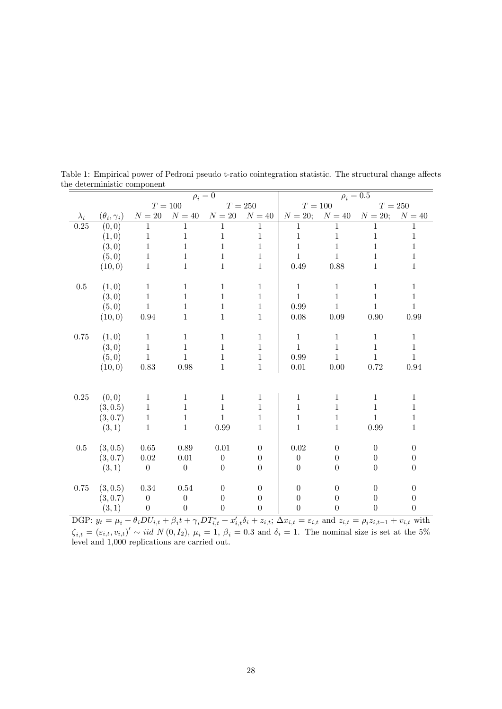|                   |                        |                  |                  | $\rho_i=0$       |                |                |                                | $\rho_i=0.5$     |                  |
|-------------------|------------------------|------------------|------------------|------------------|----------------|----------------|--------------------------------|------------------|------------------|
|                   |                        | $T=100\,$        |                  | $T=250\,$        |                | $T=100\,$      |                                | $T=250$          |                  |
| $\lambda_i$       | $(\theta_i, \gamma_i)$ | ${\cal N}=20$    | $N=40$           | $N=20$           | ${\cal N}=40$  |                | $N = 20$ ; $N = 40$ $N = 20$ ; |                  | $N=40$           |
| $\overline{0.25}$ | (0,0)                  | 1                | 1                | 1                | 1              | 1              | 1                              | 1                | 1                |
|                   | (1,0)                  | $\mathbf{1}$     | $\mathbf{1}$     | 1                | $\mathbf{1}$   | $\mathbf{1}$   | $\mathbf{1}$                   | 1                | 1                |
|                   | (3,0)                  | $\mathbf{1}$     | $\mathbf{1}$     | $\mathbf 1$      | $\mathbf{1}$   | $\,1\,$        | $\mathbf{1}$                   | $\mathbf{1}$     | $\mathbf{1}$     |
|                   | (5,0)                  | $\mathbf{1}$     | 1                | 1                | $\mathbf{1}$   | $\mathbf{1}$   | $\mathbf{1}$                   | $\mathbf{1}$     | $\mathbf{1}$     |
|                   | (10, 0)                | $\mathbf{1}$     | 1                | $\mathbf{1}$     | $\mathbf{1}$   | 0.49           | 0.88                           | $\mathbf{1}$     | $\mathbf{1}$     |
|                   |                        |                  |                  |                  |                |                |                                |                  |                  |
| $0.5\,$           | (1,0)                  | $1\,$            | $\mathbf{1}$     | $\mathbf{1}$     | $\mathbf{1}$   | $\mathbf{1}$   | $\mathbf{1}$                   | $\mathbf{1}$     | $\mathbf{1}$     |
|                   | (3,0)                  | $\mathbf{1}$     | $\mathbf{1}$     | 1                | $\mathbf{1}$   | $\mathbf{1}$   | $\mathbf{1}$                   | $\mathbf{1}$     | $\mathbf{1}$     |
|                   | (5,0)                  | $\mathbf{1}$     | $\mathbf{1}$     | $\mathbf{1}$     | $\mathbf{1}$   | 0.99           | $\mathbf{1}$                   | $\mathbf{1}$     | $\mathbf{1}$     |
|                   | (10, 0)                | 0.94             | $\mathbf{1}$     | 1                | $\mathbf{1}$   | 0.08           | 0.09                           | 0.90             | 0.99             |
|                   |                        |                  |                  |                  |                |                |                                |                  |                  |
| 0.75              | (1,0)                  | $\mathbf{1}$     | $\mathbf{1}$     | $\mathbf{1}$     | $\mathbf{1}$   | $\mathbf{1}$   | $\mathbf{1}$                   | $\mathbf{1}$     | $\mathbf{1}$     |
|                   | (3,0)                  | $\mathbf{1}$     | $\mathbf{1}$     | $\mathbf{1}$     | $\mathbf{1}$   | $\mathbf{1}$   | $\mathbf 1$                    | $\mathbf{1}$     | $\mathbf{1}$     |
|                   | (5,0)                  | $\mathbf{1}$     | $\mathbf{1}$     | $\mathbf{1}$     | $\,1$          | 0.99           | $\mathbf{1}$                   | $\mathbf{1}$     | $\mathbf{1}$     |
|                   | (10, 0)                | 0.83             | 0.98             | 1                | $\mathbf{1}$   | $0.01\,$       | 0.00                           | 0.72             | 0.94             |
|                   |                        |                  |                  |                  |                |                |                                |                  |                  |
|                   |                        |                  |                  |                  |                |                |                                |                  |                  |
| $0.25\,$          | (0, 0)                 | $\mathbf{1}$     | $\mathbf{1}$     | 1                | $\mathbf{1}$   | $\mathbf{1}$   | $\mathbf{1}$                   | $\mathbf{1}$     | $\mathbf{1}$     |
|                   | (3, 0.5)               | $1\,$            | $\mathbf{1}$     | $\mathbf{1}$     | $\mathbf{1}$   | $\mathbf 1$    | $\mathbf 1$                    | $\mathbf{1}$     | $\mathbf{1}$     |
|                   | (3, 0.7)               | $\,1$            | $\mathbf{1}$     | $\mathbf{1}$     | $\mathbf{1}$   | $\,1\,$        | $\mathbf{1}$                   | $\mathbf{1}$     | $\mathbf{1}$     |
|                   | (3,1)                  | $\mathbf{1}$     | 1                | 0.99             | $\mathbf{1}$   | $\mathbf{1}$   | $\mathbf{1}$                   | 0.99             | $\mathbf{1}$     |
|                   |                        |                  |                  |                  |                |                |                                |                  |                  |
| 0.5               | (3, 0.5)               | 0.65             | 0.89             | 0.01             | $\overline{0}$ | $0.02\,$       | $\boldsymbol{0}$               | $\overline{0}$   | $\theta$         |
|                   | (3, 0.7)               | 0.02             | $0.01\,$         | $\boldsymbol{0}$ | $\overline{0}$ | $\theta$       | $\overline{0}$                 | $\boldsymbol{0}$ | $\overline{0}$   |
|                   | (3, 1)                 | $\theta$         | $\boldsymbol{0}$ | $\boldsymbol{0}$ | $\overline{0}$ | $\overline{0}$ | $\overline{0}$                 | $\overline{0}$   | $\boldsymbol{0}$ |
|                   |                        |                  |                  |                  |                |                |                                |                  |                  |
| 0.75              | (3, 0.5)               | 0.34             | 0.54             | $\theta$         | $\theta$       | $\overline{0}$ | $\theta$                       | $\theta$         | $\theta$         |
|                   | (3, 0.7)               | $\boldsymbol{0}$ | $\overline{0}$   | $\boldsymbol{0}$ | $\overline{0}$ | $\theta$       | $\theta$                       | $\overline{0}$   | $\boldsymbol{0}$ |
|                   | (3, 1)                 | $\boldsymbol{0}$ | $\boldsymbol{0}$ | $\overline{0}$   | $\overline{0}$ | $\overline{0}$ | $\overline{0}$                 | $\overline{0}$   | $\boldsymbol{0}$ |

Table 1: Empirical power of Pedroni pseudo t-ratio cointegration statistic. The structural change affects the deterministic component

DGP:  $y_t = \mu_i + \theta_i DU_{i,t} + \beta_i t + \gamma_i DT_{i,t}^* + x'_{i,t} \delta_i + z_{i,t}$ ;  $\Delta x_{i,t} = \varepsilon_{i,t}$  and  $z_{i,t} = \rho_i z_{i,t-1} + v_{i,t}$  with  $\zeta_{i,t} = (\varepsilon_{i,t}, v_{i,t})' \sim \textit{iid } N(0, I_2), \mu_i = 1, \beta_i = 0.3 \text{ and } \delta_i = 1.$  The nominal size is set at the 5% level and 1,000 replications are carried out.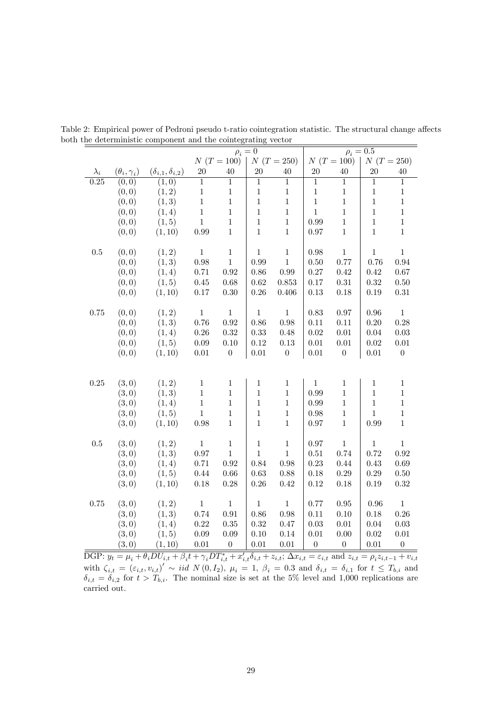|             |                        |                                |                |                  | $\rho_i=0$     |                  |                  |                  | $\rho_i = 0.5$ |                  |
|-------------|------------------------|--------------------------------|----------------|------------------|----------------|------------------|------------------|------------------|----------------|------------------|
|             |                        |                                |                | $N(T = 100)$     |                | $N(T = 250)$     |                  | $N(T = 100)$     |                | $N(T = 250)$     |
| $\lambda_i$ | $(\theta_i, \gamma_i)$ | $(\delta_{i,1}, \delta_{i,2})$ | <b>20</b>      | 40               | 20             | 40               | $20\,$           | 40               | 20             | $40\,$           |
| 0.25        | (0,0)                  | (1,0)                          | $\overline{1}$ | $\overline{1}$   | $\overline{1}$ | $\overline{1}$   | $\overline{1}$   | $\overline{1}$   | $\overline{1}$ | $\overline{1}$   |
|             | (0, 0)                 | (1, 2)                         | $\,1$          | $\,1\,$          | $\mathbf{1}$   | $\,1\,$          | $\,1$            | $\,1$            | $1\,$          | $\,1\,$          |
|             | (0, 0)                 | (1, 3)                         | $\,1\,$        | $\,1\,$          | $\mathbf{1}$   | $\,1\,$          | $\,1$            | $\,1\,$          | $\mathbf 1$    | $\,1\,$          |
|             | (0, 0)                 | (1, 4)                         | $\,1\,$        | $\,1$            | $\mathbf{1}$   | $\,1\,$          | $\,1$            | $\,1\,$          | $\mathbf{1}$   | $\,1\,$          |
|             | (0,0)                  | (1, 5)                         | $\,1\,$        | $\,1\,$          | $\mathbf{1}$   | $\mathbf 1$      | 0.99             | $\,1$            | $\mathbf{1}$   | $\,1$            |
|             | (0, 0)                 | (1, 10)                        | $0.99\,$       | $\mathbf{1}$     | $\mathbf{1}$   | $\,1$            | 0.97             | $\,1$            | $\mathbf{1}$   | $\,1$            |
|             |                        |                                |                |                  |                |                  |                  |                  |                |                  |
| $0.5\,$     | (0, 0)                 | (1, 2)                         | $\,1$          | $\,1\,$          | $\mathbf{1}$   | $\,1\,$          | 0.98             | $\,1$            | $\mathbf{1}$   | $\mathbf 1$      |
|             | (0, 0)                 | (1, 3)                         | 0.98           | $1\,$            | 0.99           | $1\,$            | $0.50\,$         | 0.77             | 0.76           | 0.94             |
|             | (0, 0)                 | (1, 4)                         | 0.71           | $\rm 0.92$       | 0.86           | 0.99             | 0.27             | 0.42             | 0.42           | 0.67             |
|             | (0, 0)                 | (1, 5)                         | $0.45\,$       | 0.68             | $0.62\,$       | 0.853            | $0.17\,$         | $0.31\,$         | $\rm 0.32$     | $0.50\,$         |
|             | (0, 0)                 | (1, 10)                        | $0.17\,$       | $0.30\,$         | $0.26\,$       | 0.406            | $0.13\,$         | 0.18             | 0.19           | $\rm 0.31$       |
|             |                        |                                |                |                  |                |                  |                  |                  |                |                  |
| 0.75        | (0, 0)                 | (1, 2)                         | $\,1$          | $\,1\,$          | $\mathbf{1}$   | $\,1\,$          | $0.83\,$         | 0.97             | 0.96           | $\mathbf 1$      |
|             | (0, 0)                 | (1, 3)                         | 0.76           | $\rm 0.92$       | $0.86\,$       | 0.98             | $0.11\,$         | 0.11             | 0.20           | 0.28             |
|             | (0, 0)                 | (1, 4)                         | $0.26\,$       | $0.32\,$         | 0.33           | 0.48             | 0.02             | $0.01\,$         | 0.04           | $0.03\,$         |
|             | (0,0)                  | (1, 5)                         | $0.09\,$       | $0.10\,$         | $0.12\,$       | $0.13\,$         | $0.01\,$         | $0.01\,$         | $0.02\,$       | $0.01\,$         |
|             | (0, 0)                 | (1, 10)                        | $0.01\,$       | $\boldsymbol{0}$ | 0.01           | $\boldsymbol{0}$ | $0.01\,$         | $\boldsymbol{0}$ | 0.01           | $\boldsymbol{0}$ |
|             |                        |                                |                |                  |                |                  |                  |                  |                |                  |
|             |                        |                                |                |                  |                |                  |                  |                  |                |                  |
| 0.25        | (3,0)                  | (1, 2)                         | $\,1$          | $\mathbf{1}$     | $\mathbf{1}$   | $\mathbf{1}$     | $\mathbf{1}$     | $\mathbf{1}$     | $\mathbf{1}$   | $\,1$            |
|             | (3,0)                  | (1, 3)                         | $\,1$          | $\,1$            | $\mathbf{1}$   | $\,1\,$          | 0.99             | $\,1\,$          | $\,1\,$        | $\,1$            |
|             | (3,0)                  | (1, 4)                         | $\,1\,$        | $\,1\,$          | $\mathbf{1}$   | $\,1\,$          | $0.99\,$         | $\mathbf{1}$     | $\mathbf{1}$   | $\,1$            |
|             | (3,0)                  | (1, 5)                         | $\,1\,$        | $\mathbf 1$      | $\mathbf{1}$   | $\,1\,$          | 0.98             | $\,1\,$          | $\mathbf{1}$   | $\,1$            |
|             | (3,0)                  | (1, 10)                        | $0.98\,$       | $\mathbf{1}$     | $\mathbf{1}$   | $\,1\,$          | 0.97             | $\mathbf{1}$     | 0.99           | $\,1$            |
|             |                        |                                |                |                  |                |                  |                  |                  |                |                  |
| 0.5         | (3,0)                  | (1, 2)                         | $\mathbf 1$    | $\,1\,$          | $\mathbf{1}$   | $\,1\,$          | 0.97             | $\,1\,$          | $\mathbf{1}$   | $\mathbf{1}$     |
|             | (3,0)                  | (1, 3)                         | 0.97           | $1\,$            | $\mathbf{1}$   | $\,1\,$          | $0.51\,$         | 0.74             | 0.72           | 0.92             |
|             | (3,0)                  | (1, 4)                         | 0.71           | 0.92             | 0.84           | 0.98             | $0.23\,$         | 0.44             | 0.43           | 0.69             |
|             | (3,0)                  | (1, 5)                         | $0.44\,$       | 0.66             | $\,0.63\,$     | 0.88             | $0.18\,$         | $0.29\,$         | $0.29\,$       | $0.50\,$         |
|             | (3,0)                  | (1, 10)                        | $0.18\,$       | $0.28\,$         | $0.26\,$       | 0.42             | 0.12             | 0.18             | 0.19           | 0.32             |
|             |                        |                                |                |                  |                |                  |                  |                  |                |                  |
| 0.75        | (3,0)                  | (1, 2)                         | $\,1\,$        | $\,1\,$          | $\mathbf{1}$   | $1\,$            | 0.77             | $0.95\,$         | 0.96           | $\,1\,$          |
|             | (3,0)                  | (1, 3)                         | 0.74           | $\rm 0.91$       | $0.86\,$       | $0.98\,$         | $0.11\,$         | 0.10             | $0.18\,$       | 0.26             |
|             | (3,0)                  | (1, 4)                         | $0.22\,$       | $0.35\,$         | 0.32           | 0.47             | $0.03\,$         | $0.01\,$         | 0.04           | $0.03\,$         |
|             | (3,0)                  | (1, 5)                         | $0.09\,$       | $0.09\,$         | 0.10           | 0.14             | $0.01\,$         | $0.00\,$         | 0.02           | $0.01\,$         |
|             | (3,0)                  | (1, 10)                        | $0.01\,$       | $\boldsymbol{0}$ | $0.01\,$       | 0.01             | $\boldsymbol{0}$ | $\boldsymbol{0}$ | $0.01\,$       | $\boldsymbol{0}$ |

Table 2: Empirical power of Pedroni pseudo t-ratio cointegration statistic. The structural change affects both the deterministic component and the cointegrating vector

DGP:  $y_t = \mu_i + \theta_i DU_{i,t} + \beta_i t + \gamma_i DT_{i,t}^* + x'_{i,t} \delta_{i,t} + z_{i,t}$ ;  $\Delta x_{i,t} = \varepsilon_{i,t}$  and  $z_{i,t} = \rho_i z_{i,t-1} + v_{i,t}$ with  $\zeta_{i,t} = (\varepsilon_{i,t}, v_{i,t})' \sim \text{iid } N(0, I_2), \mu_i = 1, \beta_i = 0.3$  and  $\delta_{i,t} = \delta_{i,1}$  for  $t \leq T_{b,i}$  and  $\delta_{i,t} = \delta_{i,2}$  for  $t > T_{b,i}$ . The nominal size is set at the 5% level and 1,000 replications are carried out.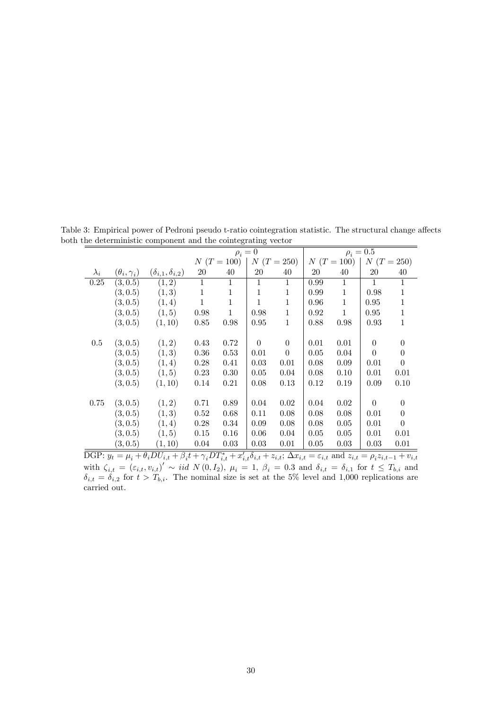|             |                        |                                |              |              | $\rho_i=0$   |              |      |              | $\rho_i = 0.5$ |              |
|-------------|------------------------|--------------------------------|--------------|--------------|--------------|--------------|------|--------------|----------------|--------------|
|             |                        |                                |              | $N(T=100)$   |              | $N(T = 250)$ |      | $N(T = 100)$ | $N(T = 250)$   |              |
| $\lambda_i$ | $(\theta_i, \gamma_i)$ | $(\delta_{i,1}, \delta_{i,2})$ | <b>20</b>    | 40           | <b>20</b>    | 40           | 20   | 40           | 20             | 40           |
| 0.25        | (3, 0.5)               | (1, 2)                         | $\mathbf{1}$ |              | 1            | $\mathbf{1}$ | 0.99 | 1            | 1              | $\mathbf{1}$ |
|             | (3, 0.5)               | (1,3)                          | $\mathbf{1}$ | $\mathbf{1}$ | $\mathbf{1}$ | 1            | 0.99 | $\mathbf{1}$ | 0.98           | $\mathbf{1}$ |
|             | (3, 0.5)               | (1,4)                          | $\mathbf{1}$ | $\mathbf{1}$ | $\mathbf{1}$ | $\mathbf{1}$ | 0.96 | $\mathbf{1}$ | 0.95           | $\mathbf 1$  |
|             | (3, 0.5)               | (1, 5)                         | 0.98         | $\mathbf{1}$ | 0.98         | $\mathbf{1}$ | 0.92 | $\mathbf{1}$ | 0.95           | $\mathbf 1$  |
|             | (3, 0.5)               | (1, 10)                        | 0.85         | 0.98         | 0.95         | $\mathbf{1}$ | 0.88 | 0.98         | 0.93           | $\mathbf{1}$ |
|             |                        |                                |              |              |              |              |      |              |                |              |
| $0.5\,$     | (3, 0.5)               | (1,2)                          | 0.43         | 0.72         | $\Omega$     | $\theta$     | 0.01 | 0.01         | $\theta$       | $\theta$     |
|             | (3, 0.5)               | (1,3)                          | 0.36         | 0.53         | 0.01         | $\theta$     | 0.05 | 0.04         | $\Omega$       | $\Omega$     |
|             | (3, 0.5)               | (1,4)                          | 0.28         | 0.41         | 0.03         | 0.01         | 0.08 | 0.09         | 0.01           | $\theta$     |
|             | (3, 0.5)               | (1, 5)                         | 0.23         | 0.30         | 0.05         | 0.04         | 0.08 | 0.10         | 0.01           | 0.01         |
|             | (3, 0.5)               | (1, 10)                        | 0.14         | 0.21         | 0.08         | 0.13         | 0.12 | 0.19         | 0.09           | 0.10         |
|             |                        |                                |              |              |              |              |      |              |                |              |
| 0.75        | (3, 0.5)               | (1,2)                          | 0.71         | 0.89         | 0.04         | 0.02         | 0.04 | 0.02         | $\Omega$       | $\theta$     |
|             | (3, 0.5)               | (1,3)                          | 0.52         | 0.68         | 0.11         | 0.08         | 0.08 | 0.08         | 0.01           | $\theta$     |
|             | (3, 0.5)               | (1,4)                          | 0.28         | 0.34         | 0.09         | 0.08         | 0.08 | 0.05         | 0.01           | $\theta$     |
|             | (3, 0.5)               | (1, 5)                         | 0.15         | 0.16         | 0.06         | 0.04         | 0.05 | 0.05         | 0.01           | 0.01         |
|             | (3, 0.5)               | (1, 10)                        | 0.04         | 0.03         | 0.03         | 0.01         | 0.05 | 0.03         | 0.03           | 0.01         |

Table 3: Empirical power of Pedroni pseudo t-ratio cointegration statistic. The structural change affects both the deterministic component and the cointegrating vector

DGP:  $y_t = \mu_i + \theta_i DU_{i,t} + \beta_i t + \gamma_i DT_{i,t}^* + x'_{i,t} \delta_{i,t} + z_{i,t}$ ;  $\Delta x_{i,t} = \varepsilon_{i,t}$  and  $z_{i,t} = \rho_i z_{i,t-1} + v_{i,t}$ with  $\zeta_{i,t} = (\varepsilon_{i,t}, v_{i,t})' \sim \text{iid } N(0, I_2), \mu_i = 1, \beta_i = 0.3$  and  $\delta_{i,t} = \delta_{i,1}$  for  $t \leq T_{b,i}$  and  $\delta_{i,t} = \delta_{i,2}$  for  $t > T_{b,i}$ . The nominal size is set at the 5% level and 1,000 replications are carried out.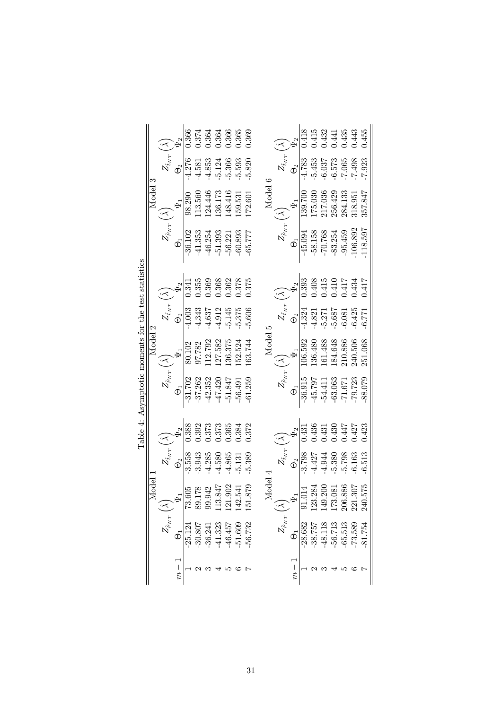|                                                     |         |                         |                     | 0.366                     | 1.374                                                  | 0.364          | 0.364<br>0.366                                         |                                                                                                                                                               | 1.365                  | 0.369                 |                    |                         |                       | 1418      | 1.415                                                                                                               |                                                                                                                                                                                                                                                                                                        |                    |                      | $\begin{array}{c} 0.432 \\ 0.441 \\ 0.435 \\ 0.443 \\ 0.455 \end{array}$           |          |
|-----------------------------------------------------|---------|-------------------------|---------------------|---------------------------|--------------------------------------------------------|----------------|--------------------------------------------------------|---------------------------------------------------------------------------------------------------------------------------------------------------------------|------------------------|-----------------------|--------------------|-------------------------|-----------------------|-----------|---------------------------------------------------------------------------------------------------------------------|--------------------------------------------------------------------------------------------------------------------------------------------------------------------------------------------------------------------------------------------------------------------------------------------------------|--------------------|----------------------|------------------------------------------------------------------------------------|----------|
|                                                     |         | $Z_{\hat t_{NT}}$       | $\Theta_2$          | $-4.276$                  | $-4.581$                                               | $-4.853$       |                                                        | $-5.124$<br>$-5.366$                                                                                                                                          | $-5.593$               | $-5.820$              |                    | $Z_{\hat t_{NT}}$       | $\Theta_2$            | -4.783    | $-5.453$                                                                                                            | $5665 - 7 - 7 - 7 - 7 - 7 - 8$<br>$510 - 7 - 9 - 7 - 8 - 7 - 8 - 7 - 8 - 7 - 8 - 7 - 8 - 7 - 8 - 7 - 8 - 7 - 8 - 7 - 8 - 7 - 8 - 7 - 8 - 7 - 8 - 7 - 8 - 7 - 8 - 7 - 8 - 7 - 8 - 7 - 8 - 7 - 8 - 7 - 8 - 7 - 8 - 7 - 8 - 7 - 8 - 7 - 8 - 7 - 8 - 7 - 8 - 7 - 8 - 7 - 8 - 7 - 8 - 7 - 8 - 7 - 8 - 7 - $ |                    |                      |                                                                                    |          |
|                                                     | Model 3 |                         |                     |                           |                                                        |                |                                                        | $\begin{array}{r} 98.290 \\ 113.560 \\ 1124.446 \\ 136.173 \\ 148.416 \\ 148.416 \\ 159.531 \end{array}$                                                      |                        | 172.601               | Model 6            |                         |                       |           | $\begin{array}{l} 139.700 \\ 175.030 \\ 217.036 \\ 256.429 \\ 284.133 \\ 318.951 \\ 318.957.847 \end{array}$        |                                                                                                                                                                                                                                                                                                        |                    |                      |                                                                                    |          |
|                                                     |         | $Z_{\hat{\rho}_{NT}}$ , | $\Theta_1$          | $-36.102$                 | $-41.353$                                              |                | $-46.254$<br>$-51.393$<br>$-56.221$                    |                                                                                                                                                               | $-60.893$<br>$-65.777$ |                       |                    | $Z_{\hat{\rho}_{NT}}$ . | $\Theta$ <sup>1</sup> | $-45.094$ | $-58.158$                                                                                                           | $-70.768$<br>$-83.254$<br>$-95.459$<br>$-106.892$<br>$-118.597$                                                                                                                                                                                                                                        |                    |                      |                                                                                    |          |
|                                                     |         |                         |                     | 0.341                     | 1.355                                                  |                | $\begin{array}{c} 0.369 \\ 0.368 \\ 0.362 \end{array}$ |                                                                                                                                                               | 0.378                  | 0.375                 |                    |                         |                       | 0.393     | 0.408                                                                                                               | 0.415                                                                                                                                                                                                                                                                                                  | $0.410$<br>$0.417$ |                      | 0.434                                                                              | 0.417    |
|                                                     |         | $Z_{\hat t_{NT}}$       | $\Theta_2$          | $-4.003$                  | $-4.343$                                               |                |                                                        | $\begin{array}{c} 4.637 \\ 4.912 \\ 5.145 \\ 5.375 \end{array}$                                                                                               |                        | $-5.606$              |                    | $Z_{\hat t_{NT}}$       | $\Theta_2$            | $-4.324$  |                                                                                                                     | $\begin{array}{c} -4.821 \\ -5.271 \\ -5.687 \\ -6.081 \\ -6.425 \\ \end{array}$                                                                                                                                                                                                                       |                    |                      |                                                                                    |          |
|                                                     | Model 2 |                         |                     |                           |                                                        |                |                                                        | 80.102<br>97.782<br>112.792<br>1127.582<br>138.375<br>152.524                                                                                                 |                        | 163.744               | Model 5            |                         |                       |           | $\begin{array}{l} 106.592 \\ 136.480 \\ 136.488 \\ 161.488 \\ 184.648 \\ 210.886 \\ 240.506 \\ 240.506 \end{array}$ |                                                                                                                                                                                                                                                                                                        |                    |                      |                                                                                    |          |
| Table 4: Asymptotic moments for the test statistics |         | $Z_{\hat{\rho}_{NT}}$ ( | $\Theta_1$          | $-31.702$                 | $-37.262$                                              |                |                                                        | $-42.352$<br>$-47.420$<br>$-51.847$<br>$-56.491$<br>$-61.259$                                                                                                 |                        |                       |                    | $Z_{\hat{\rho}_{NT}}$ , | $\Theta_1$            | $-36.915$ | $-45.797$                                                                                                           |                                                                                                                                                                                                                                                                                                        |                    |                      | $\begin{array}{r} -54.411 \\ -63.063 \\ -71.671 \\ -79.723 \\ -88.079 \end{array}$ |          |
|                                                     |         |                         |                     | 0.388                     | 0.392                                                  | 0.373          | $0.373$<br>$0.365$                                     |                                                                                                                                                               | 0.384                  | 0.372                 |                    |                         |                       | 0.431     | 1.436                                                                                                               | 0.431                                                                                                                                                                                                                                                                                                  | 0.430              | 0.447                | 0.427                                                                              | 0.423    |
|                                                     |         | $Z_{\hat t_{NT}}$       |                     | $\frac{\Theta_2}{-3.558}$ | $-3.943$                                               | 4.285<br>4.580 |                                                        | 4.865                                                                                                                                                         | $-5.131$               | $-5.389$              |                    | $Z_{\hat t_{NT}}$       | $\Theta_2$            | $-3.798$  | 4.427                                                                                                               | 4.944                                                                                                                                                                                                                                                                                                  | $-5.380$           | $-5.798$<br>$-6.163$ |                                                                                    | $-6.513$ |
|                                                     | Model   | $\leq$                  |                     |                           | $\frac{1}{105}$<br>$\frac{1}{105}$<br>$\frac{242}{14}$ |                |                                                        | 347<br>902<br>141<br>$\ddot{\rm e}$ , $\ddot{\rm e}$ , $\ddot{\rm e}$ , $\dddot{\rm e}$ , $\dddot{\rm e}$ , $\dddot{\rm e}$ , $\ddot{\rm e}$ , $\ddot{\rm e}$ |                        | 879<br>$\overline{5}$ | Model $\triangleq$ | $\widetilde{\simeq}$    |                       |           | $\frac{\Psi_1}{.014}$<br>3.284<br>$^{23}$                                                                           | 1.200<br>1.081<br>1.886<br>1.307<br>149.<br>178818                                                                                                                                                                                                                                                     |                    |                      |                                                                                    | 575      |
|                                                     |         | $Z_{\hat{\rho}_{NT}}$   | $\overline{\Theta}$ | $-25.124$                 | $-30.807$                                              | $-36.241$      | $-41.323$                                              | 46.457                                                                                                                                                        | 51.609                 | 56.732                |                    | $Z_{\hat{\rho}_{NT}}$   | $\overline{\Phi}$     | $-28.682$ | 38.757                                                                                                              | $-48.118$                                                                                                                                                                                                                                                                                              | $-56.713$          | $-65.513$            | $-73.589$<br>$-81.754$                                                             |          |
|                                                     |         |                         | $\mid$              |                           |                                                        |                |                                                        |                                                                                                                                                               |                        |                       |                    |                         | $m -$                 |           |                                                                                                                     |                                                                                                                                                                                                                                                                                                        |                    |                      |                                                                                    |          |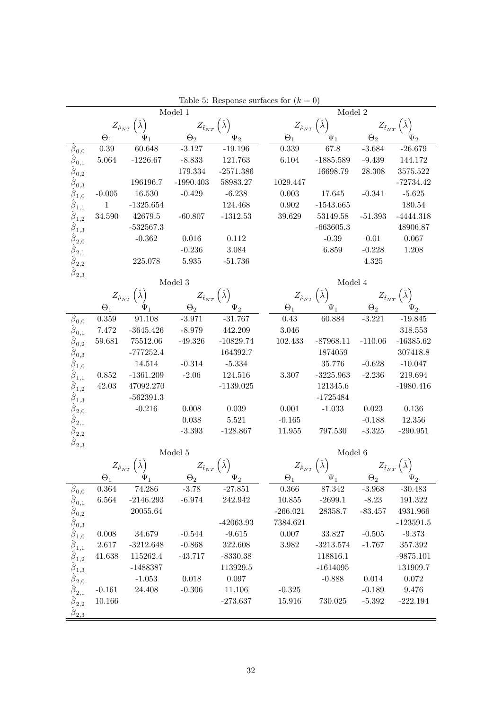|                                             |                     |                                                 | Model 1                                      |                         |                       | Model 2                              |                        |                                              |
|---------------------------------------------|---------------------|-------------------------------------------------|----------------------------------------------|-------------------------|-----------------------|--------------------------------------|------------------------|----------------------------------------------|
|                                             |                     | $Z_{\hat{\rho}_{NT}}(\hat{\lambda})$            | $Z_{\hat{t}_{NT}}(\hat{\lambda})$            |                         |                       | $Z_{\hat{\rho}_{NT}}(\hat{\lambda})$ | $Z_{\hat t_{NT}}$      |                                              |
|                                             | $\Theta_1$          | $\Psi_1$                                        | $\Theta_2$                                   | $\Psi_2$                | $\Theta_1$            | $\Psi_1$                             | $\Theta_2$             | $\Psi_2$                                     |
| $\beta_{0,0}$                               | 0.39                | 60.648                                          | $-3.127$                                     | $-19.196$               | 0.339                 | 67.8                                 | $-3.684$               | $-26.679$                                    |
| $\beta_{0,1}$                               | 5.064               | $-1226.67$                                      | $-8.833$                                     | 121.763                 | 6.104                 | $-1885.589$                          | $-9.439$               | 144.172                                      |
| $\beta_{0,2}$                               |                     |                                                 | 179.334                                      | $-2571.386$             |                       | 16698.79                             | 28.308                 | 3575.522                                     |
| $\hat{\beta}_{0,3}$                         |                     | 196196.7                                        | $-1990.403$                                  | 58983.27                | 1029.447              |                                      |                        | $-72734.42$                                  |
| $\hat{\beta}_{1,0}$                         | $-0.005$            | 16.530                                          | $-0.429$                                     | $-6.238$                | 0.003                 | 17.645                               | $-0.341$               | $-5.625$                                     |
| $\hat{\boldsymbol{\beta}}_{1,1}$            | $\overline{1}$      | $-1325.654$                                     |                                              | 124.468                 | 0.902                 | $-1543.665$                          |                        | 180.54                                       |
| $\hat{\pmb{\beta}}_{1,2}$                   | $34.590\,$          | 42679.5                                         | $-60.807$                                    | $-1312.53$              | 39.629                | 53149.58                             | $-51.393$              | $-4444.318$                                  |
| $\hat{\boldsymbol{\beta}}_{1,3}$            |                     | $-532567.3$                                     |                                              |                         |                       | $-663605.3$                          |                        | 48906.87                                     |
| $\hat{\boldsymbol{\beta}}_{2,0}$            |                     | $-0.362$                                        | 0.016                                        | 0.112                   |                       | $-0.39$                              | 0.01                   | 0.067                                        |
| $\hat{\boldsymbol{\beta}}_{2,1}$            |                     |                                                 | $-0.236$                                     | 3.084                   |                       | 6.859                                | $-0.228$               | 1.208                                        |
| $\hat{\boldsymbol{\beta}}_{2,2}$            |                     | 225.078                                         | $5.935\,$                                    | $-51.736$               |                       |                                      | 4.325                  |                                              |
| $\beta_{2,3}$                               |                     |                                                 | Model 3                                      |                         |                       | Model 4                              |                        |                                              |
|                                             |                     |                                                 |                                              |                         |                       | $Z_{\hat{\rho}_{NT}}(\hat{\lambda})$ |                        |                                              |
|                                             |                     | $Z_{\hat{\rho}_{NT}}\left(\hat{\lambda}\right)$ | $Z_{\hat{t}_{NT}}\left(\hat{\lambda}\right)$ |                         |                       |                                      |                        | $Z_{\hat{t}_{NT}}\left(\hat{\lambda}\right)$ |
|                                             | $\Theta_1$<br>0.359 | $\Psi_1$<br>91.108                              | $\Theta_2$<br>$-3.971$                       | $-31.767$               | $\Theta_1$<br>0.43    | $\Psi_1$<br>60.884                   | $\Theta_2$<br>$-3.221$ | $-19.845$                                    |
| $\beta_{0,0}$                               |                     | $-3645.426$                                     |                                              |                         | 3.046                 |                                      |                        | 318.553                                      |
| $\beta_{0,1}$                               | 7.472               |                                                 | $-8.979$                                     | 442.209                 | 102.433               |                                      |                        |                                              |
| $\hat{\beta}_{0,2}$                         | 59.681              | 75512.06                                        | $-49.326$                                    | $-10829.74$<br>164392.7 |                       | $-87968.11$                          | $-110.06$              | $-16385.62$                                  |
| $\hat{\beta}_{0,3}$                         |                     | $-777252.4$<br>14.514                           |                                              |                         |                       | 1874059                              | $-0.628$               | 307418.8                                     |
| $\hat{\boldsymbol{\beta}}_{1,0}$            |                     |                                                 | $-0.314$                                     | $-5.334$                |                       | 35.776                               |                        | $-10.047$                                    |
| $\hat{\beta}_{1,1}$                         | 0.852               | $-1361.209$                                     | $-2.06$                                      | 124.516                 | 3.307                 | $-3225.963$                          | $-2.236$               | 219.694<br>$-1980.416$                       |
| $\hat{\boldsymbol{\beta}}_{1,2}$            | 42.03               | 47092.270                                       |                                              | $-1139.025$             |                       | 121345.6<br>$-1725484$               |                        |                                              |
| $\hat{\pmb{\beta}}_{1,3}$                   |                     | $-562391.3$<br>$-0.216$                         |                                              | 0.039                   |                       | $-1.033$                             | 0.023                  | 0.136                                        |
| $\overline{\beta}_{2,0}$                    |                     |                                                 | 0.008                                        |                         | 0.001                 |                                      |                        |                                              |
| $\hat{\boldsymbol{\beta}}_{2,1}$            |                     |                                                 | 0.038                                        | 5.521                   | $-0.165$              |                                      | $-0.188$               | 12.356                                       |
| $\hat{\boldsymbol{\beta}}_{2,2}$            |                     |                                                 | $-3.393$                                     | $-128.867$              | 11.955                | 797.530                              | $-3.325$               | $-290.951$                                   |
| $\hat{\boldsymbol{\beta}}_{2,3}$            |                     |                                                 | Model 5                                      |                         |                       | Model 6                              |                        |                                              |
|                                             |                     | $Z_{\hat{\rho}_{NT}}\left(\hat{\lambda}\right)$ | $Z_{\hat{t}_{NT}}(\hat{\lambda})$            |                         | $Z_{\hat{\rho}_{NT}}$ |                                      |                        |                                              |
|                                             | $\Theta_1$          |                                                 | $\Theta_2$                                   |                         | $\Theta_1$            |                                      | $\Theta_2$             |                                              |
| $\beta_{0,0}$                               | 0.364               | 74.286                                          | $-3.78$                                      | $-27.851$               | 0.366                 | 87.342                               | $-3.968$               | $-30.483$                                    |
| $\hat{\beta}_{0,1}$                         | $\,6.564\,$         | $-2146.293$                                     | $-6.974$                                     | 242.942                 | 10.855                | $-2699.1$                            | $-8.23$                | 191.322                                      |
| $\hat{\beta}_{0,2}$                         |                     | 20055.64                                        |                                              |                         | $-266.021$            | 28358.7                              | $-83.457$              | 4931.966                                     |
| $\hat{\beta}_{0,3}$                         |                     |                                                 |                                              | $-42063.93$             | 7384.621              |                                      |                        | $-123591.5$                                  |
| $\hat{\beta}_{1,0}$                         | 0.008               | $34.679\,$                                      | $-0.544$                                     | $-9.615$                | 0.007                 | 33.827                               | $-0.505$               | $-9.373$                                     |
| $\beta_{1,1}$                               | 2.617               | $-3212.648$                                     | $-0.868$                                     | 322.608                 | 3.982                 | $-3213.574$                          | $-1.767$               | 357.392                                      |
| $\hat{\beta}_{1,2}$                         | 41.638              | 115262.4                                        | $-43.717$                                    | $-8330.38$              |                       | 118816.1                             |                        | $-9875.101$                                  |
| $\hat{\beta}_{1,3}$                         |                     | $-1488387$                                      |                                              | 113929.5                |                       | $-1614095$                           |                        | 131909.7                                     |
| $\hat{\boldsymbol{\beta}}_{2,0}$            |                     | $-1.053$                                        | 0.018                                        | 0.097                   |                       | $-0.888$                             | $0.014\,$              | 0.072                                        |
| $\beta_{2,1}$                               | $-0.161$            | 24.408                                          | $-0.306$                                     | 11.106                  | $-0.325$              |                                      | $-0.189$               | 9.476                                        |
| $\hat{\beta}_{2,2}$                         | 10.166              |                                                 |                                              | $-273.637$              | 15.916                | 730.025                              | $-5.392$               | $-222.194$                                   |
| $\hat{\beta}_{\underline{2,\underline{3}}}$ |                     |                                                 |                                              |                         |                       |                                      |                        |                                              |

Table 5: Response surfaces for  $(k = 0)$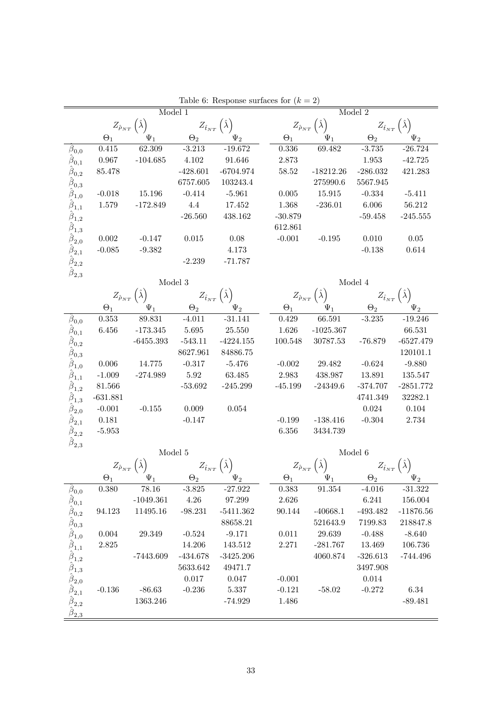|                                                                                                       |            |                                                 | Model 1                                      |                                              |                                                 |                                                 | Model 2                                                     |                                              |
|-------------------------------------------------------------------------------------------------------|------------|-------------------------------------------------|----------------------------------------------|----------------------------------------------|-------------------------------------------------|-------------------------------------------------|-------------------------------------------------------------|----------------------------------------------|
|                                                                                                       |            | $Z_{\hat{\rho}_{NT}}\left(\hat{\lambda}\right)$ |                                              | $Z_{\hat{t}_{NT}}\left(\hat{\lambda}\right)$ |                                                 | $Z_{\hat{\rho}_{NT}}\left(\hat{\lambda}\right)$ |                                                             | $Z_{\hat{t}_{NT}}\left(\hat{\lambda}\right)$ |
|                                                                                                       | $\Theta_1$ | $\Psi_1$                                        | $\Theta_2$                                   | $\Psi_2$                                     | $\Theta_1$                                      | $\Psi_1$                                        | $\Theta_2$                                                  | $\Psi_2$                                     |
| $\beta_{0,0}$                                                                                         | 0.415      | 62.309                                          | $-3.213$                                     | $-19.672$                                    | 0.336                                           | 69.482                                          | $-3.735$                                                    | $-26.724$                                    |
| $\hat{\boldsymbol{\beta}}_{0,1}$                                                                      | $0.967\,$  | $-104.685$                                      | 4.102                                        | 91.646                                       | 2.873                                           |                                                 | 1.953                                                       | $-42.725$                                    |
| $\hat{\beta}_{0,2}$                                                                                   | 85.478     |                                                 | $-428.601$                                   | $-6704.974$                                  | 58.52                                           | $-18212.26$                                     | $-286.032$                                                  | 421.283                                      |
| $\hat{\beta}_{0,3}$                                                                                   |            |                                                 | 6757.605                                     | 103243.4                                     |                                                 | 275990.6                                        | 5567.945                                                    |                                              |
| $\hat{\beta}_{1,0}$                                                                                   | $-0.018$   | 15.196                                          | $-0.414$                                     | $-5.961$                                     | 0.005                                           | 15.915                                          | $-0.334$                                                    | $-5.411$                                     |
| $\hat{\beta}_{1,1}$                                                                                   | 1.579      | $-172.849$                                      | $4.4\,$                                      | 17.452                                       | 1.368                                           | $-236.01$                                       | 6.006                                                       | 56.212                                       |
| $\hat{\beta}_{1,2}$                                                                                   |            |                                                 | $-26.560$                                    | 438.162                                      | $-30.879$                                       |                                                 | $-59.458$                                                   | $-245.555$                                   |
| $\hat{\beta}_{1,3}$                                                                                   |            |                                                 |                                              |                                              | 612.861                                         |                                                 |                                                             |                                              |
| $\hat{\beta}_{2,0}$                                                                                   | 0.002      | $-0.147$                                        | 0.015                                        | 0.08                                         | $-0.001$                                        | $-0.195$                                        | 0.010                                                       | $0.05\,$                                     |
| $\hat{\boldsymbol{\beta}}_{2,1}$                                                                      | $-0.085$   | $-9.382$                                        |                                              | 4.173                                        |                                                 |                                                 | $-0.138$                                                    | 0.614                                        |
| $\hat{\boldsymbol{\beta}}_{2,2}$                                                                      |            |                                                 | $-2.239$                                     | $-71.787$                                    |                                                 |                                                 |                                                             |                                              |
| $\hat{\boldsymbol{\beta}}_{2,3}$                                                                      |            |                                                 | Model 3                                      |                                              |                                                 |                                                 | Model 4                                                     |                                              |
|                                                                                                       |            | $Z_{\hat{\rho}_{NT}}\left(\hat{\lambda}\right)$ | $Z_{\hat{t}_{NT}}\left(\hat{\lambda}\right)$ |                                              | $Z_{\hat{\rho}_{NT}}\left(\hat{\lambda}\right)$ |                                                 |                                                             | $Z_{\hat{t}_{NT}}(\hat{\lambda})$            |
|                                                                                                       | $\Theta_1$ | $\Psi_1$                                        | $\Theta_2$                                   | $\Psi_2$                                     | $\Theta_1$                                      | $\Psi_1$                                        | $\Theta_2$                                                  |                                              |
| $\beta_{0,0}$                                                                                         | 0.353      | 89.831                                          | $-4.011$                                     | $-31.141$                                    | 0.429                                           | 66.591                                          | $-3.235$                                                    | $-19.246$                                    |
| $\hat{\beta}_{0,1}$                                                                                   | 6.456      | $-173.345$                                      | 5.695                                        | 25.550                                       | 1.626                                           | $-1025.367$                                     |                                                             | 66.531                                       |
| $\hat{\beta}_{0,2}$                                                                                   |            | $-6455.393$                                     | $-543.11$                                    | $-4224.155$                                  | 100.548                                         | 30787.53                                        | $-76.879$                                                   | $-6527.479$                                  |
| $\hat{\beta}_{0,3}$                                                                                   |            |                                                 | 8627.961                                     | 84886.75                                     |                                                 |                                                 |                                                             | 120101.1                                     |
| $\hat{\boldsymbol{\beta}}_{1,0}$                                                                      | 0.006      | 14.775                                          | $-0.317$                                     | $-5.476$                                     | $-0.002$                                        | 29.482                                          | $-0.624$                                                    | $-9.880$                                     |
| $\hat{\beta}_{1,1}$                                                                                   | $-1.009$   | $-274.989$                                      | 5.92                                         | 63.485                                       | 2.983                                           | 438.987                                         | 13.891                                                      | 135.547                                      |
| $\hat{\beta}_{1,2}$                                                                                   | $81.566\,$ |                                                 | $-53.692$                                    | $-245.299$                                   | $-45.199$                                       | $-24349.6$                                      | $-374.707$                                                  | $-2851.772$                                  |
| $\hat{\beta}_{1,3}$                                                                                   | $-631.881$ |                                                 |                                              |                                              |                                                 |                                                 | 4741.349                                                    | 32282.1                                      |
| $\hat{\boldsymbol{\beta}}_{2,0}$                                                                      | $-0.001$   | $-0.155$                                        | 0.009                                        | 0.054                                        |                                                 |                                                 | 0.024                                                       | 0.104                                        |
| $\hat{\beta}_{2,1}$                                                                                   | 0.181      |                                                 | $-0.147$                                     |                                              | $-0.199$                                        | $-138.416$                                      | $-0.304$                                                    | 2.734                                        |
| $\hat{\boldsymbol{\beta}}_{2,2}$                                                                      | $-5.953$   |                                                 |                                              |                                              | $6.356\,$                                       | 3434.739                                        |                                                             |                                              |
| $\hat{\boldsymbol{\beta}}_{2,3}$                                                                      |            |                                                 |                                              |                                              |                                                 |                                                 |                                                             |                                              |
|                                                                                                       |            |                                                 | Model 5                                      |                                              |                                                 |                                                 | Model 6                                                     |                                              |
|                                                                                                       |            |                                                 | $Z_{\hat{t}_{NT}}\left(\hat{\lambda}\right)$ |                                              |                                                 | $Z_{\hat{\rho}_{NT}}\left(\hat{\lambda}\right)$ | $Z_{\hat t_{NT}}\left( \hat \lambda \right) \over \Theta_2$ |                                              |
|                                                                                                       | $\Theta_1$ |                                                 | $\Theta_2$                                   |                                              | $\Theta_1$                                      | $\Psi_1$                                        |                                                             |                                              |
| $\beta_{0,0}$                                                                                         | 0.380      | 78.16                                           | $-3.825$                                     | $-27.922$                                    | 0.383                                           | 91.354                                          | $-4.016$                                                    | $-31.322$                                    |
| $\hat{\beta}_{0,1}$                                                                                   |            | $-1049.361$                                     | $4.26\,$                                     | 97.299                                       | $2.626\,$                                       |                                                 | 6.241                                                       | 156.004                                      |
| $\hat{\beta}_{0,2}$                                                                                   | 94.123     | 11495.16                                        | $-98.231$                                    | $-5411.362$                                  | 90.144                                          | $-40668.1$                                      | $-493.482$                                                  | $-11876.56$                                  |
| $\hat{\hat{\beta}}_{0,3} \atop \hat{\hat{\beta}}_{1,0}$                                               |            |                                                 |                                              | 88658.21                                     |                                                 | 521643.9                                        | 7199.83                                                     | 218847.8                                     |
|                                                                                                       | 0.004      | 29.349                                          | $-0.524$                                     | $-9.171$                                     | $0.011\,$                                       | 29.639                                          | $-0.488$                                                    | $-8.640$                                     |
| $\hat{\beta}_{1,1}$                                                                                   | 2.825      |                                                 | 14.206                                       | 143.512                                      | 2.271                                           | $-281.767$                                      | 13.469                                                      | 106.736                                      |
|                                                                                                       |            | $-7443.609$                                     | $-434.678$                                   | $-3425.206$                                  |                                                 | 4060.874                                        | $-326.613$                                                  | $-744.496$                                   |
| $\hat{\hat{\beta}}_{1,2}^{\dagger,2} \ \hat{\hat{\beta}}_{1,3}^{\dagger,3} \ \hat{\hat{\beta}}_{2,0}$ |            |                                                 | 5633.642                                     | 49471.7                                      |                                                 |                                                 | 3497.908                                                    |                                              |
|                                                                                                       |            |                                                 | $0.017\,$                                    | 0.047                                        | $-0.001$                                        |                                                 | 0.014                                                       |                                              |
| $\hat{\boldsymbol{\beta}}_{2,1}$                                                                      | $-0.136$   | $-86.63$                                        | $-0.236$                                     | 5.337                                        | $-0.121$                                        | $-58.02$                                        | $-0.272$                                                    | 6.34                                         |
| $\hat{\boldsymbol{\beta}}_{2,2}$                                                                      |            | 1363.246                                        |                                              | $-74.929$                                    | 1.486                                           |                                                 |                                                             | $-89.481$                                    |
| $\hat{\beta}_{\underline{2,\underline{3}}}$                                                           |            |                                                 |                                              |                                              |                                                 |                                                 |                                                             |                                              |

Table 6: Response surfaces for  $(k = 2)$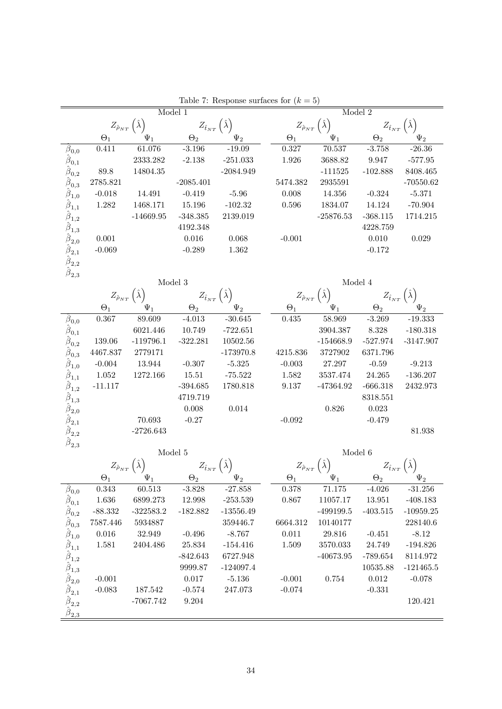| $Z_{\hat{\rho}_{NT}}(\hat{\lambda})$<br>$Z_{\hat{\rho}_{NT}}$<br>$Z_{\hat{t}_{NT}}$<br>$Z_{\hat{t}_{NT}}$<br>$\Theta_2$<br>$\Theta_1$<br>$\Theta_1$<br>$\Psi_1$<br>$\Theta_2$<br>$\Psi_2$<br>$\Psi_1$<br>$\Psi_2$<br>$-3.196$<br>70.537<br>$-26.36$<br>61.076<br>$-19.09$<br>0.327<br>$-3.758$<br>$\beta_{0,0}$<br>0.411<br>$\hat{\beta}_{0,1}$<br>2333.282<br>$-251.033$<br>1.926<br>3688.82<br>9.947<br>$-577.95$<br>$-2.138$<br>$\hat{\pmb \beta}_{0, \pmb 2}$<br>89.8<br>14804.35<br>$-2084.949$<br>$-111525$<br>$-102.888$<br>8408.465<br>$\hat{\bm{\beta}}_{\mathbf{0},\mathbf{3}}$<br>2785.821<br>2935591<br>$-2085.401$<br>5474.382<br>$-70550.62$<br>$\hat{\boldsymbol{\beta}}_{1,0}$<br>$-0.018$<br>14.491<br>$-0.419$<br>$-5.96$<br>0.008<br>14.356<br>$-0.324$<br>$-5.371$<br>$\hat{\beta}_{1,1}$<br>1.282<br>1468.171<br>15.196<br>$-102.32$<br>0.596<br>1834.07<br>$-70.904$<br>14.124<br>$\hat{\beta}_{1,2}$<br>$-14669.95$<br>$-348.385$<br>2139.019<br>$-25876.53$<br>$-368.115$<br>1714.215<br>$\hat{\beta}_{1,3}$<br>4192.348<br>4228.759<br>$\hat{\boldsymbol{\beta}}_{2,0}$<br>0.001<br>0.016<br>0.068<br>$-0.001$<br>0.010<br>0.029<br>$\hat{\boldsymbol{\beta}}_{2,1}$<br>$-0.069$<br>1.362<br>$-0.289$<br>$-0.172$<br>$\hat{\beta}_{2,2}$<br>$\hat{\boldsymbol{\beta}}_{2,3}$<br>Model 3<br>Model 4<br>$Z_{\hat{\rho}_{NT}}\left(\hat{\lambda}\right)$<br>$Z_{\hat{\rho}_{NT}}\left(\hat{\lambda}\right)$<br>$Z_{\hat{t}_{NT}}(\hat{\lambda})$<br>$Z_{\hat{t}_{NT}}(\hat{\lambda})$<br>$\Psi_1$<br>$\Psi_2$<br>$\Theta_1$<br>$\Psi_1$<br>$\Theta_2$<br>$\Psi_2$<br>$\Theta_1$<br>$\Theta_2$<br>$-30.645$<br>89.609<br>$-4.013$<br>0.435<br>58.969<br>$-19.333$<br>$\beta_{0,0}$<br>0.367<br>$-3.269$<br>$\hat{\beta}_{0,1}$<br>6021.446<br>$3904.387\,$<br>10.749<br>$-722.651$<br>8.328<br>$-180.318$<br>$\hat{\beta}_{0,2}$<br>139.06<br>$-119796.1$<br>$-322.281$<br>10502.56<br>$-154668.9$<br>$-527.974$<br>$-3147.907$<br>$\hat{\boldsymbol{\beta}}_{0,3}$<br>4467.837<br>2779171<br>$-173970.8$<br>3727902<br>4215.836<br>6371.796<br>$\hat{\boldsymbol{\beta}}_{1,0}$<br>$-0.004$<br>13.944<br>$-0.307$<br>$-5.325$<br>$-0.003$<br>27.297<br>$-0.59$<br>$-9.213$<br>$\hat{\boldsymbol{\beta}}_{1,1}$<br>1.052<br>1272.166<br>$24.265\,$<br>15.51<br>$-75.522$<br>1.582<br>3537.474<br>$-136.207$<br>$\hat{\pmb{\beta}}_{1,2}$<br>$-11.117$<br>$\!-\!394.685$<br>1780.818<br>$-47364.92$<br>9.137<br>$-666.318$<br>2432.973<br>$\hat{\hat{\beta}}_{1,3} \atop \hat{\hat{\beta}}_{2,0} \atop \hat{\hat{\beta}}_{2,1}$<br>4719.719<br>8318.551<br>0.008<br>0.014<br>0.826<br>0.023<br>70.693<br>$-0.092$<br>$-0.27$<br>$-0.479$<br>$\hat{\pmb \beta}_{2,2}$<br>$-2726.643$<br>81.938<br>$\overline{\beta}_{2,3}$<br>Model 5<br>Model 6<br>$Z_{\hat{\rho}_{NT}}$<br>$Z_{\hat{\rho}_{NT}}$<br>$Z_{\hat{t}_{NT}}\left(\hat{\lambda}\right)$<br>$Z_{\hat{t}_{NT}}\left(\lambda\right)$<br>$\Theta_1$<br>$\Theta_1$<br>$\Theta_2$<br>$\Theta_2$<br>$\beta_{0,0}$<br>0.343<br>60.513<br>$-3.828$<br>$-27.858$<br>0.378<br>71.175<br>$-4.026$<br>$-31.256$<br>$\hat{\beta}_{0,1}$<br>$1.636\,$<br>6899.273<br>$-253.539$<br>11057.17<br>13.951<br>$-408.183$<br>12.998<br>0.867<br>$\hat{\boldsymbol{\beta}}_{0,2}$<br>$-88.332$<br>$-322583.2$<br>$-182.882$<br>$-499199.5$<br>$-403.515$<br>$-10959.25$<br>$-13556.49$<br>$\beta_{0,3}$<br>7587.446<br>359446.7<br>6664.312<br>10140177<br>228140.6<br>5934887<br>$\hat{\boldsymbol{\beta}}_{1,0}$<br>$-8.12$<br>0.016<br>32.949<br>$-0.496$<br>$-8.767$<br>0.011<br>29.816<br>$-0.451$<br>$\hat{\beta}_{1,1}$<br>1.581<br>2404.486<br>25.834<br>$-154.416$<br>1.509<br>3570.033<br>24.749<br>$-194.826$<br>$-842.643$<br>6727.948<br>$-40673.95$<br>$-789.654$<br>8114.972 |  | Model 1 |  |  | Model 2 |  |
|-----------------------------------------------------------------------------------------------------------------------------------------------------------------------------------------------------------------------------------------------------------------------------------------------------------------------------------------------------------------------------------------------------------------------------------------------------------------------------------------------------------------------------------------------------------------------------------------------------------------------------------------------------------------------------------------------------------------------------------------------------------------------------------------------------------------------------------------------------------------------------------------------------------------------------------------------------------------------------------------------------------------------------------------------------------------------------------------------------------------------------------------------------------------------------------------------------------------------------------------------------------------------------------------------------------------------------------------------------------------------------------------------------------------------------------------------------------------------------------------------------------------------------------------------------------------------------------------------------------------------------------------------------------------------------------------------------------------------------------------------------------------------------------------------------------------------------------------------------------------------------------------------------------------------------------------------------------------------------------------------------------------------------------------------------------------------------------------------------------------------------------------------------------------------------------------------------------------------------------------------------------------------------------------------------------------------------------------------------------------------------------------------------------------------------------------------------------------------------------------------------------------------------------------------------------------------------------------------------------------------------------------------------------------------------------------------------------------------------------------------------------------------------------------------------------------------------------------------------------------------------------------------------------------------------------------------------------------------------------------------------------------------------------------------------------------------------------------------------------------------------------------------------------------------------------------------------------------------------------------------------------------------------------------------------------------------------------------------------------------------------------------------------------------------------------------------------------------------------------------------------------------------------------------------------------------------------------------------------------------------------------------------------------------------------------------------------------------------------------------------------|--|---------|--|--|---------|--|
|                                                                                                                                                                                                                                                                                                                                                                                                                                                                                                                                                                                                                                                                                                                                                                                                                                                                                                                                                                                                                                                                                                                                                                                                                                                                                                                                                                                                                                                                                                                                                                                                                                                                                                                                                                                                                                                                                                                                                                                                                                                                                                                                                                                                                                                                                                                                                                                                                                                                                                                                                                                                                                                                                                                                                                                                                                                                                                                                                                                                                                                                                                                                                                                                                                                                                                                                                                                                                                                                                                                                                                                                                                                                                                                                                     |  |         |  |  |         |  |
|                                                                                                                                                                                                                                                                                                                                                                                                                                                                                                                                                                                                                                                                                                                                                                                                                                                                                                                                                                                                                                                                                                                                                                                                                                                                                                                                                                                                                                                                                                                                                                                                                                                                                                                                                                                                                                                                                                                                                                                                                                                                                                                                                                                                                                                                                                                                                                                                                                                                                                                                                                                                                                                                                                                                                                                                                                                                                                                                                                                                                                                                                                                                                                                                                                                                                                                                                                                                                                                                                                                                                                                                                                                                                                                                                     |  |         |  |  |         |  |
|                                                                                                                                                                                                                                                                                                                                                                                                                                                                                                                                                                                                                                                                                                                                                                                                                                                                                                                                                                                                                                                                                                                                                                                                                                                                                                                                                                                                                                                                                                                                                                                                                                                                                                                                                                                                                                                                                                                                                                                                                                                                                                                                                                                                                                                                                                                                                                                                                                                                                                                                                                                                                                                                                                                                                                                                                                                                                                                                                                                                                                                                                                                                                                                                                                                                                                                                                                                                                                                                                                                                                                                                                                                                                                                                                     |  |         |  |  |         |  |
|                                                                                                                                                                                                                                                                                                                                                                                                                                                                                                                                                                                                                                                                                                                                                                                                                                                                                                                                                                                                                                                                                                                                                                                                                                                                                                                                                                                                                                                                                                                                                                                                                                                                                                                                                                                                                                                                                                                                                                                                                                                                                                                                                                                                                                                                                                                                                                                                                                                                                                                                                                                                                                                                                                                                                                                                                                                                                                                                                                                                                                                                                                                                                                                                                                                                                                                                                                                                                                                                                                                                                                                                                                                                                                                                                     |  |         |  |  |         |  |
|                                                                                                                                                                                                                                                                                                                                                                                                                                                                                                                                                                                                                                                                                                                                                                                                                                                                                                                                                                                                                                                                                                                                                                                                                                                                                                                                                                                                                                                                                                                                                                                                                                                                                                                                                                                                                                                                                                                                                                                                                                                                                                                                                                                                                                                                                                                                                                                                                                                                                                                                                                                                                                                                                                                                                                                                                                                                                                                                                                                                                                                                                                                                                                                                                                                                                                                                                                                                                                                                                                                                                                                                                                                                                                                                                     |  |         |  |  |         |  |
|                                                                                                                                                                                                                                                                                                                                                                                                                                                                                                                                                                                                                                                                                                                                                                                                                                                                                                                                                                                                                                                                                                                                                                                                                                                                                                                                                                                                                                                                                                                                                                                                                                                                                                                                                                                                                                                                                                                                                                                                                                                                                                                                                                                                                                                                                                                                                                                                                                                                                                                                                                                                                                                                                                                                                                                                                                                                                                                                                                                                                                                                                                                                                                                                                                                                                                                                                                                                                                                                                                                                                                                                                                                                                                                                                     |  |         |  |  |         |  |
|                                                                                                                                                                                                                                                                                                                                                                                                                                                                                                                                                                                                                                                                                                                                                                                                                                                                                                                                                                                                                                                                                                                                                                                                                                                                                                                                                                                                                                                                                                                                                                                                                                                                                                                                                                                                                                                                                                                                                                                                                                                                                                                                                                                                                                                                                                                                                                                                                                                                                                                                                                                                                                                                                                                                                                                                                                                                                                                                                                                                                                                                                                                                                                                                                                                                                                                                                                                                                                                                                                                                                                                                                                                                                                                                                     |  |         |  |  |         |  |
|                                                                                                                                                                                                                                                                                                                                                                                                                                                                                                                                                                                                                                                                                                                                                                                                                                                                                                                                                                                                                                                                                                                                                                                                                                                                                                                                                                                                                                                                                                                                                                                                                                                                                                                                                                                                                                                                                                                                                                                                                                                                                                                                                                                                                                                                                                                                                                                                                                                                                                                                                                                                                                                                                                                                                                                                                                                                                                                                                                                                                                                                                                                                                                                                                                                                                                                                                                                                                                                                                                                                                                                                                                                                                                                                                     |  |         |  |  |         |  |
|                                                                                                                                                                                                                                                                                                                                                                                                                                                                                                                                                                                                                                                                                                                                                                                                                                                                                                                                                                                                                                                                                                                                                                                                                                                                                                                                                                                                                                                                                                                                                                                                                                                                                                                                                                                                                                                                                                                                                                                                                                                                                                                                                                                                                                                                                                                                                                                                                                                                                                                                                                                                                                                                                                                                                                                                                                                                                                                                                                                                                                                                                                                                                                                                                                                                                                                                                                                                                                                                                                                                                                                                                                                                                                                                                     |  |         |  |  |         |  |
|                                                                                                                                                                                                                                                                                                                                                                                                                                                                                                                                                                                                                                                                                                                                                                                                                                                                                                                                                                                                                                                                                                                                                                                                                                                                                                                                                                                                                                                                                                                                                                                                                                                                                                                                                                                                                                                                                                                                                                                                                                                                                                                                                                                                                                                                                                                                                                                                                                                                                                                                                                                                                                                                                                                                                                                                                                                                                                                                                                                                                                                                                                                                                                                                                                                                                                                                                                                                                                                                                                                                                                                                                                                                                                                                                     |  |         |  |  |         |  |
|                                                                                                                                                                                                                                                                                                                                                                                                                                                                                                                                                                                                                                                                                                                                                                                                                                                                                                                                                                                                                                                                                                                                                                                                                                                                                                                                                                                                                                                                                                                                                                                                                                                                                                                                                                                                                                                                                                                                                                                                                                                                                                                                                                                                                                                                                                                                                                                                                                                                                                                                                                                                                                                                                                                                                                                                                                                                                                                                                                                                                                                                                                                                                                                                                                                                                                                                                                                                                                                                                                                                                                                                                                                                                                                                                     |  |         |  |  |         |  |
|                                                                                                                                                                                                                                                                                                                                                                                                                                                                                                                                                                                                                                                                                                                                                                                                                                                                                                                                                                                                                                                                                                                                                                                                                                                                                                                                                                                                                                                                                                                                                                                                                                                                                                                                                                                                                                                                                                                                                                                                                                                                                                                                                                                                                                                                                                                                                                                                                                                                                                                                                                                                                                                                                                                                                                                                                                                                                                                                                                                                                                                                                                                                                                                                                                                                                                                                                                                                                                                                                                                                                                                                                                                                                                                                                     |  |         |  |  |         |  |
|                                                                                                                                                                                                                                                                                                                                                                                                                                                                                                                                                                                                                                                                                                                                                                                                                                                                                                                                                                                                                                                                                                                                                                                                                                                                                                                                                                                                                                                                                                                                                                                                                                                                                                                                                                                                                                                                                                                                                                                                                                                                                                                                                                                                                                                                                                                                                                                                                                                                                                                                                                                                                                                                                                                                                                                                                                                                                                                                                                                                                                                                                                                                                                                                                                                                                                                                                                                                                                                                                                                                                                                                                                                                                                                                                     |  |         |  |  |         |  |
|                                                                                                                                                                                                                                                                                                                                                                                                                                                                                                                                                                                                                                                                                                                                                                                                                                                                                                                                                                                                                                                                                                                                                                                                                                                                                                                                                                                                                                                                                                                                                                                                                                                                                                                                                                                                                                                                                                                                                                                                                                                                                                                                                                                                                                                                                                                                                                                                                                                                                                                                                                                                                                                                                                                                                                                                                                                                                                                                                                                                                                                                                                                                                                                                                                                                                                                                                                                                                                                                                                                                                                                                                                                                                                                                                     |  |         |  |  |         |  |
|                                                                                                                                                                                                                                                                                                                                                                                                                                                                                                                                                                                                                                                                                                                                                                                                                                                                                                                                                                                                                                                                                                                                                                                                                                                                                                                                                                                                                                                                                                                                                                                                                                                                                                                                                                                                                                                                                                                                                                                                                                                                                                                                                                                                                                                                                                                                                                                                                                                                                                                                                                                                                                                                                                                                                                                                                                                                                                                                                                                                                                                                                                                                                                                                                                                                                                                                                                                                                                                                                                                                                                                                                                                                                                                                                     |  |         |  |  |         |  |
|                                                                                                                                                                                                                                                                                                                                                                                                                                                                                                                                                                                                                                                                                                                                                                                                                                                                                                                                                                                                                                                                                                                                                                                                                                                                                                                                                                                                                                                                                                                                                                                                                                                                                                                                                                                                                                                                                                                                                                                                                                                                                                                                                                                                                                                                                                                                                                                                                                                                                                                                                                                                                                                                                                                                                                                                                                                                                                                                                                                                                                                                                                                                                                                                                                                                                                                                                                                                                                                                                                                                                                                                                                                                                                                                                     |  |         |  |  |         |  |
|                                                                                                                                                                                                                                                                                                                                                                                                                                                                                                                                                                                                                                                                                                                                                                                                                                                                                                                                                                                                                                                                                                                                                                                                                                                                                                                                                                                                                                                                                                                                                                                                                                                                                                                                                                                                                                                                                                                                                                                                                                                                                                                                                                                                                                                                                                                                                                                                                                                                                                                                                                                                                                                                                                                                                                                                                                                                                                                                                                                                                                                                                                                                                                                                                                                                                                                                                                                                                                                                                                                                                                                                                                                                                                                                                     |  |         |  |  |         |  |
|                                                                                                                                                                                                                                                                                                                                                                                                                                                                                                                                                                                                                                                                                                                                                                                                                                                                                                                                                                                                                                                                                                                                                                                                                                                                                                                                                                                                                                                                                                                                                                                                                                                                                                                                                                                                                                                                                                                                                                                                                                                                                                                                                                                                                                                                                                                                                                                                                                                                                                                                                                                                                                                                                                                                                                                                                                                                                                                                                                                                                                                                                                                                                                                                                                                                                                                                                                                                                                                                                                                                                                                                                                                                                                                                                     |  |         |  |  |         |  |
|                                                                                                                                                                                                                                                                                                                                                                                                                                                                                                                                                                                                                                                                                                                                                                                                                                                                                                                                                                                                                                                                                                                                                                                                                                                                                                                                                                                                                                                                                                                                                                                                                                                                                                                                                                                                                                                                                                                                                                                                                                                                                                                                                                                                                                                                                                                                                                                                                                                                                                                                                                                                                                                                                                                                                                                                                                                                                                                                                                                                                                                                                                                                                                                                                                                                                                                                                                                                                                                                                                                                                                                                                                                                                                                                                     |  |         |  |  |         |  |
|                                                                                                                                                                                                                                                                                                                                                                                                                                                                                                                                                                                                                                                                                                                                                                                                                                                                                                                                                                                                                                                                                                                                                                                                                                                                                                                                                                                                                                                                                                                                                                                                                                                                                                                                                                                                                                                                                                                                                                                                                                                                                                                                                                                                                                                                                                                                                                                                                                                                                                                                                                                                                                                                                                                                                                                                                                                                                                                                                                                                                                                                                                                                                                                                                                                                                                                                                                                                                                                                                                                                                                                                                                                                                                                                                     |  |         |  |  |         |  |
|                                                                                                                                                                                                                                                                                                                                                                                                                                                                                                                                                                                                                                                                                                                                                                                                                                                                                                                                                                                                                                                                                                                                                                                                                                                                                                                                                                                                                                                                                                                                                                                                                                                                                                                                                                                                                                                                                                                                                                                                                                                                                                                                                                                                                                                                                                                                                                                                                                                                                                                                                                                                                                                                                                                                                                                                                                                                                                                                                                                                                                                                                                                                                                                                                                                                                                                                                                                                                                                                                                                                                                                                                                                                                                                                                     |  |         |  |  |         |  |
|                                                                                                                                                                                                                                                                                                                                                                                                                                                                                                                                                                                                                                                                                                                                                                                                                                                                                                                                                                                                                                                                                                                                                                                                                                                                                                                                                                                                                                                                                                                                                                                                                                                                                                                                                                                                                                                                                                                                                                                                                                                                                                                                                                                                                                                                                                                                                                                                                                                                                                                                                                                                                                                                                                                                                                                                                                                                                                                                                                                                                                                                                                                                                                                                                                                                                                                                                                                                                                                                                                                                                                                                                                                                                                                                                     |  |         |  |  |         |  |
|                                                                                                                                                                                                                                                                                                                                                                                                                                                                                                                                                                                                                                                                                                                                                                                                                                                                                                                                                                                                                                                                                                                                                                                                                                                                                                                                                                                                                                                                                                                                                                                                                                                                                                                                                                                                                                                                                                                                                                                                                                                                                                                                                                                                                                                                                                                                                                                                                                                                                                                                                                                                                                                                                                                                                                                                                                                                                                                                                                                                                                                                                                                                                                                                                                                                                                                                                                                                                                                                                                                                                                                                                                                                                                                                                     |  |         |  |  |         |  |
|                                                                                                                                                                                                                                                                                                                                                                                                                                                                                                                                                                                                                                                                                                                                                                                                                                                                                                                                                                                                                                                                                                                                                                                                                                                                                                                                                                                                                                                                                                                                                                                                                                                                                                                                                                                                                                                                                                                                                                                                                                                                                                                                                                                                                                                                                                                                                                                                                                                                                                                                                                                                                                                                                                                                                                                                                                                                                                                                                                                                                                                                                                                                                                                                                                                                                                                                                                                                                                                                                                                                                                                                                                                                                                                                                     |  |         |  |  |         |  |
|                                                                                                                                                                                                                                                                                                                                                                                                                                                                                                                                                                                                                                                                                                                                                                                                                                                                                                                                                                                                                                                                                                                                                                                                                                                                                                                                                                                                                                                                                                                                                                                                                                                                                                                                                                                                                                                                                                                                                                                                                                                                                                                                                                                                                                                                                                                                                                                                                                                                                                                                                                                                                                                                                                                                                                                                                                                                                                                                                                                                                                                                                                                                                                                                                                                                                                                                                                                                                                                                                                                                                                                                                                                                                                                                                     |  |         |  |  |         |  |
|                                                                                                                                                                                                                                                                                                                                                                                                                                                                                                                                                                                                                                                                                                                                                                                                                                                                                                                                                                                                                                                                                                                                                                                                                                                                                                                                                                                                                                                                                                                                                                                                                                                                                                                                                                                                                                                                                                                                                                                                                                                                                                                                                                                                                                                                                                                                                                                                                                                                                                                                                                                                                                                                                                                                                                                                                                                                                                                                                                                                                                                                                                                                                                                                                                                                                                                                                                                                                                                                                                                                                                                                                                                                                                                                                     |  |         |  |  |         |  |
|                                                                                                                                                                                                                                                                                                                                                                                                                                                                                                                                                                                                                                                                                                                                                                                                                                                                                                                                                                                                                                                                                                                                                                                                                                                                                                                                                                                                                                                                                                                                                                                                                                                                                                                                                                                                                                                                                                                                                                                                                                                                                                                                                                                                                                                                                                                                                                                                                                                                                                                                                                                                                                                                                                                                                                                                                                                                                                                                                                                                                                                                                                                                                                                                                                                                                                                                                                                                                                                                                                                                                                                                                                                                                                                                                     |  |         |  |  |         |  |
|                                                                                                                                                                                                                                                                                                                                                                                                                                                                                                                                                                                                                                                                                                                                                                                                                                                                                                                                                                                                                                                                                                                                                                                                                                                                                                                                                                                                                                                                                                                                                                                                                                                                                                                                                                                                                                                                                                                                                                                                                                                                                                                                                                                                                                                                                                                                                                                                                                                                                                                                                                                                                                                                                                                                                                                                                                                                                                                                                                                                                                                                                                                                                                                                                                                                                                                                                                                                                                                                                                                                                                                                                                                                                                                                                     |  |         |  |  |         |  |
|                                                                                                                                                                                                                                                                                                                                                                                                                                                                                                                                                                                                                                                                                                                                                                                                                                                                                                                                                                                                                                                                                                                                                                                                                                                                                                                                                                                                                                                                                                                                                                                                                                                                                                                                                                                                                                                                                                                                                                                                                                                                                                                                                                                                                                                                                                                                                                                                                                                                                                                                                                                                                                                                                                                                                                                                                                                                                                                                                                                                                                                                                                                                                                                                                                                                                                                                                                                                                                                                                                                                                                                                                                                                                                                                                     |  |         |  |  |         |  |
|                                                                                                                                                                                                                                                                                                                                                                                                                                                                                                                                                                                                                                                                                                                                                                                                                                                                                                                                                                                                                                                                                                                                                                                                                                                                                                                                                                                                                                                                                                                                                                                                                                                                                                                                                                                                                                                                                                                                                                                                                                                                                                                                                                                                                                                                                                                                                                                                                                                                                                                                                                                                                                                                                                                                                                                                                                                                                                                                                                                                                                                                                                                                                                                                                                                                                                                                                                                                                                                                                                                                                                                                                                                                                                                                                     |  |         |  |  |         |  |
|                                                                                                                                                                                                                                                                                                                                                                                                                                                                                                                                                                                                                                                                                                                                                                                                                                                                                                                                                                                                                                                                                                                                                                                                                                                                                                                                                                                                                                                                                                                                                                                                                                                                                                                                                                                                                                                                                                                                                                                                                                                                                                                                                                                                                                                                                                                                                                                                                                                                                                                                                                                                                                                                                                                                                                                                                                                                                                                                                                                                                                                                                                                                                                                                                                                                                                                                                                                                                                                                                                                                                                                                                                                                                                                                                     |  |         |  |  |         |  |
|                                                                                                                                                                                                                                                                                                                                                                                                                                                                                                                                                                                                                                                                                                                                                                                                                                                                                                                                                                                                                                                                                                                                                                                                                                                                                                                                                                                                                                                                                                                                                                                                                                                                                                                                                                                                                                                                                                                                                                                                                                                                                                                                                                                                                                                                                                                                                                                                                                                                                                                                                                                                                                                                                                                                                                                                                                                                                                                                                                                                                                                                                                                                                                                                                                                                                                                                                                                                                                                                                                                                                                                                                                                                                                                                                     |  |         |  |  |         |  |
|                                                                                                                                                                                                                                                                                                                                                                                                                                                                                                                                                                                                                                                                                                                                                                                                                                                                                                                                                                                                                                                                                                                                                                                                                                                                                                                                                                                                                                                                                                                                                                                                                                                                                                                                                                                                                                                                                                                                                                                                                                                                                                                                                                                                                                                                                                                                                                                                                                                                                                                                                                                                                                                                                                                                                                                                                                                                                                                                                                                                                                                                                                                                                                                                                                                                                                                                                                                                                                                                                                                                                                                                                                                                                                                                                     |  |         |  |  |         |  |
|                                                                                                                                                                                                                                                                                                                                                                                                                                                                                                                                                                                                                                                                                                                                                                                                                                                                                                                                                                                                                                                                                                                                                                                                                                                                                                                                                                                                                                                                                                                                                                                                                                                                                                                                                                                                                                                                                                                                                                                                                                                                                                                                                                                                                                                                                                                                                                                                                                                                                                                                                                                                                                                                                                                                                                                                                                                                                                                                                                                                                                                                                                                                                                                                                                                                                                                                                                                                                                                                                                                                                                                                                                                                                                                                                     |  |         |  |  |         |  |
|                                                                                                                                                                                                                                                                                                                                                                                                                                                                                                                                                                                                                                                                                                                                                                                                                                                                                                                                                                                                                                                                                                                                                                                                                                                                                                                                                                                                                                                                                                                                                                                                                                                                                                                                                                                                                                                                                                                                                                                                                                                                                                                                                                                                                                                                                                                                                                                                                                                                                                                                                                                                                                                                                                                                                                                                                                                                                                                                                                                                                                                                                                                                                                                                                                                                                                                                                                                                                                                                                                                                                                                                                                                                                                                                                     |  |         |  |  |         |  |
|                                                                                                                                                                                                                                                                                                                                                                                                                                                                                                                                                                                                                                                                                                                                                                                                                                                                                                                                                                                                                                                                                                                                                                                                                                                                                                                                                                                                                                                                                                                                                                                                                                                                                                                                                                                                                                                                                                                                                                                                                                                                                                                                                                                                                                                                                                                                                                                                                                                                                                                                                                                                                                                                                                                                                                                                                                                                                                                                                                                                                                                                                                                                                                                                                                                                                                                                                                                                                                                                                                                                                                                                                                                                                                                                                     |  |         |  |  |         |  |
|                                                                                                                                                                                                                                                                                                                                                                                                                                                                                                                                                                                                                                                                                                                                                                                                                                                                                                                                                                                                                                                                                                                                                                                                                                                                                                                                                                                                                                                                                                                                                                                                                                                                                                                                                                                                                                                                                                                                                                                                                                                                                                                                                                                                                                                                                                                                                                                                                                                                                                                                                                                                                                                                                                                                                                                                                                                                                                                                                                                                                                                                                                                                                                                                                                                                                                                                                                                                                                                                                                                                                                                                                                                                                                                                                     |  |         |  |  |         |  |
|                                                                                                                                                                                                                                                                                                                                                                                                                                                                                                                                                                                                                                                                                                                                                                                                                                                                                                                                                                                                                                                                                                                                                                                                                                                                                                                                                                                                                                                                                                                                                                                                                                                                                                                                                                                                                                                                                                                                                                                                                                                                                                                                                                                                                                                                                                                                                                                                                                                                                                                                                                                                                                                                                                                                                                                                                                                                                                                                                                                                                                                                                                                                                                                                                                                                                                                                                                                                                                                                                                                                                                                                                                                                                                                                                     |  |         |  |  |         |  |
|                                                                                                                                                                                                                                                                                                                                                                                                                                                                                                                                                                                                                                                                                                                                                                                                                                                                                                                                                                                                                                                                                                                                                                                                                                                                                                                                                                                                                                                                                                                                                                                                                                                                                                                                                                                                                                                                                                                                                                                                                                                                                                                                                                                                                                                                                                                                                                                                                                                                                                                                                                                                                                                                                                                                                                                                                                                                                                                                                                                                                                                                                                                                                                                                                                                                                                                                                                                                                                                                                                                                                                                                                                                                                                                                                     |  |         |  |  |         |  |
| $\hat{\hat{\beta}}_{1,2} \atop \hat{\hat{\beta}}_{1,3}$<br>9999.87<br>$-124097.4$<br>10535.88<br>$-121465.5$                                                                                                                                                                                                                                                                                                                                                                                                                                                                                                                                                                                                                                                                                                                                                                                                                                                                                                                                                                                                                                                                                                                                                                                                                                                                                                                                                                                                                                                                                                                                                                                                                                                                                                                                                                                                                                                                                                                                                                                                                                                                                                                                                                                                                                                                                                                                                                                                                                                                                                                                                                                                                                                                                                                                                                                                                                                                                                                                                                                                                                                                                                                                                                                                                                                                                                                                                                                                                                                                                                                                                                                                                                        |  |         |  |  |         |  |
| $\hat{\beta}_{2,0}$<br>$-5.136$<br>$0.754\,$<br>$-0.001$<br>0.017<br>$-0.001$<br>0.012<br>$-0.078$                                                                                                                                                                                                                                                                                                                                                                                                                                                                                                                                                                                                                                                                                                                                                                                                                                                                                                                                                                                                                                                                                                                                                                                                                                                                                                                                                                                                                                                                                                                                                                                                                                                                                                                                                                                                                                                                                                                                                                                                                                                                                                                                                                                                                                                                                                                                                                                                                                                                                                                                                                                                                                                                                                                                                                                                                                                                                                                                                                                                                                                                                                                                                                                                                                                                                                                                                                                                                                                                                                                                                                                                                                                  |  |         |  |  |         |  |
| $-0.331$<br>$-0.083$<br>187.542<br>$-0.574$<br>247.073<br>$-0.074$                                                                                                                                                                                                                                                                                                                                                                                                                                                                                                                                                                                                                                                                                                                                                                                                                                                                                                                                                                                                                                                                                                                                                                                                                                                                                                                                                                                                                                                                                                                                                                                                                                                                                                                                                                                                                                                                                                                                                                                                                                                                                                                                                                                                                                                                                                                                                                                                                                                                                                                                                                                                                                                                                                                                                                                                                                                                                                                                                                                                                                                                                                                                                                                                                                                                                                                                                                                                                                                                                                                                                                                                                                                                                  |  |         |  |  |         |  |
| $-7067.742$<br>9.204<br>120.421                                                                                                                                                                                                                                                                                                                                                                                                                                                                                                                                                                                                                                                                                                                                                                                                                                                                                                                                                                                                                                                                                                                                                                                                                                                                                                                                                                                                                                                                                                                                                                                                                                                                                                                                                                                                                                                                                                                                                                                                                                                                                                                                                                                                                                                                                                                                                                                                                                                                                                                                                                                                                                                                                                                                                                                                                                                                                                                                                                                                                                                                                                                                                                                                                                                                                                                                                                                                                                                                                                                                                                                                                                                                                                                     |  |         |  |  |         |  |
| $\hat{\beta}_{2,1} \\ \hat{\beta}_{2,2} \\ \hat{\beta}_{2,3}$                                                                                                                                                                                                                                                                                                                                                                                                                                                                                                                                                                                                                                                                                                                                                                                                                                                                                                                                                                                                                                                                                                                                                                                                                                                                                                                                                                                                                                                                                                                                                                                                                                                                                                                                                                                                                                                                                                                                                                                                                                                                                                                                                                                                                                                                                                                                                                                                                                                                                                                                                                                                                                                                                                                                                                                                                                                                                                                                                                                                                                                                                                                                                                                                                                                                                                                                                                                                                                                                                                                                                                                                                                                                                       |  |         |  |  |         |  |

Table 7: Response surfaces for  $(k = 5)$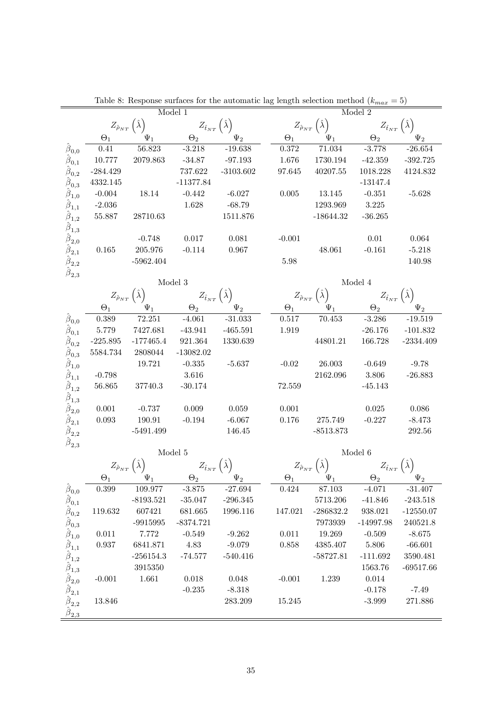|                                                                                                                                                                                       |                           |                                                 | Model 1                                      |             |                          | Table 6. Response surfaces for the automatic lag length selection include $(\kappa_{max} - \sigma)$ | Model 2                                                                      |             |
|---------------------------------------------------------------------------------------------------------------------------------------------------------------------------------------|---------------------------|-------------------------------------------------|----------------------------------------------|-------------|--------------------------|-----------------------------------------------------------------------------------------------------|------------------------------------------------------------------------------|-------------|
|                                                                                                                                                                                       |                           |                                                 |                                              |             |                          |                                                                                                     |                                                                              |             |
|                                                                                                                                                                                       |                           | $Z_{\hat{\rho}_{NT}}(\hat{\lambda})$            | $Z_{\hat{t}_{NT}}\left(\hat{\lambda}\right)$ |             |                          | $Z_{\hat{\rho}_{NT}}\left(\hat{\lambda}\right)$                                                     | $Z_{\hat{t}_{NT}}\left(\hat{\lambda}\right)$                                 |             |
|                                                                                                                                                                                       | $\Theta_1$                | $\Psi_1$                                        | $\Theta_2$                                   | $\Psi_2$    | $\Theta_1$               | $\Psi_1$                                                                                            | $\Theta_2$                                                                   | $\Psi_2$    |
| $\hat{\boldsymbol{\beta}}_{0,0}$                                                                                                                                                      | 0.41                      | 56.823                                          | $-3.218$                                     | $-19.638$   | $0.372\,$                | 71.034                                                                                              | $-3.778$                                                                     | $-26.654$   |
|                                                                                                                                                                                       | 10.777                    | 2079.863                                        | $-34.87$                                     | -97.193     | 1.676                    | 1730.194                                                                                            | $-42.359$                                                                    | $-392.725$  |
| $\hat{\hat{\beta}}_{0,1} \hat{\hat{\beta}}_{0,2}$                                                                                                                                     | $-284.429$                |                                                 | 737.622                                      | $-3103.602$ | 97.645                   | 40207.55                                                                                            | 1018.228                                                                     | 4124.832    |
| $\hat{\hat{\beta}}_{0,3} \hat{\hat{\beta}}_{1,0}$                                                                                                                                     | 4332.145                  |                                                 | $-11377.84$                                  |             |                          |                                                                                                     | $-13147.4$                                                                   |             |
|                                                                                                                                                                                       | $-0.004$                  | 18.14                                           | $-0.442$                                     | $-6.027$    | 0.005                    | 13.145                                                                                              | $-0.351$                                                                     | $-5.628$    |
|                                                                                                                                                                                       | $-2.036$                  |                                                 | 1.628                                        | $-68.79$    |                          | 1293.969                                                                                            | 3.225                                                                        |             |
|                                                                                                                                                                                       | $55.887\,$                | 28710.63                                        |                                              | 1511.876    |                          | $-18644.32$                                                                                         | $-36.265$                                                                    |             |
| $\hat{\hat{\beta}}_{1,1}$<br>$\hat{\hat{\beta}}_{1,2}$<br>$\hat{\hat{\beta}}_{1,3}$                                                                                                   |                           |                                                 |                                              |             |                          |                                                                                                     |                                                                              |             |
| $\hat{\boldsymbol{\beta}}_{2,0}$                                                                                                                                                      |                           | $-0.748$                                        | 0.017                                        | 0.081       | $-0.001$                 |                                                                                                     | $0.01\,$                                                                     | 0.064       |
| $\hat{\boldsymbol{\beta}}_{2,1}$                                                                                                                                                      | 0.165                     | $205.976\,$                                     | $-0.114$                                     | 0.967       |                          | 48.061                                                                                              | $-0.161$                                                                     | $-5.218$    |
| $\hat{\beta}_{2,2}$                                                                                                                                                                   |                           | $-5962.404$                                     |                                              |             | $5.98\,$                 |                                                                                                     |                                                                              | 140.98      |
| $\hat{\pmb \beta}_{2,3}$                                                                                                                                                              |                           |                                                 |                                              |             |                          |                                                                                                     |                                                                              |             |
|                                                                                                                                                                                       |                           |                                                 | Model 3                                      |             |                          |                                                                                                     | Model 4                                                                      |             |
|                                                                                                                                                                                       |                           | $Z_{\hat{\rho}_{NT}}\left(\hat{\lambda}\right)$ | $Z_{\hat{t}_{NT}}(\hat{\lambda})$            |             |                          | $Z_{\hat{\rho}_{NT}}(\hat{\lambda})$                                                                | $Z_{\hat{t}_{NT}}(\hat{\lambda})$                                            |             |
|                                                                                                                                                                                       | $\Theta_1$                | $\Psi_1$                                        | $\Theta_2$                                   | $\Psi_2$    | $\Theta_1$               | $\Psi_1$                                                                                            | $\Theta_2$                                                                   | $\Psi_2$    |
| $\hat{\beta}_{0,0}$                                                                                                                                                                   | 0.389                     | 72.251                                          | $-4.061$                                     | $-31.033$   | 0.517                    | 70.453                                                                                              | $-3.286$                                                                     | $-19.519$   |
| $\hat{\beta}_{0,1}$                                                                                                                                                                   | 5.779                     | 7427.681                                        | $-43.941$                                    | $-465.591$  | 1.919                    |                                                                                                     | $-26.176$                                                                    | $-101.832$  |
|                                                                                                                                                                                       | $-225.895$                | $-177465.4$                                     | 921.364                                      | 1330.639    |                          | 44801.21                                                                                            | 166.728                                                                      | $-2334.409$ |
|                                                                                                                                                                                       | 5584.734                  | 2808044                                         | $-13082.02$                                  |             |                          |                                                                                                     |                                                                              |             |
| $\hat{\hat{\beta}}_{0,2} \ \hat{\hat{\beta}}_{0,3} \ \hat{\hat{\beta}}_{1,0} \ \hat{\hat{\beta}}_{1,1} \ \hat{\hat{\beta}}_{1,2} \ \hat{\hat{\beta}}_{1,3} \ \hat{\hat{\beta}}_{2,0}$ |                           | $19.721\,$                                      | $-0.335$                                     | $-5.637$    | $-0.02$                  | 26.003                                                                                              | $-0.649$                                                                     | $-9.78$     |
|                                                                                                                                                                                       | $-0.798$                  |                                                 | 3.616                                        |             |                          | 2162.096                                                                                            | 3.806                                                                        | $-26.883$   |
|                                                                                                                                                                                       | 56.865                    | $37740.3\,$                                     | $-30.174$                                    |             | 72.559                   |                                                                                                     | $-45.143$                                                                    |             |
|                                                                                                                                                                                       |                           |                                                 |                                              |             |                          |                                                                                                     |                                                                              |             |
|                                                                                                                                                                                       | 0.001                     | $-0.737$                                        | 0.009                                        | 0.059       | 0.001                    |                                                                                                     | 0.025                                                                        | 0.086       |
| $\hat{\boldsymbol{\beta}}_{2,1}$                                                                                                                                                      | $\,0.093\,$               | $190.91\,$                                      | $-0.194$                                     | $-6.067$    | $0.176\,$                | 275.749                                                                                             | $-0.227$                                                                     | $-8.473$    |
| $\hat{\beta}_{2,2}$                                                                                                                                                                   |                           | $-5491.499$                                     |                                              | 146.45      |                          | $-8513.873$                                                                                         |                                                                              | 292.56      |
| $\hat{\boldsymbol{\beta}}_{2,3}$                                                                                                                                                      |                           |                                                 |                                              |             |                          |                                                                                                     |                                                                              |             |
|                                                                                                                                                                                       |                           |                                                 | Model 5                                      |             |                          |                                                                                                     | Model 6                                                                      |             |
|                                                                                                                                                                                       |                           | $Z_{\hat{\rho}_{NT}}\left(\hat{\lambda}\right)$ | $Z_{\hat{t}_{NT}}\left(\hat{\lambda}\right)$ |             |                          | $Z_{\hat{\rho}_{NT}}\left(\hat{\lambda}\right)$                                                     | $\frac{Z_{\hat{t}_{NT}}\left(\hat{\lambda}\right)}{\frac{\Theta_2}{\cdots}}$ |             |
|                                                                                                                                                                                       | $\Theta_1$ <sub>___</sub> |                                                 | $\frac{\dot{\Psi}_1}{\Phi_2}$ $\Theta_2$     | $\Psi_2$    | $\Theta_1$ <sub>__</sub> | $\Psi_1$                                                                                            |                                                                              | $\Psi_2$    |
| $\hat{\beta}_{0,0}$                                                                                                                                                                   | 0.399                     | 109.977                                         | $-3.875$                                     | -27.694     | 0.424                    | 87.103                                                                                              | $-4.071$                                                                     | $-31.407$   |
| $\hat{\beta}_{0,1}$                                                                                                                                                                   |                           | $-8193.521$                                     | $-35.047$                                    | $-296.345$  |                          | 5713.206                                                                                            | $-41.846$                                                                    | $-243.518$  |
| $\hat{\beta}_{0,2}$                                                                                                                                                                   | 119.632                   | 607421                                          | 681.665                                      | 1996.116    | 147.021                  | $-286832.2$                                                                                         | 938.021                                                                      | $-12550.07$ |
| $\hat{\beta}_{0,3}$                                                                                                                                                                   |                           | $-9915995$                                      | $-8374.721$                                  |             |                          | 7973939                                                                                             | $-14997.98$                                                                  | 240521.8    |
| $\hat{\beta}_{1,0}$                                                                                                                                                                   | 0.011                     | 7.772                                           | $-0.549$                                     | $-9.262$    | 0.011                    | 19.269                                                                                              | $-0.509$                                                                     | $-8.675$    |
| $\hat{\beta}_{1,1}$                                                                                                                                                                   | 0.937                     | 6841.871                                        | 4.83                                         | -9.079      | 0.858                    | 4385.407                                                                                            | 5.806                                                                        | $-66.601$   |
|                                                                                                                                                                                       |                           | $-256154.3$                                     | $-74.577$                                    | $-540.416$  |                          | $-58727.81$                                                                                         | $-111.692$                                                                   | 3590.481    |
|                                                                                                                                                                                       |                           | 3915350                                         |                                              |             |                          |                                                                                                     | 1563.76                                                                      | $-69517.66$ |
| $\hat{\hat{\beta}}_{1,2} \ \hat{\hat{\beta}}_{1,3} \ \hat{\hat{\beta}}_{2,0} \ \hat{\hat{\beta}}_{2,1} \ \hat{\hat{\beta}}_{2,2}$                                                     | $-0.001$                  | 1.661                                           | 0.018                                        | 0.048       | $-0.001$                 | 1.239                                                                                               | 0.014                                                                        |             |
|                                                                                                                                                                                       |                           |                                                 | $-0.235$                                     | $-8.318$    |                          |                                                                                                     | $-0.178$                                                                     | $-7.49$     |
|                                                                                                                                                                                       | 13.846                    |                                                 |                                              | 283.209     | 15.245                   |                                                                                                     | $-3.999$                                                                     | 271.886     |
| $\underline{\hat{\beta}_{2,3}}$                                                                                                                                                       |                           |                                                 |                                              |             |                          |                                                                                                     |                                                                              |             |
|                                                                                                                                                                                       |                           |                                                 |                                              |             |                          |                                                                                                     |                                                                              |             |

Table 8: Response surfaces for the automatic lag length selection method  $(k_{max} = 5)$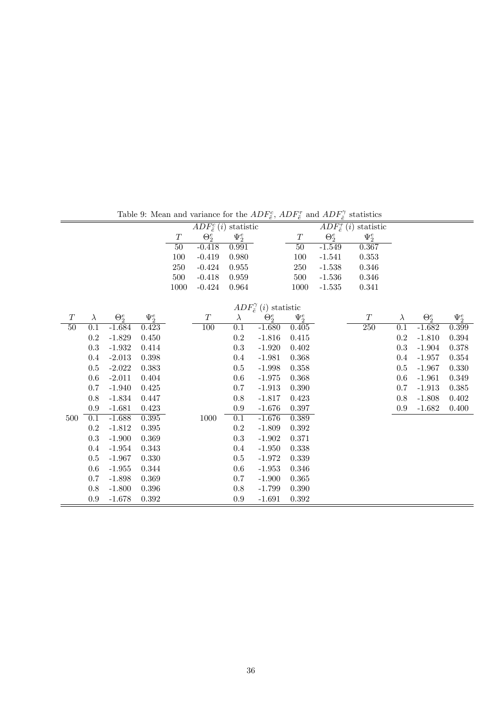|     |           |              |            |        | $ADF_{\tilde{e}}^{c}(i)$ statistic |                  |                                         |            |              | $ADF^{\tau}_{\tilde{e}}(i)$ statistic |           |              |            |
|-----|-----------|--------------|------------|--------|------------------------------------|------------------|-----------------------------------------|------------|--------------|---------------------------------------|-----------|--------------|------------|
|     |           |              |            | T      | $\Theta_2^e$                       | $\Psi_2^e$       |                                         | T          | $\Theta_2^e$ | $\Psi_2^e$                            |           |              |            |
|     |           |              |            | $50\,$ | $-0.418$                           | 0.991            |                                         | 50         | $-1.549$     | 0.367                                 |           |              |            |
|     |           |              |            | 100    | $-0.419$                           | 0.980            |                                         | 100        | $-1.541$     | $0.353\,$                             |           |              |            |
|     |           |              |            | 250    | $-0.424$                           | 0.955            |                                         | 250        | $-1.538$     | 0.346                                 |           |              |            |
|     |           |              |            | 500    | $-0.418$                           | 0.959            |                                         | 500        | $-1.536$     | 0.346                                 |           |              |            |
|     |           |              |            | 1000   | $-0.424$                           | 0.964            |                                         | 1000       | $-1.535$     | 0.341                                 |           |              |            |
|     |           |              |            |        |                                    |                  |                                         |            |              |                                       |           |              |            |
|     |           |              |            |        |                                    |                  | $ADF_{\tilde{e}}^{\gamma}(i)$ statistic |            |              |                                       |           |              |            |
| T   | $\lambda$ | $\Theta_2^e$ | $\Psi^e_2$ |        | $\cal T$                           | $\lambda$        | $\Theta_2^e$                            | $\Psi^e_2$ |              | T                                     | $\lambda$ | $\Theta_2^e$ | $\Psi^e_2$ |
| 50  | 0.1       | $-1.684$     | 0.423      |        | 100                                | 0.1              | $-1.680$                                | 0.405      |              | 250                                   | 0.1       | $-1.682$     | 0.399      |
|     | $0.2\,$   | $-1.829$     | 0.450      |        |                                    | $0.2\,$          | $-1.816$                                | 0.415      |              |                                       | $\rm 0.2$ | $-1.810$     | 0.394      |
|     | 0.3       | $-1.932$     | 0.414      |        |                                    | $0.3\,$          | $-1.920$                                | 0.402      |              |                                       | 0.3       | $-1.904$     | 0.378      |
|     | 0.4       | $-2.013$     | 0.398      |        |                                    | $0.4\,$          | $-1.981$                                | 0.368      |              |                                       | 0.4       | $-1.957$     | 0.354      |
|     | 0.5       | $-2.022$     | 0.383      |        |                                    | $0.5\,$          | $-1.998$                                | 0.358      |              |                                       | 0.5       | $-1.967$     | 0.330      |
|     | 0.6       | $-2.011$     | 0.404      |        |                                    | $0.6\,$          | $-1.975$                                | 0.368      |              |                                       | 0.6       | $-1.961$     | 0.349      |
|     | 0.7       | $-1.940$     | 0.425      |        |                                    | $0.7\,$          | $-1.913$                                | 0.390      |              |                                       | 0.7       | $-1.913$     | 0.385      |
|     | 0.8       | $-1.834$     | 0.447      |        |                                    | 0.8              | $-1.817$                                | 0.423      |              |                                       | 0.8       | $-1.808$     | 0.402      |
|     | 0.9       | $-1.681$     | 0.423      |        |                                    | 0.9              | $-1.676$                                | 0.397      |              |                                       | 0.9       | $-1.682$     | 0.400      |
| 500 | 0.1       | $-1.688$     | 0.395      |        | 1000                               | $\overline{0.1}$ | $-1.676$                                | 0.389      |              |                                       |           |              |            |
|     | $\rm 0.2$ | $-1.812$     | 0.395      |        |                                    | $\rm 0.2$        | $-1.809$                                | 0.392      |              |                                       |           |              |            |
|     | $\rm 0.3$ | $-1.900$     | 0.369      |        |                                    | $0.3\,$          | $-1.902$                                | 0.371      |              |                                       |           |              |            |
|     | 0.4       | $-1.954$     | 0.343      |        |                                    | $0.4\,$          | $-1.950$                                | 0.338      |              |                                       |           |              |            |
|     | 0.5       | $-1.967$     | 0.330      |        |                                    | $0.5\,$          | $-1.972$                                | 0.339      |              |                                       |           |              |            |
|     | 0.6       | $-1.955$     | 0.344      |        |                                    | $0.6\,$          | $-1.953$                                | 0.346      |              |                                       |           |              |            |
|     | 0.7       | $-1.898$     | 0.369      |        |                                    | $0.7\,$          | $-1.900$                                | 0.365      |              |                                       |           |              |            |
|     | 0.8       | $-1.800$     | 0.396      |        |                                    | 0.8              | $-1.799$                                | 0.390      |              |                                       |           |              |            |
|     | $0.9\,$   | $-1.678$     | 0.392      |        |                                    | 0.9              | $-1.691$                                | 0.392      |              |                                       |           |              |            |

Table 9: Mean and variance for the  $ADF_{\tilde{e}}^c$ ,  $ADF_{\tilde{e}}^{\tau}$  and  $ADF_{\tilde{e}}^{\gamma}$  statistics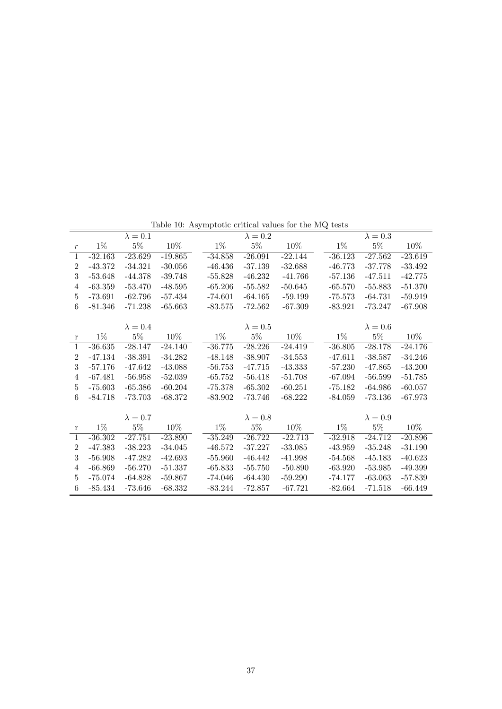|                |           |                 | Lable 10. Asymptotic critical values for the mc tests |           |                 |           |           |                            |           |
|----------------|-----------|-----------------|-------------------------------------------------------|-----------|-----------------|-----------|-----------|----------------------------|-----------|
|                |           | $\lambda=0.1$   |                                                       |           | $\lambda = 0.2$ |           |           | $\lambda = 0.\overline{3}$ |           |
| $\,r\,$        | $1\%$     | $5\%$           | $10\%$                                                | $1\%$     | $5\%$           | 10%       | $1\%$     | $5\%$                      | $10\%$    |
| $\mathbf{1}$   | $-32.163$ | $-23.629$       | $-19.865$                                             | $-34.858$ | $-26.091$       | $-22.144$ | $-36.123$ | $-27.562$                  | $-23.619$ |
| $\overline{2}$ | $-43.372$ | $-34.321$       | $-30.056$                                             | $-46.436$ | $-37.139$       | $-32.688$ | $-46.773$ | $-37.778$                  | $-33.492$ |
| 3              | $-53.648$ | $-44.378$       | $-39.748$                                             | $-55.828$ | $-46.232$       | $-41.766$ | $-57.136$ | $-47.511$                  | $-42.775$ |
| $\overline{4}$ | $-63.359$ | $-53.470$       | $-48.595$                                             | $-65.206$ | $-55.582$       | $-50.645$ | $-65.570$ | $-55.883$                  | $-51.370$ |
| 5              | $-73.691$ | $-62.796$       | $-57.434$                                             | $-74.601$ | $-64.165$       | $-59.199$ | $-75.573$ | $-64.731$                  | $-59.919$ |
| 6              | $-81.346$ | $-71.238$       | $-65.663$                                             | $-83.575$ | $-72.562$       | $-67.309$ | $-83.921$ | $-73.247$                  | $-67.908$ |
|                |           |                 |                                                       |           |                 |           |           |                            |           |
|                |           | $\lambda = 0.4$ |                                                       |           | $\lambda = 0.5$ |           |           | $\lambda = 0.6$            |           |
| $\bf r$        | $1\%$     | $5\%$           | 10%                                                   | $1\%$     | $5\%$           | 10%       | $1\%$     | $5\%$                      | 10%       |
| $\overline{1}$ | $-36.635$ | $-28.147$       | $-24.140$                                             | $-36.775$ | $-28.226$       | $-24.419$ | $-36.805$ | $-28.178$                  | $-24.176$ |
| $\overline{2}$ | $-47.134$ | $-38.391$       | $-34.282$                                             | $-48.148$ | $-38.907$       | $-34.553$ | $-47.611$ | $-38.587$                  | $-34.246$ |
| 3              | $-57.176$ | $-47.642$       | $-43.088$                                             | $-56.753$ | $-47.715$       | $-43.333$ | $-57.230$ | $-47.865$                  | $-43.200$ |
| $\overline{4}$ | $-67.481$ | $-56.958$       | $-52.039$                                             | $-65.752$ | $-56.418$       | $-51.708$ | $-67.094$ | $-56.599$                  | $-51.785$ |
| 5              | $-75.603$ | $-65.386$       | $-60.204$                                             | $-75.378$ | $-65.302$       | $-60.251$ | $-75.182$ | $-64.986$                  | $-60.057$ |
| 6              | $-84.718$ | $-73.703$       | $-68.372$                                             | $-83.902$ | $-73.746$       | $-68.222$ | $-84.059$ | $-73.136$                  | $-67.973$ |
|                |           |                 |                                                       |           |                 |           |           |                            |           |
|                |           | $\lambda = 0.7$ |                                                       |           | $\lambda = 0.8$ |           |           | $\lambda = 0.9$            |           |
| $\bf r$        | $1\%$     | $5\%$           | 10%                                                   | $1\%$     | $5\%$           | $10\%$    | $1\%$     | $5\%$                      | $10\%$    |
| $\overline{1}$ | $-36.302$ | $-27.751$       | $-23.890$                                             | $-35.249$ | $-26.722$       | $-22.713$ | $-32.918$ | $-24.712$                  | $-20.896$ |
| $\overline{2}$ | $-47.383$ | $-38.223$       | $-34.045$                                             | $-46.572$ | $-37.227$       | $-33.085$ | $-43.959$ | $-35.248$                  | $-31.190$ |
| 3              | $-56.908$ | $-47.282$       | $-42.693$                                             | $-55.960$ | $-46.442$       | $-41.998$ | $-54.568$ | $-45.183$                  | $-40.623$ |
| $\overline{4}$ | $-66.869$ | $-56.270$       | $-51.337$                                             | $-65.833$ | $-55.750$       | $-50.890$ | $-63.920$ | $-53.985$                  | $-49.399$ |
| $\mathbf 5$    | $-75.074$ | $-64.828$       | $-59.867$                                             | $-74.046$ | $-64.430$       | $-59.290$ | $-74.177$ | $-63.063$                  | $-57.839$ |
| 6              | $-85.434$ | $-73.646$       | $-68.332$                                             | $-83.244$ | $-72.857$       | $-67.721$ | $-82.664$ | $-71.518$                  | $-66.449$ |
|                |           |                 |                                                       |           |                 |           |           |                            |           |

Table 10: Asymptotic critical values for the MQ tests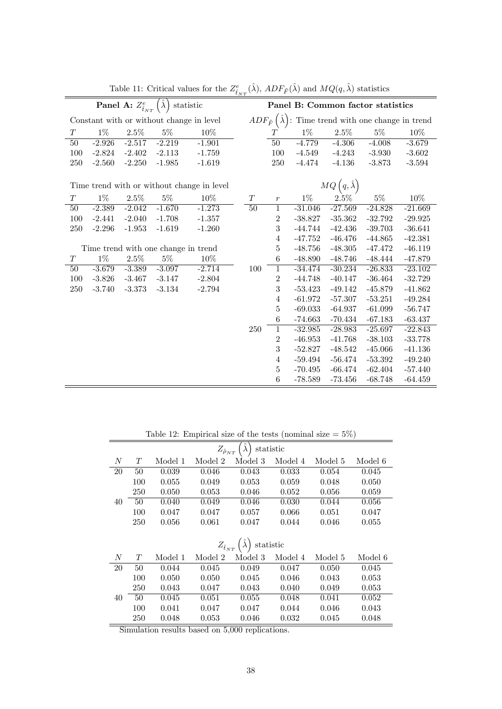|          |          | Panel A: $Z^e_{\hat{t}_{NT}}$ | $\ell \hat{\lambda}$ , | statistic                                  |                 |                  |           |                                   | Panel B: Common factor statistics                                      |           |
|----------|----------|-------------------------------|------------------------|--------------------------------------------|-----------------|------------------|-----------|-----------------------------------|------------------------------------------------------------------------|-----------|
|          |          |                               |                        | Constant with or without change in level   |                 |                  |           |                                   | $ADF_{\tilde{F}}(\hat{\lambda})$ : Time trend with one change in trend |           |
| $\cal T$ | $1\%$    | $2.5\%$                       | $5\%$                  | $10\%$                                     |                 | T                | $1\%$     | $2.5\%$                           | $5\%$                                                                  | 10%       |
| 50       | $-2.926$ | $-2.517$                      | $-2.219$               | $-1.901$                                   |                 | $\overline{50}$  | $-4.779$  | $-4.306$                          | $-4.008$                                                               | $-3.679$  |
| 100      | $-2.824$ | $-2.402$                      | $-2.113$               | $-1.759$                                   |                 | 100              | $-4.549$  | $-4.243$                          | $-3.930$                                                               | $-3.602$  |
| 250      | $-2.560$ | $-2.250$                      | $-1.985$               | $-1.619$                                   |                 | 250              | $-4.474$  | $-4.136$                          | $-3.873$                                                               | $-3.594$  |
|          |          |                               |                        | Time trend with or without change in level |                 |                  |           | $MQ\left(q, \hat{\lambda}\right)$ |                                                                        |           |
| T        | $1\%$    | 2.5%                          | $5\%$                  | 10%                                        | T               | $\boldsymbol{r}$ | $1\%$     | 2.5%                              | $5\%$                                                                  | 10%       |
| 50       | $-2.389$ | $-2.042$                      | $-1.670$               | $-1.273$                                   | $\overline{50}$ | $\overline{1}$   | $-31.046$ | $-27.569$                         | $-24.828$                                                              | $-21.669$ |
| 100      | $-2.441$ | $-2.040$                      | $-1.708$               | $-1.357$                                   |                 | $\mathbf{2}$     | $-38.827$ | $-35.362$                         | $-32.792$                                                              | $-29.925$ |
| 250      | $-2.296$ | $-1.953$                      | $-1.619$               | $-1.260$                                   |                 | 3                | $-44.744$ | $-42.436$                         | $-39.703$                                                              | $-36.641$ |
|          |          |                               |                        |                                            |                 | $\overline{4}$   | $-47.752$ | $-46.476$                         | $-44.865$                                                              | $-42.381$ |
|          |          |                               |                        | Time trend with one change in trend        |                 | $\bf 5$          | $-48.756$ | $-48.305$                         | $-47.472$                                                              | $-46.119$ |
| $\cal T$ | $1\%$    | $2.5\%$                       | $5\%$                  | $10\%$                                     |                 | $\,6$            | $-48.890$ | $-48.746$                         | $-48.444$                                                              | $-47.879$ |
| 50       | $-3.679$ | $-3.389$                      | $-3.097$               | $-2.714$                                   | 100             | $\mathbf{1}$     | $-34.474$ | $-30.234$                         | $-26.833$                                                              | $-23.102$ |
| 100      | $-3.826$ | $-3.467$                      | $-3.147$               | $-2.804$                                   |                 | $\overline{2}$   | $-44.748$ | $-40.147$                         | $-36.464$                                                              | $-32.729$ |
| 250      | $-3.740$ | $-3.373$                      | $-3.134$               | $-2.794$                                   |                 | 3                | $-53.423$ | $-49.142$                         | $-45.879$                                                              | $-41.862$ |
|          |          |                               |                        |                                            |                 | $\overline{4}$   | $-61.972$ | $-57.307$                         | $-53.251$                                                              | $-49.284$ |
|          |          |                               |                        |                                            |                 | $\bf 5$          | $-69.033$ | $-64.937$                         | $-61.099$                                                              | $-56.747$ |
|          |          |                               |                        |                                            |                 | 6                | $-74.663$ | $-70.434$                         | $-67.183$                                                              | $-63.437$ |
|          |          |                               |                        |                                            | 250             | $\overline{1}$   | $-32.985$ | $-28.983$                         | $-25.697$                                                              | $-22.843$ |
|          |          |                               |                        |                                            |                 | $\overline{2}$   | $-46.953$ | $-41.768$                         | $-38.103$                                                              | $-33.778$ |
|          |          |                               |                        |                                            |                 | 3                | $-52.827$ | $-48.542$                         | $-45.066$                                                              | $-41.136$ |
|          |          |                               |                        |                                            |                 | $\overline{4}$   | $-59.494$ | $-56.474$                         | $-53.392$                                                              | $-49.240$ |
|          |          |                               |                        |                                            |                 | $\overline{5}$   | $-70.495$ | $-66.474$                         | $-62.404$                                                              | $-57.440$ |
|          |          |                               |                        |                                            |                 | 6                | $-78.589$ | $-73.456$                         | $-68.748$                                                              | $-64.459$ |

Table 11: Critical values for the  $Z_{\hat{t}_{NT}}^e(\hat{\lambda}), ADF_{\tilde{F}}(\hat{\lambda})$  and  $MQ(q, \hat{\lambda})$  statistics

Table 12: Empirical size of the tests (nominal size  $= 5\%$ )

|    |     |         | $Z_{\hat{\rho}_{NT}}$ | $\lambda$       | statistic |         |         |
|----|-----|---------|-----------------------|-----------------|-----------|---------|---------|
| N  | Т   | Model 1 | Model 2               | Model 3         | Model 4   | Model 5 | Model 6 |
| 20 | 50  | 0.039   | 0.046                 | 0.043           | 0.033     | 0.054   | 0.045   |
|    | 100 | 0.055   | 0.049                 | 0.053           | 0.059     | 0.048   | 0.050   |
|    | 250 | 0.050   | 0.053                 | 0.046           | 0.052     | 0.056   | 0.059   |
| 40 | 50  | 0.040   | 0.049                 | 0.046           | 0.030     | 0.044   | 0.056   |
|    | 100 | 0.047   | 0.047                 | 0.057           | 0.066     | 0.051   | 0.047   |
|    | 250 | 0.056   | 0.061                 | 0.047           | 0.044     | 0.046   | 0.055   |
|    |     |         |                       |                 |           |         |         |
|    |     |         | $Z_{\hat{t}_{NT}}$    | $\rm statistic$ |           |         |         |
| N  | T   | Model 1 | Model 2               | Model 3         | Model 4   | Model 5 | Model 6 |
| 20 | 50  | 0.044   | 0.045                 | 0.049           | 0.047     | 0.050   | 0.045   |
|    | 100 | 0.050   | 0.050                 | 0.045           | 0.046     | 0.043   | 0.053   |
|    | 250 | 0.043   | 0.047                 | 0.043           | 0.040     | 0.049   | 0.053   |
| 40 | 50  | 0.045   | 0.051                 | 0.055           | 0.048     | 0.041   | 0.052   |
|    | 100 | 0.041   | 0.047                 | 0.047           | 0.044     | 0.046   | 0.043   |
|    | 250 | 0.048   | 0.053                 | 0.046           | 0.032     | 0.045   | 0.048   |

Simulation results based on  $5,000$  replications.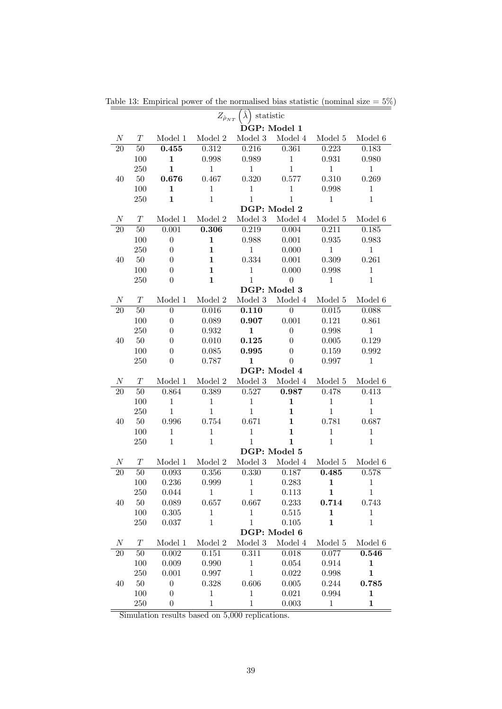|                  |        |                  | $Z_{\hat{\rho}_{NT}}$ | $\hat{\lambda}$ )<br>statistic |                    |              |              |
|------------------|--------|------------------|-----------------------|--------------------------------|--------------------|--------------|--------------|
|                  |        |                  |                       |                                | DGP: Model 1       |              |              |
| $\boldsymbol{N}$ | T      | Model 1          | Model 2               | Model 3                        | Model 4            | Model 5      | Model 6      |
| <b>20</b>        | $50\,$ | 0.455            | 0.312                 | 0.216                          | 0.361              | 0.223        | 0.183        |
|                  | 100    | $\mathbf{1}$     | 0.998                 | 0.989                          | $\mathbf{1}$       | 0.931        | 0.980        |
|                  | 250    | $\mathbf{1}$     | $\mathbf{1}$          | 1                              | $\mathbf{1}$       | $\mathbf{1}$ | $\mathbf{1}$ |
| 40               | $50\,$ | 0.676            | 0.467                 | 0.320                          | 0.577              | 0.310        | 0.269        |
|                  | 100    | $\mathbf{1}$     | $\mathbf{1}$          | $\mathbf{1}$                   | $\mathbf{1}$       | 0.998        | $\mathbf{1}$ |
|                  | 250    | $\mathbf{1}$     | $\mathbf{1}$          | $\mathbf{1}$                   | $\mathbf{1}$       | $\mathbf{1}$ | $\mathbf{1}$ |
|                  |        |                  |                       |                                | DGP: Model 2       |              |              |
| $\boldsymbol{N}$ | T      | Model 1          | Model 2               | Model 3                        | Model 4            | Model 5      | Model 6      |
| <b>20</b>        | 50     | 0.001            | 0.306                 | 0.219                          | 0.004              | 0.211        | 0.185        |
|                  | 100    | $\boldsymbol{0}$ | $\mathbf{1}$          | 0.988                          | 0.001              | 0.935        | 0.983        |
|                  | 250    | $\theta$         | $\mathbf{1}$          | $\mathbf{1}$                   | 0.000              | $\mathbf{1}$ | $\mathbf{1}$ |
| 40               | $50\,$ | 0                | $\mathbf{1}$          | 0.334                          | 0.001              | 0.309        | 0.261        |
|                  | 100    | 0                | $\mathbf{1}$          | $\mathbf{1}$                   | 0.000              | 0.998        | $\mathbf{1}$ |
|                  | 250    | $\boldsymbol{0}$ | $\mathbf{1}$          | $\mathbf{1}$                   | $\boldsymbol{0}$   | $\mathbf{1}$ | $\mathbf{1}$ |
|                  |        |                  |                       |                                | DGP: Model 3       |              |              |
| $\boldsymbol{N}$ | T      | Model 1          | Model 2               | Model 3                        | Model 4            | Model 5      | Model 6      |
| 20               | 50     | $\boldsymbol{0}$ | 0.016                 | 0.110                          | $\overline{0}$     | 0.015        | 0.088        |
|                  | 100    | $\boldsymbol{0}$ | 0.089                 | 0.907                          | 0.001              | 0.121        | 0.861        |
|                  | 250    | 0                | 0.932                 | $\mathbf{1}$                   | $\boldsymbol{0}$   | 0.998        | $\mathbf{1}$ |
| 40               | $50\,$ | 0                | 0.010                 | 0.125                          | $\boldsymbol{0}$   | 0.005        | 0.129        |
|                  | 100    | $\theta$         | 0.085                 | 0.995                          | $\boldsymbol{0}$   | 0.159        | 0.992        |
|                  | 250    | $\boldsymbol{0}$ | 0.787                 | $\mathbf 1$                    | $\boldsymbol{0}$   | 0.997        | $\mathbf{1}$ |
|                  |        |                  |                       |                                | DGP: Model 4       |              |              |
| $\boldsymbol{N}$ | T      | Model 1          | Model 2               | Model 3                        | Model 4            | Model 5      | Model 6      |
| 20               | 50     | 0.864            | 0.389                 | 0.527                          | 0.987              | 0.478        | 0.413        |
|                  | 100    | $\mathbf{1}$     | $\mathbf{1}$          | $\mathbf{1}$                   | $\mathbf{1}$       | $\mathbf 1$  | $\,1$        |
|                  | 250    | $\mathbf 1$      | $\mathbf{1}$          | $\mathbf{1}$                   | $\mathbf{1}$       | $\mathbf{1}$ | $\mathbf{1}$ |
| 40               | $50\,$ | 0.996            | 0.754                 | 0.671                          | $\mathbf{1}$       | 0.781        | 0.687        |
|                  | 100    | $\mathbf 1$      | $\mathbf{1}$          | $\mathbf{1}$                   | $\mathbf{1}$       | $\mathbf{1}$ | $\mathbf{1}$ |
|                  | 250    | $\mathbf{1}$     | $\mathbf{1}$          | $\mathbf{1}$                   | $\mathbf{1}$       | $\mathbf{1}$ | $\mathbf{1}$ |
|                  |        |                  |                       |                                | DGP: Model 5       |              |              |
| $\,N$            | $T\,$  | Model 1          | Model 2               | Model 3                        | Model 4            | Model 5      | Model 6      |
| 20               | 50     | 0.093            | 0.356                 | 0.330                          | 0.187              | 0.485        | 0.578        |
|                  | 100    | 0.236            | 0.999                 | $\mathbf{1}$                   | 0.283              | $\mathbf{1}$ | $\mathbf{1}$ |
|                  | 250    | 0.044            | $\mathbf{1}$          | $\mathbf{1}$                   | 0.113              | $\mathbf{1}$ | $\mathbf{1}$ |
| 40               | $50\,$ | 0.089            | 0.657                 | 0.667                          | 0.233              | 0.714        | 0.743        |
|                  | 100    | 0.305            | $\,1$                 | $\mathbf{1}$                   | 0.515              | $\mathbf 1$  | $\mathbf{1}$ |
|                  | 250    | 0.037            | $\mathbf{1}$          | $\mathbf{1}$                   | 0.105              | 1            | $\mathbf{1}$ |
|                  |        |                  |                       |                                | DGP: Model 6       |              |              |
| $\cal N$         | T      | Model 1          | $\,$ Model $2$        | Model 3                        | $\textbf{Model}~4$ | Model 5      | Model 6      |
| 20               | $50\,$ | 0.002            | 0.151                 | 0.311                          | 0.018              | 0.077        | 0.546        |
|                  | 100    | $0.009\,$        | 0.990                 | $\,1$                          | 0.054              | 0.914        | $\mathbf{1}$ |
|                  | 250    | 0.001            | 0.997                 | $\mathbf{1}$                   | 0.022              | 0.998        | $\mathbf{1}$ |
| 40               | $50\,$ | $\boldsymbol{0}$ | 0.328                 | 0.606                          | 0.005              | 0.244        | 0.785        |
|                  | 100    | $\boldsymbol{0}$ | $\mathbf{1}$          | $\mathbf{1}$                   | 0.021              | 0.994        | $\mathbf{1}$ |
|                  | 250    | $\boldsymbol{0}$ | $\,1$                 | $\mathbf{1}$                   | 0.003              | $\mathbf{1}$ | $\mathbf{1}$ |

Table 13: Empirical power of the normalised bias statistic (nominal size  $= 5\%$ )

Simulation results based on  $5,000$  replications.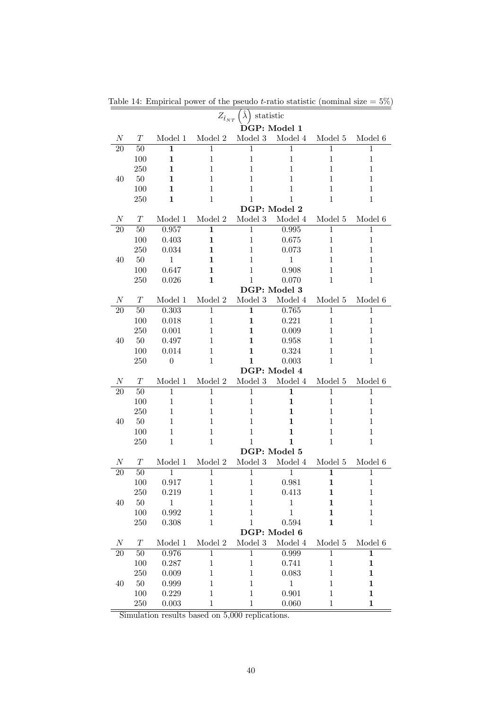|                 |          |                  | $Z_{\hat{t}_{NT}}$ | $\hat{\lambda}$<br>statistic |                |                     |              |
|-----------------|----------|------------------|--------------------|------------------------------|----------------|---------------------|--------------|
|                 |          |                  |                    |                              | DGP: Model 1   |                     |              |
| $\overline{N}$  | T        | Model 1          | Model 2            | Model 3                      | Model 4        | Model 5             | Model 6      |
| $\overline{2}0$ | 50       | 1                | 1                  | 1                            | $\mathbf{1}$   | $\mathbf{1}$        | 1            |
|                 | 100      | 1                | $\mathbf{1}$       | $\mathbf{1}$                 | $\mathbf{1}$   | $\mathbf{1}$        | $\mathbf{1}$ |
|                 | 250      | 1                | 1                  | $\mathbf{1}$                 | $\mathbf{1}$   | $\mathbf{1}$        | $\mathbf{1}$ |
| 40              | 50       | $\mathbf{1}$     | 1                  | $\mathbf{1}$                 | $\mathbf{1}$   | $\mathbf{1}$        | $\mathbf{1}$ |
|                 | 100      | 1                | 1                  | $\mathbf{1}$                 | $\mathbf{1}$   | $\mathbf{1}$        | $\mathbf{1}$ |
|                 | 250      | 1                | $\mathbf{1}$       | $\mathbf{1}$                 | 1              | $\mathbf{1}$        | $\mathbf{1}$ |
|                 |          |                  |                    | DGP: Model 2                 |                |                     |              |
| $\overline{N}$  | T        | Model 1          | Model 2            | Model 3                      | Model 4        | Model 5             | Model 6      |
| $\overline{20}$ | 50       | 0.957            | $\overline{1}$     | $\overline{1}$               | 0.995          | $\overline{1}$      | $\mathbf{1}$ |
|                 | 100      | 0.403            | $\mathbf{1}$       | $\mathbf{1}$                 | 0.675          | $\mathbf{1}$        | $\mathbf{1}$ |
|                 | 250      | 0.034            | 1                  | $\mathbf{1}$                 | 0.073          | $\mathbf{1}$        | $\mathbf{1}$ |
| 40              | 50       | $\mathbf{1}$     | 1                  | $\mathbf{1}$                 | 1              | $\mathbf{1}$        | $\mathbf{1}$ |
|                 | 100      | 0.647            | 1                  | $\mathbf{1}$                 | 0.908          | $\mathbf{1}$        | $\mathbf{1}$ |
|                 | 250      | 0.026            | $\mathbf{1}$       | 1                            | 0.070          | $\mathbf{1}$        | $\mathbf{1}$ |
|                 |          |                  |                    | DGP: Model 3                 |                |                     |              |
| $\overline{N}$  | T        | Model 1          | Model 2            | Model 3                      | Model 4        | Model 5             | Model 6      |
| 20              | 50       | 0.303            | $\overline{1}$     | $\mathbf{1}$                 | 0.765          | $\mathbf{1}$        | $\mathbf{1}$ |
|                 | 100      | 0.018            | $\mathbf{1}$       | 1                            | 0.221          | $\mathbf{1}$        | $\mathbf{1}$ |
|                 | 250      | 0.001            | 1                  | $\mathbf{1}$                 | 0.009          | $\mathbf{1}$        | $\mathbf{1}$ |
| 40              | 50       | 0.497            | 1                  | 1                            | 0.958          | $\mathbf{1}$        | $\mathbf{1}$ |
|                 | 100      | 0.014            | 1                  | 1                            | 0.324          | $\mathbf{1}$        | $\mathbf{1}$ |
|                 | 250      | $\boldsymbol{0}$ | $\mathbf{1}$       | 1                            | 0.003          | $\mathbf{1}$        | $\mathbf{1}$ |
|                 |          |                  |                    | DGP: Model 4                 |                |                     |              |
| N               | T        | Model 1          | Model 2            | Model 3                      | Model 4        | Model 5             | Model 6      |
| 20              | 50       | $\overline{1}$   | $\overline{1}$     | $\overline{1}$               | $\mathbf{1}$   | $\overline{1}$      | $\mathbf{1}$ |
|                 | 100      | $\mathbf{1}$     | $\mathbf{1}$       | $\mathbf 1$                  | $\mathbf{1}$   | $\mathbf{1}$        | $\mathbf{1}$ |
|                 | 250      | 1                | 1                  | 1                            | 1              | 1                   | 1            |
| 40              | 50       | 1                | 1                  | $\mathbf{1}$                 | 1              | 1                   | 1            |
|                 | 100      | $\mathbf{1}$     | 1                  | $\mathbf{1}$                 | $\mathbf{1}$   | $\mathbf{1}$        | $\mathbf{1}$ |
|                 | 250      | $\mathbf{1}$     | $\mathbf{1}$       | 1                            | $\mathbf{1}$   | $\mathbf{1}$        | $\mathbf{1}$ |
|                 |          |                  |                    | DGP: Model 5                 |                |                     |              |
| N               | $T\,$    | Model 1          | Model 2            | Model 3                      | Model 4        | Model 5             | Model 6      |
| 20              | 50       | 1                | $\mathbf 1$        | 1                            | $\overline{1}$ | $\mathbf{1}$        | 1            |
|                 | 100      | 0.917            | $\mathbf{1}$       | $\mathbf{1}$                 | 0.981          | $\mathbf{1}$        | $\mathbf 1$  |
|                 | 250      | 0.219            | $\mathbf{1}$       | 1                            | 0.413          | 1                   | $\mathbf{1}$ |
| 40              | $50\,$   | $\,1$            | 1                  | $\mathbf 1$                  | $\,1$          | 1                   | $\mathbf 1$  |
|                 | 100      | 0.992            | $\mathbf{1}$       | $\mathbf 1$                  | $\mathbf{1}$   | 1                   | $\mathbf 1$  |
|                 | $250\,$  | $0.308\,$        | $\mathbf{1}$       | $\mathbf 1$                  | 0.594          | 1                   | $\mathbf{1}$ |
|                 |          |                  |                    |                              | DGP: Model 6   |                     |              |
| $\cal N$        | $\cal T$ | Model 1          | Model 2            | $\,$ Model $3$               | Model 4        | $\textbf{Model}\ 5$ | Model 6      |
| 20              | $50\,$   | 0.976            | $\overline{1}$     | $\mathbf{1}$                 | 0.999          | $\overline{1}$      | $\mathbf{1}$ |
|                 | 100      | 0.287            | $\mathbf{1}$       | $\mathbf{1}$                 | 0.741          | $\mathbf{1}$        | $\mathbf{1}$ |
|                 | 250      | 0.009            | $\mathbf{1}$       | $\mathbf 1$                  | 0.083          | $\mathbf{1}$        | $\mathbf 1$  |
| 40              | $50\,$   | 0.999            | 1                  | $\mathbf{1}$                 | $\,1$          | $\mathbf{1}$        | $\mathbf{1}$ |
|                 | 100      | 0.229            | $\mathbf{1}$       | $\mathbf{1}$                 | 0.901          | $\mathbf{1}$        | $\mathbf{1}$ |
|                 | $250\,$  | 0.003            | $\,1$              | $\mathbf{1}$                 | 0.060          | $\mathbf 1$         | $\mathbf{1}$ |

Table 14: Empirical power of the pseudo *t*-ratio statistic (nominal size  $= 5\%$ )

Simulation results based on 5,000 replications.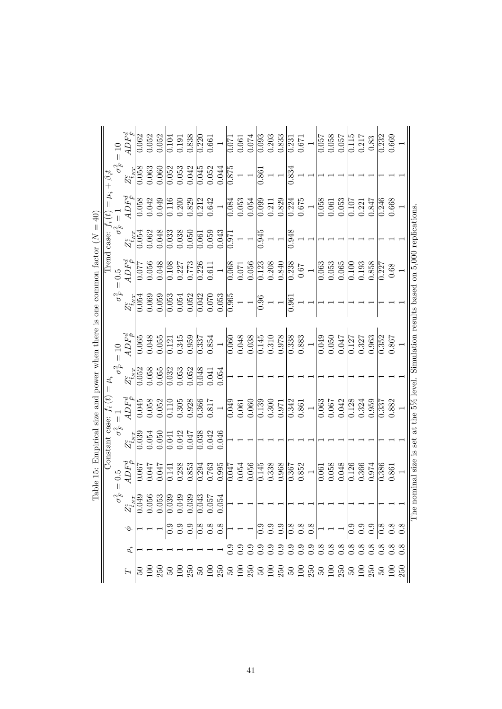|                                                                                                                                                                                                                                                                                                                                                                                                                                                                                                                                                                                                                                                                                                                                                                                                                                                                                                                                                              | $ADF^d_{\hat{r}}$<br>0.052<br>0.203<br>0.058<br>$0.\overline{062}$<br>0.052<br>0.838<br>$\frac{1}{0.093}$<br>0.833<br>0.115<br>0.217<br>0.669<br>0.232<br>$\overline{0.220}$<br>0.074<br>0.057<br>0.057<br>0.104<br>0.661<br>0.191<br>0.061<br>0.83<br>0.671<br>0.071<br>0.231 | $\frac{0.246}{0.668}$<br>0.061<br>0.221 | 0.948 | $\frac{0.840}{0.238}$<br>0.053<br>$\frac{0.065}{0.100}$<br>0.858<br>0.193<br>0.063<br>0.227<br>$0.67$ $\,$ | $\frac{36}{10}$<br>0.961 |                             | $\frac{0.145}{0.310}$<br>$\begin{array}{c} 0.883 \\ 1 \end{array}$<br>$\frac{127}{2}$ |                                          | 0.042<br>$\frac{0.128}{5}$<br>0.959<br>0.342<br>0.063<br>0.067<br>0.324<br>0.861<br>0.971<br>$\sqrt{0.337}$ | 0.300                          | 0.968<br>0.852<br>0.058<br>0.048<br>0.366<br>$\frac{0.126}{ }$<br>0.974<br>0.386<br>$0.\overline{367}$<br>0.061 |                                                                                                                                                                                                                                                                                                                         | 0.338 |          |
|--------------------------------------------------------------------------------------------------------------------------------------------------------------------------------------------------------------------------------------------------------------------------------------------------------------------------------------------------------------------------------------------------------------------------------------------------------------------------------------------------------------------------------------------------------------------------------------------------------------------------------------------------------------------------------------------------------------------------------------------------------------------------------------------------------------------------------------------------------------------------------------------------------------------------------------------------------------|--------------------------------------------------------------------------------------------------------------------------------------------------------------------------------------------------------------------------------------------------------------------------------|-----------------------------------------|-------|------------------------------------------------------------------------------------------------------------|--------------------------|-----------------------------|---------------------------------------------------------------------------------------|------------------------------------------|-------------------------------------------------------------------------------------------------------------|--------------------------------|-----------------------------------------------------------------------------------------------------------------|-------------------------------------------------------------------------------------------------------------------------------------------------------------------------------------------------------------------------------------------------------------------------------------------------------------------------|-------|----------|
| 0.058<br>0.042<br>0.052<br>0.875<br>0.063<br>0.060<br>0.053<br>0.052<br>0.045<br>0.044<br>0.834<br>$Z^e_{\hat{t}_{NT}}$<br>0.861<br>Trend case: $f_i(t) = \mu_i + \beta_i t$<br>5 $\sigma_F^2 = 1$<br>$ADF^d_{\hat{F}}$<br>$0.675\atop 1$<br>$\frac{6}{10.058}$<br>0.049<br>0.829<br>0.053<br>0.053<br>0.200<br>0.212<br>0.642<br>$\frac{0.099}{0}$<br>0.829<br>0.058<br>0.847<br>0.116<br>0.054<br>0.224<br>0.084<br>0.211<br>$\frac{101}{107}$<br>0.048<br>0.038<br>0.945<br>0.054<br>0.062<br>$\overline{0.033}$<br>0.050<br>0.059<br>0.043<br>$\overline{0.061}$<br>$Z^e_{\hat{t}_{NT}}$<br>$0.\overline{971}$<br>$ADF^d_{\hat{F}}$<br>0.048<br>0.056<br>0.108<br>0.773<br>$\overline{0.226}$<br>0.056<br>$\frac{0.123}{0.208}$<br>0.227<br>0.068<br>1770.077<br>$\,0.611$<br>0.071<br>$= 0.5$<br>$\sigma_F^2$<br>0.069<br>0.052<br>0.054<br>0.059<br>$\frac{6}{3}$<br>0.042<br>0.070<br>$\frac{0.053}{0.965}$<br>0.054<br>$Z^e_{\hat{t}_{NT}}$<br>$=10$ |                                                                                                                                                                                                                                                                                |                                         |       | $0.68\,$                                                                                                   |                          | $0.867\,$                   |                                                                                       |                                          | 0.882                                                                                                       |                                | $\!0.861$                                                                                                       |                                                                                                                                                                                                                                                                                                                         |       |          |
|                                                                                                                                                                                                                                                                                                                                                                                                                                                                                                                                                                                                                                                                                                                                                                                                                                                                                                                                                              |                                                                                                                                                                                                                                                                                |                                         |       |                                                                                                            |                          | 0.352                       |                                                                                       |                                          |                                                                                                             |                                |                                                                                                                 |                                                                                                                                                                                                                                                                                                                         |       |          |
|                                                                                                                                                                                                                                                                                                                                                                                                                                                                                                                                                                                                                                                                                                                                                                                                                                                                                                                                                              |                                                                                                                                                                                                                                                                                |                                         |       |                                                                                                            |                          | 0.963                       |                                                                                       |                                          |                                                                                                             |                                |                                                                                                                 |                                                                                                                                                                                                                                                                                                                         |       |          |
|                                                                                                                                                                                                                                                                                                                                                                                                                                                                                                                                                                                                                                                                                                                                                                                                                                                                                                                                                              |                                                                                                                                                                                                                                                                                |                                         |       |                                                                                                            |                          | 0.327                       |                                                                                       |                                          |                                                                                                             |                                |                                                                                                                 |                                                                                                                                                                                                                                                                                                                         |       |          |
|                                                                                                                                                                                                                                                                                                                                                                                                                                                                                                                                                                                                                                                                                                                                                                                                                                                                                                                                                              |                                                                                                                                                                                                                                                                                |                                         |       |                                                                                                            |                          |                             |                                                                                       |                                          |                                                                                                             |                                |                                                                                                                 |                                                                                                                                                                                                                                                                                                                         |       |          |
|                                                                                                                                                                                                                                                                                                                                                                                                                                                                                                                                                                                                                                                                                                                                                                                                                                                                                                                                                              |                                                                                                                                                                                                                                                                                |                                         |       |                                                                                                            |                          | 0.047                       |                                                                                       |                                          |                                                                                                             |                                |                                                                                                                 |                                                                                                                                                                                                                                                                                                                         |       |          |
|                                                                                                                                                                                                                                                                                                                                                                                                                                                                                                                                                                                                                                                                                                                                                                                                                                                                                                                                                              |                                                                                                                                                                                                                                                                                |                                         |       |                                                                                                            |                          | 0.050                       |                                                                                       |                                          |                                                                                                             |                                |                                                                                                                 |                                                                                                                                                                                                                                                                                                                         |       |          |
|                                                                                                                                                                                                                                                                                                                                                                                                                                                                                                                                                                                                                                                                                                                                                                                                                                                                                                                                                              |                                                                                                                                                                                                                                                                                |                                         |       |                                                                                                            |                          | 0.049                       |                                                                                       |                                          |                                                                                                             |                                |                                                                                                                 |                                                                                                                                                                                                                                                                                                                         |       |          |
|                                                                                                                                                                                                                                                                                                                                                                                                                                                                                                                                                                                                                                                                                                                                                                                                                                                                                                                                                              |                                                                                                                                                                                                                                                                                |                                         |       |                                                                                                            |                          |                             |                                                                                       |                                          |                                                                                                             |                                |                                                                                                                 |                                                                                                                                                                                                                                                                                                                         |       |          |
|                                                                                                                                                                                                                                                                                                                                                                                                                                                                                                                                                                                                                                                                                                                                                                                                                                                                                                                                                              |                                                                                                                                                                                                                                                                                |                                         |       |                                                                                                            |                          |                             |                                                                                       |                                          |                                                                                                             |                                |                                                                                                                 |                                                                                                                                                                                                                                                                                                                         |       |          |
|                                                                                                                                                                                                                                                                                                                                                                                                                                                                                                                                                                                                                                                                                                                                                                                                                                                                                                                                                              |                                                                                                                                                                                                                                                                                |                                         |       |                                                                                                            |                          | $\frac{338}{2}$             |                                                                                       |                                          |                                                                                                             |                                |                                                                                                                 |                                                                                                                                                                                                                                                                                                                         |       |          |
|                                                                                                                                                                                                                                                                                                                                                                                                                                                                                                                                                                                                                                                                                                                                                                                                                                                                                                                                                              |                                                                                                                                                                                                                                                                                |                                         |       |                                                                                                            |                          | 0.978                       |                                                                                       |                                          |                                                                                                             |                                |                                                                                                                 |                                                                                                                                                                                                                                                                                                                         |       |          |
|                                                                                                                                                                                                                                                                                                                                                                                                                                                                                                                                                                                                                                                                                                                                                                                                                                                                                                                                                              |                                                                                                                                                                                                                                                                                |                                         |       |                                                                                                            |                          |                             |                                                                                       |                                          |                                                                                                             |                                |                                                                                                                 |                                                                                                                                                                                                                                                                                                                         |       |          |
|                                                                                                                                                                                                                                                                                                                                                                                                                                                                                                                                                                                                                                                                                                                                                                                                                                                                                                                                                              |                                                                                                                                                                                                                                                                                |                                         |       |                                                                                                            |                          |                             |                                                                                       |                                          |                                                                                                             |                                |                                                                                                                 |                                                                                                                                                                                                                                                                                                                         |       |          |
|                                                                                                                                                                                                                                                                                                                                                                                                                                                                                                                                                                                                                                                                                                                                                                                                                                                                                                                                                              |                                                                                                                                                                                                                                                                                |                                         |       |                                                                                                            |                          |                             |                                                                                       |                                          | $\frac{139}{2}$                                                                                             |                                | 0.145                                                                                                           |                                                                                                                                                                                                                                                                                                                         |       |          |
|                                                                                                                                                                                                                                                                                                                                                                                                                                                                                                                                                                                                                                                                                                                                                                                                                                                                                                                                                              |                                                                                                                                                                                                                                                                                |                                         |       |                                                                                                            |                          |                             |                                                                                       |                                          | 0.060                                                                                                       |                                | 0.056                                                                                                           |                                                                                                                                                                                                                                                                                                                         |       |          |
|                                                                                                                                                                                                                                                                                                                                                                                                                                                                                                                                                                                                                                                                                                                                                                                                                                                                                                                                                              |                                                                                                                                                                                                                                                                                |                                         |       |                                                                                                            |                          |                             |                                                                                       |                                          |                                                                                                             |                                | 0.054                                                                                                           |                                                                                                                                                                                                                                                                                                                         |       |          |
|                                                                                                                                                                                                                                                                                                                                                                                                                                                                                                                                                                                                                                                                                                                                                                                                                                                                                                                                                              |                                                                                                                                                                                                                                                                                |                                         |       |                                                                                                            |                          | 0.048<br>0.038<br>0.060     |                                                                                       |                                          | 0.049<br>0.061                                                                                              |                                | 0.047                                                                                                           |                                                                                                                                                                                                                                                                                                                         |       |          |
|                                                                                                                                                                                                                                                                                                                                                                                                                                                                                                                                                                                                                                                                                                                                                                                                                                                                                                                                                              |                                                                                                                                                                                                                                                                                |                                         |       |                                                                                                            |                          |                             |                                                                                       | 0.054                                    |                                                                                                             |                                | 0.995                                                                                                           |                                                                                                                                                                                                                                                                                                                         |       |          |
|                                                                                                                                                                                                                                                                                                                                                                                                                                                                                                                                                                                                                                                                                                                                                                                                                                                                                                                                                              |                                                                                                                                                                                                                                                                                |                                         |       |                                                                                                            |                          |                             |                                                                                       | 0.041                                    | $0.817$                                                                                                     | 0.046                          |                                                                                                                 |                                                                                                                                                                                                                                                                                                                         |       |          |
|                                                                                                                                                                                                                                                                                                                                                                                                                                                                                                                                                                                                                                                                                                                                                                                                                                                                                                                                                              |                                                                                                                                                                                                                                                                                |                                         |       |                                                                                                            |                          | 0.854<br>$\overline{0.337}$ |                                                                                       | 0.048                                    | $0.\overline{366}$                                                                                          | 0.042<br>$\frac{0.038}{0.038}$ | 0.763<br>0.294                                                                                                  |                                                                                                                                                                                                                                                                                                                         |       |          |
|                                                                                                                                                                                                                                                                                                                                                                                                                                                                                                                                                                                                                                                                                                                                                                                                                                                                                                                                                              |                                                                                                                                                                                                                                                                                |                                         |       |                                                                                                            |                          | 0.959                       |                                                                                       |                                          |                                                                                                             |                                |                                                                                                                 |                                                                                                                                                                                                                                                                                                                         |       |          |
|                                                                                                                                                                                                                                                                                                                                                                                                                                                                                                                                                                                                                                                                                                                                                                                                                                                                                                                                                              |                                                                                                                                                                                                                                                                                |                                         |       |                                                                                                            |                          |                             |                                                                                       | 0.052                                    | 0.928                                                                                                       | 0.047                          | 0.853                                                                                                           |                                                                                                                                                                                                                                                                                                                         |       |          |
|                                                                                                                                                                                                                                                                                                                                                                                                                                                                                                                                                                                                                                                                                                                                                                                                                                                                                                                                                              |                                                                                                                                                                                                                                                                                |                                         |       |                                                                                                            |                          |                             |                                                                                       | $\overline{0.032}$<br>0.053              | 0.305<br>0.110                                                                                              | 0.042<br>0.041                 | 0.288<br>0.141                                                                                                  |                                                                                                                                                                                                                                                                                                                         |       |          |
|                                                                                                                                                                                                                                                                                                                                                                                                                                                                                                                                                                                                                                                                                                                                                                                                                                                                                                                                                              |                                                                                                                                                                                                                                                                                |                                         |       |                                                                                                            |                          |                             |                                                                                       | 0.055                                    | 0.052                                                                                                       | 0.050                          | 0.047                                                                                                           |                                                                                                                                                                                                                                                                                                                         |       |          |
|                                                                                                                                                                                                                                                                                                                                                                                                                                                                                                                                                                                                                                                                                                                                                                                                                                                                                                                                                              |                                                                                                                                                                                                                                                                                |                                         |       |                                                                                                            |                          | 0.345<br>0.055<br>0.121     |                                                                                       |                                          |                                                                                                             |                                |                                                                                                                 |                                                                                                                                                                                                                                                                                                                         |       |          |
|                                                                                                                                                                                                                                                                                                                                                                                                                                                                                                                                                                                                                                                                                                                                                                                                                                                                                                                                                              |                                                                                                                                                                                                                                                                                |                                         |       |                                                                                                            |                          | 0.048<br>$\frac{1}{0.065}$  |                                                                                       | 0.052<br>0.058                           | 0.058                                                                                                       | 0.054                          | 170.0                                                                                                           |                                                                                                                                                                                                                                                                                                                         |       |          |
|                                                                                                                                                                                                                                                                                                                                                                                                                                                                                                                                                                                                                                                                                                                                                                                                                                                                                                                                                              |                                                                                                                                                                                                                                                                                |                                         |       |                                                                                                            |                          | $4DF^d_{\hat{r}}$           |                                                                                       | $\sigma_F^2$ :<br>$Z_{\tilde{t}_{NT}}^e$ | $ADF^d_{\hat{F}}$<br>$\overline{0.045}$                                                                     | 0.039<br>$Z^e_{\hat{t}_{NT}}$  | Constant case: $f_i(t) =$<br>$\sigma_F^2 = 1$<br>$ADF^d_{\hat{\mathbf{r}}}$<br>$\frac{1}{200.0}$                | $\sigma_F^2$<br>$\begin{array}{l} \n 8.8387 \\ \n 7.0499 \\ \n 0.0568 \\ \n 0.0539 \\ \n 0.0399 \\ \n 0.0399 \\ \n 0.0399 \\ \n 0.0399 \\ \n 0.0399 \\ \n 0.0394 \\ \n 0.0394 \\ \n 0.0394 \\ \n 0.0394 \\ \n 0.0394 \\ \n 0.0394 \\ \n 0.0394 \\ \n 0.0394 \\ \n 0.0394 \\ \n 0.0394 \\ \n 0.0394 \\ \n 0.0394 \\ \n $ |       | $\rho_i$ |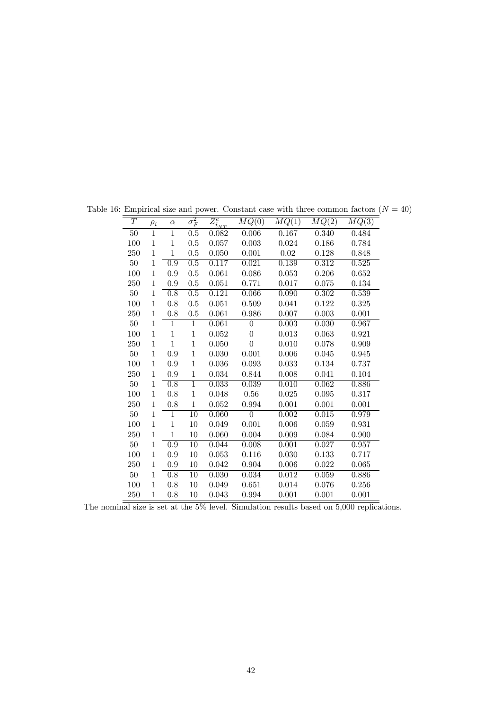| $\cal T$ | $\rho_i$     | $\alpha$         | $\sigma_F^2$     | $\overline{Z_{\hat t_{NT}}^e}$ | MQ(0)          | MQ(1)       | MQ(2)     | MQ(3) |
|----------|--------------|------------------|------------------|--------------------------------|----------------|-------------|-----------|-------|
| 50       | 1            | 1                | $0.5\,$          | 0.082                          | 0.006          | 0.167       | 0.340     | 0.484 |
| 100      | $\mathbf{1}$ | $\mathbf 1$      | 0.5              | 0.057                          | $0.003\,$      | 0.024       | 0.186     | 0.784 |
| 250      | $\,1$        | $\mathbf{1}$     | 0.5              | 0.050                          | 0.001          | $0.02\,$    | 0.128     | 0.848 |
| $50\,$   | 1            | $\overline{0.9}$ | $\overline{0.5}$ | 0.117                          | 0.021          | 0.139       | 0.312     | 0.525 |
| 100      | $\mathbf{1}$ | 0.9              | $0.5\,$          | 0.061                          | 0.086          | $\,0.053\,$ | 0.206     | 0.652 |
| 250      | 1            | 0.9              | 0.5              | 0.051                          | 0.771          | 0.017       | 0.075     | 0.134 |
| $50\,$   | 1            | 0.8              | 0.5              | 0.121                          | 0.066          | 0.090       | 0.302     | 0.539 |
| 100      | $\mathbf{1}$ | 0.8              | $0.5\,$          | 0.051                          | 0.509          | 0.041       | 0.122     | 0.325 |
| 250      | $\mathbf{1}$ | 0.8              | 0.5              | 0.061                          | 0.986          | 0.007       | 0.003     | 0.001 |
| $50\,$   | $\mathbf{1}$ | 1                | 1                | 0.061                          | $\overline{0}$ | 0.003       | 0.030     | 0.967 |
| 100      | $\,1$        | $\mathbf{1}$     | $\mathbf{1}$     | 0.052                          | $\overline{0}$ | 0.013       | 0.063     | 0.921 |
| 250      | $\,1$        | $\mathbf 1$      | $\mathbf{1}$     | 0.050                          | $\overline{0}$ | 0.010       | 0.078     | 0.909 |
| $50\,$   | $\mathbf{1}$ | $\overline{0.9}$ | $\overline{1}$   | 0.030                          | 0.001          | 0.006       | 0.045     | 0.945 |
| 100      | $\mathbf{1}$ | 0.9              | $\mathbf{1}$     | 0.036                          | 0.093          | 0.033       | 0.134     | 0.737 |
| 250      | $\mathbf{1}$ | 0.9              | $\mathbf{1}$     | $\,0.034\,$                    | 0.844          | $0.008\,$   | 0.041     | 0.104 |
| $50\,$   | $\mathbf{1}$ | $\overline{0.8}$ | $\overline{1}$   | 0.033                          | 0.039          | 0.010       | 0.062     | 0.886 |
| 100      | $\mathbf{1}$ | 0.8              | $\mathbf{1}$     | 0.048                          | $0.56\,$       | 0.025       | 0.095     | 0.317 |
| 250      | $\mathbf{1}$ | $0.8\,$          | $\mathbf{1}$     | 0.052                          | 0.994          | 0.001       | $0.001\,$ | 0.001 |
| $50\,$   | $\,1$        | 1                | $\overline{10}$  | 0.060                          | $\overline{0}$ | 0.002       | 0.015     | 0.979 |
| 100      | $\mathbf{1}$ | $\mathbf{1}$     | $10\,$           | 0.049                          | 0.001          | 0.006       | 0.059     | 0.931 |
| 250      | $\mathbf{1}$ | $\mathbf{1}$     | $10\,$           | 0.060                          | 0.004          | 0.009       | 0.084     | 0.900 |
| $50\,$   | $\mathbf{1}$ | $\overline{0.9}$ | $\overline{10}$  | 0.044                          | 0.008          | 0.001       | 0.027     | 0.957 |
| 100      | $\mathbf{1}$ | 0.9              | $10\,$           | $\,0.053\,$                    | 0.116          | 0.030       | 0.133     | 0.717 |
| 250      | $\mathbf{1}$ | $0.9\,$          | $10\,$           | 0.042                          | 0.904          | $0.006\,$   | 0.022     | 0.065 |
| 50       | 1            | 0.8              | $\overline{10}$  | 0.030                          | 0.034          | 0.012       | 0.059     | 0.886 |
| 100      | $\mathbf{1}$ | 0.8              | $10\,$           | 0.049                          | 0.651          | 0.014       | 0.076     | 0.256 |
| 250      | $\mathbf{1}$ | 0.8              | 10               | 0.043                          | 0.994          | 0.001       | 0.001     | 0.001 |

Table 16: Empirical size and power. Constant case with three common factors  $(N = 40)$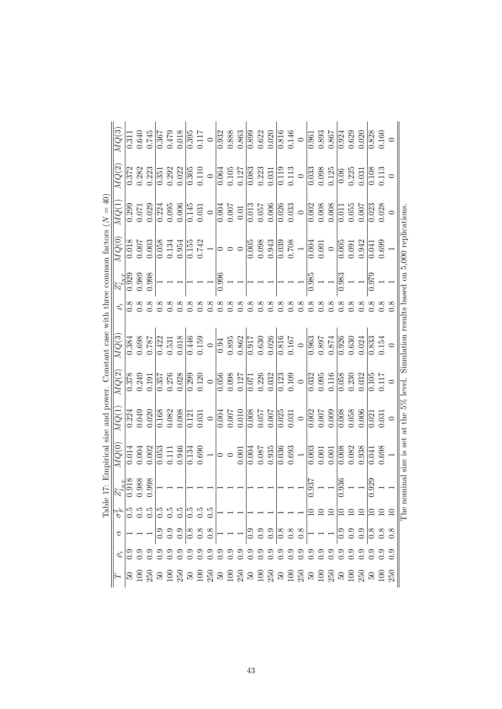|                                                                                  | MQ(3)                                                                                                                                                                                                                                                                                                                                                                                                           | 0.311 | $0.640\,$ | 0.745 | 0.367                 | 0.479                 | $0.018\,$             | $\frac{395}{2}$   | 0.117 | $\circ$ | 0.932                 | 0.888   | 0.863 |                       | $\frac{0.899}{0.622}$   | 0.020                 | $\overline{0.816}$    | 0.146                 | $\circ$ | 0.961 | 0.893                                         | 0.867                                                    |                       | $\begin{array}{ l} \hline 0.924 \\ 0.629 \\ 0.020 \end{array}$ |                       | $\frac{0.828}{0.160}$ |           |                                                                                           |
|----------------------------------------------------------------------------------|-----------------------------------------------------------------------------------------------------------------------------------------------------------------------------------------------------------------------------------------------------------------------------------------------------------------------------------------------------------------------------------------------------------------|-------|-----------|-------|-----------------------|-----------------------|-----------------------|-------------------|-------|---------|-----------------------|---------|-------|-----------------------|-------------------------|-----------------------|-----------------------|-----------------------|---------|-------|-----------------------------------------------|----------------------------------------------------------|-----------------------|----------------------------------------------------------------|-----------------------|-----------------------|-----------|-------------------------------------------------------------------------------------------|
|                                                                                  | MQ(2)                                                                                                                                                                                                                                                                                                                                                                                                           | 0.372 | 0.282     | 0.223 |                       | $\frac{0.351}{0.292}$ | 0.022                 | $\frac{305}{205}$ | 0.110 | $\circ$ | 0.064                 | 0.105   | 0.127 |                       | $\frac{0.083}{0.223}$   | 0.031                 | $\overline{0.119}$    | 0.113                 | $\circ$ | 0.033 | 0.098<br>0.125                                |                                                          | 0.06                  | 0.225                                                          | 0.031                 | $\overline{0.108}$    | $\!0.113$ |                                                                                           |
|                                                                                  | MQ(1)                                                                                                                                                                                                                                                                                                                                                                                                           | 0.299 | $0.071\,$ | 0.029 | 0.224                 | 0.095                 | $0.006$               | 0.145             | 0.031 | $\circ$ | 0.004                 | $0.007$ | 0.01  | $0.0\overline{13}$    | $0.057\,$               | 0.006                 | $\overline{0.026}$    | 0.033                 | $\circ$ | 0.002 | $0.008\,$                                     | 0.008                                                    | $0.0\overline{1}$     | 0.055                                                          | 0.007                 | $\overline{0.023}$    | 0.028     |                                                                                           |
|                                                                                  | MQ(0)                                                                                                                                                                                                                                                                                                                                                                                                           | 0.018 | $0.007$   | 0.003 |                       | 0.134                 | 0.954                 | $\frac{155}{155}$ | 0.742 |         |                       |         |       |                       | $0.005$<br>$0.00.0$     | 0.943                 | $\overline{0.039}$    | $0.708\,$             |         | 0.004 | $0.001$                                       | $\circ$                                                  | $0.\overline{005}$    | 0.091                                                          | 0.942                 | $\sqrt{41}$           | 0.699     |                                                                                           |
|                                                                                  | $Z_{\hat{t}_{NT}}^e$                                                                                                                                                                                                                                                                                                                                                                                            | 0.929 | 0.989     | 0.998 |                       |                       |                       |                   |       |         | 0.996                 |         |       |                       |                         |                       |                       |                       |         | 0.985 |                                               |                                                          | 0.983                 |                                                                |                       | 0.979                 |           |                                                                                           |
|                                                                                  | $\rho_i$                                                                                                                                                                                                                                                                                                                                                                                                        |       |           |       |                       |                       |                       |                   |       |         |                       |         |       |                       |                         |                       |                       |                       |         |       |                                               |                                                          |                       |                                                                |                       |                       |           |                                                                                           |
| 17: Empirical size and power. Constant case with three common factors $(N = 40)$ | MQ(3)                                                                                                                                                                                                                                                                                                                                                                                                           | 0.384 | 0.698     | 187.0 | 0.422                 | 0.531                 | 0.018                 | 0.446             | 0.159 | $\circ$ | 0.94                  | 0.895   | 0.862 | $\frac{0.630}{0.630}$ |                         | 0.026                 |                       | $\frac{0.816}{0.167}$ | $\circ$ | 0.963 | 0.897                                         | 0.874                                                    | $\frac{0.926}{0.630}$ |                                                                | 0.24                  | $\overline{0.833}$    | 0.154     | cominal size is set at the $5\%$ level. Simulation results based on $5,000$ replications. |
|                                                                                  | MQ(2)                                                                                                                                                                                                                                                                                                                                                                                                           | 0.378 | 0.249     | 0.191 |                       | $\frac{0.357}{0.276}$ | $\frac{0.028}{0.299}$ |                   | 0.120 | $\circ$ | $\frac{0.056}{0.098}$ |         |       |                       | $\frac{0.071}{0.226}$   | $\frac{0.032}{0.123}$ |                       |                       | $\circ$ | 0.032 | $\begin{array}{c} 0.095 \\ 0.116 \end{array}$ |                                                          | $\frac{0.058}{2}$     | 0.230                                                          | $\frac{0.032}{0.105}$ |                       | 0.117     |                                                                                           |
|                                                                                  | MQ(1                                                                                                                                                                                                                                                                                                                                                                                                            | 0.224 | 0.049     | 0.020 | 0.168                 | 0.082                 | 0.008                 | $\frac{121}{2}$   | 0.031 | $\circ$ | 0.004                 | 0.007   | 0.010 |                       | 10000<br>19000<br>80000 |                       | $\frac{0.025}{0.025}$ | 0.031                 | $\circ$ | 0.002 | 0.007                                         | 0.009                                                    | $\frac{0.008}{0.058}$ |                                                                | 0.006                 | $\overline{0.021}$    | $0.031$   |                                                                                           |
|                                                                                  | MQ(0)                                                                                                                                                                                                                                                                                                                                                                                                           | 0.014 | $0.004\,$ | 0.002 | $\frac{0.053}{0.111}$ |                       | 0.946                 | $\frac{134}{ }$   | 0.690 |         | $\circ$               |         | 0.001 | 0.004                 | 0.087                   | 0.935                 | $\overline{0.036}$    | 0.693                 |         | 0.003 | 0.001                                         | 0.001                                                    | 0.008                 | 0.082                                                          | 0.938                 | 0.041                 | 0.698     |                                                                                           |
|                                                                                  | $Z_{\hat{t}_{NT}}^e$                                                                                                                                                                                                                                                                                                                                                                                            | 0.918 | 0.988     | 0.998 |                       |                       |                       |                   |       |         |                       |         |       |                       |                         |                       |                       |                       |         | 0.937 |                                               |                                                          | 0.936                 |                                                                |                       | 0.929                 |           |                                                                                           |
| Tabl                                                                             | $\left \frac{1}{\beta}\begin{vmatrix} 1 & 0 & 0 & 0 \\ 0 & 0 & 0 & 0 \\ 0 & 0 & 0 & 0 \end{vmatrix}\right ^{2} \left \frac{1}{\beta}\begin{vmatrix} 1 & 0 & 0 & 0 \\ 0 & 0 & 0 & 0 \\ 0 & 0 & 0 & 0 \end{vmatrix}\right ^{2} - \left \frac{1}{\beta}\begin{vmatrix} 1 & 0 & 0 & 0 \\ 0 & 0 & 0 & 0 \\ 0 & 0 & 0 & 0 \end{vmatrix}\right ^{2} + \left \frac{1}{\beta}\begin{vmatrix} 1 & 0 & 0 & 0 \\ 0 & 0 & 0$ |       |           |       |                       |                       |                       |                   |       |         |                       |         |       |                       |                         |                       |                       |                       |         |       |                                               |                                                          |                       |                                                                |                       |                       |           |                                                                                           |
|                                                                                  |                                                                                                                                                                                                                                                                                                                                                                                                                 |       |           |       |                       |                       |                       |                   |       |         |                       |         |       |                       |                         |                       |                       |                       |         |       |                                               |                                                          |                       |                                                                |                       |                       |           |                                                                                           |
|                                                                                  |                                                                                                                                                                                                                                                                                                                                                                                                                 |       |           |       |                       |                       |                       |                   |       |         |                       |         |       |                       |                         |                       |                       |                       |         |       |                                               | 9, 9, 9, 9, 9, 9, 9, 9, 9,<br>0, 0, 0, 0, 0, 0, 0, 0, 0, |                       |                                                                |                       |                       |           |                                                                                           |
|                                                                                  |                                                                                                                                                                                                                                                                                                                                                                                                                 |       |           |       |                       |                       |                       |                   |       |         |                       |         |       |                       |                         |                       |                       |                       |         |       |                                               |                                                          |                       |                                                                |                       |                       |           |                                                                                           |

43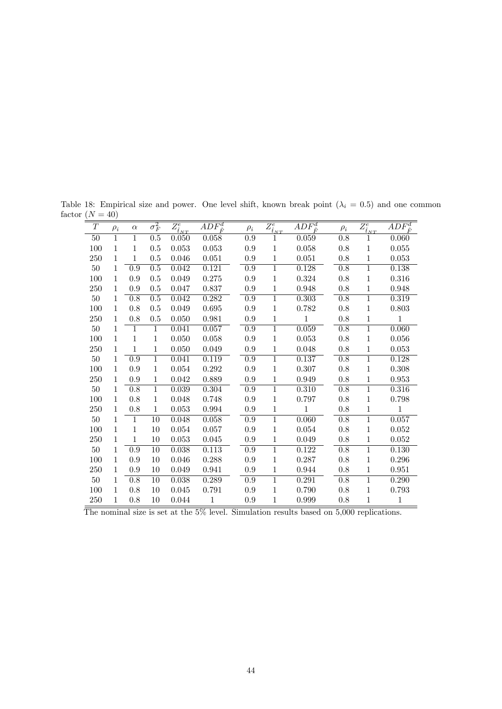| $\overline{T}$ | $\rho_i$ | $\alpha$         | $\overline{\sigma_F^2}$ | $\bar{Z^e_{\underline{\hat{t}}_{NT}}}$ | $\overline{ADF^d_{\hat{F}}}$ | $\rho_i$         | $\bar{\bar{Z}^e_{\underline{\hat{t}}_{NT}}}$ | $\overline{ADF^d_{\hat{F}}}$ | $\rho_i$         | $\bar{\bar{Z}^e_{\underline{\hat{t}}_{NT}}}$ | $AD\overline{F^d}$ |
|----------------|----------|------------------|-------------------------|----------------------------------------|------------------------------|------------------|----------------------------------------------|------------------------------|------------------|----------------------------------------------|--------------------|
| 50             | 1        | 1                | 0.5                     | 0.050                                  | 0.058                        | 0.9              | 1                                            | 0.059                        | 0.8              | 1                                            | 0.060              |
| 100            | 1        | 1                | 0.5                     | 0.053                                  | 0.053                        | 0.9              | $\mathbf{1}$                                 | 0.058                        | 0.8              | $\mathbf{1}$                                 | 0.055              |
| 250            | 1        | 1                | 0.5                     | 0.046                                  | 0.051                        | 0.9              | $\mathbf{1}$                                 | 0.051                        | 0.8              | $\mathbf{1}$                                 | 0.053              |
| $50\,$         | 1        | 0.9              | 0.5                     | 0.042                                  | 0.121                        | 0.9              | $\overline{1}$                               | 0.128                        | 0.8              | $\overline{1}$                               | 0.138              |
| 100            | 1        | 0.9              | 0.5                     | 0.049                                  | 0.275                        | $\rm 0.9$        | $\mathbf{1}$                                 | 0.324                        | 0.8              | $\mathbf{1}$                                 | 0.316              |
| 250            | 1        | 0.9              | 0.5                     | 0.047                                  | 0.837                        | 0.9              | $\mathbf{1}$                                 | 0.948                        | 0.8              | $\mathbf{1}$                                 | 0.948              |
| $50\,$         | 1        | $\overline{0.8}$ | 0.5                     | 0.042                                  | 0.282                        | $\overline{0.9}$ | $\overline{1}$                               | 0.303                        | 0.8              | $\overline{1}$                               | 0.319              |
| 100            | 1        | 0.8              | 0.5                     | 0.049                                  | 0.695                        | 0.9              | $\mathbf{1}$                                 | 0.782                        | 0.8              | $\mathbf{1}$                                 | 0.803              |
| 250            | 1        | 0.8              | 0.5                     | 0.050                                  | 0.981                        | $0.9\,$          | $\,1\,$                                      | $\mathbf{1}$                 | 0.8              | $\mathbf{1}$                                 | $\mathbf{1}$       |
| 50             | 1        | 1                | 1                       | 0.041                                  | 0.057                        | 0.9              | $\mathbf{1}$                                 | 0.059                        | $\overline{0.8}$ | 1                                            | 0.060              |
| 100            | 1        | 1                | 1                       | 0.050                                  | 0.058                        | 0.9              | $\mathbf{1}$                                 | 0.053                        | 0.8              | $\,1\,$                                      | 0.056              |
| 250            | 1        | 1                | 1                       | 0.050                                  | 0.049                        | 0.9              | $\mathbf 1$                                  | 0.048                        | 0.8              | $\mathbf{1}$                                 | 0.053              |
| 50             | 1        | 0.9              | 1                       | 0.041                                  | 0.119                        | $\overline{0.9}$ | $\mathbf{1}$                                 | 0.137                        | $\overline{0.8}$ | $\mathbf{1}$                                 | 0.128              |
| 100            | 1        | 0.9              | 1                       | 0.054                                  | 0.292                        | 0.9              | $\mathbf{1}$                                 | 0.307                        | 0.8              | $\,1\,$                                      | 0.308              |
| 250            | 1        | 0.9              | 1                       | 0.042                                  | 0.889                        | 0.9              | 1                                            | 0.949                        | 0.8              | $\mathbf{1}$                                 | 0.953              |
| $50\,$         | 1        | 0.8              | $\overline{1}$          | 0.039                                  | 0.304                        | $\overline{0.9}$ | $\overline{1}$                               | 0.310                        | $\overline{0.8}$ | $\overline{1}$                               | 0.316              |
| 100            | 1        | 0.8              | 1                       | 0.048                                  | 0.748                        | 0.9              | $\mathbf{1}$                                 | 0.797                        | 0.8              | $\mathbf{1}$                                 | 0.798              |
| 250            | 1        | 0.8              | 1                       | 0.053                                  | 0.994                        | 0.9              | 1                                            | 1                            | 0.8              | 1                                            | 1                  |
| $50\,$         | 1        | 1                | $\overline{10}$         | 0.048                                  | 0.058                        | $\overline{0.9}$ | $\overline{1}$                               | 0.060                        | 0.8              | $\overline{1}$                               | 0.057              |
| 100            | 1        | 1                | 10                      | 0.054                                  | 0.057                        | 0.9              | 1                                            | 0.054                        | 0.8              | 1                                            | 0.052              |
| 250            | 1        | 1                | 10                      | 0.053                                  | 0.045                        | 0.9              | 1                                            | 0.049                        | 0.8              | 1                                            | 0.052              |
| $50\,$         | 1        | $\overline{0.9}$ | $\overline{10}$         | 0.038                                  | 0.113                        | $\overline{0.9}$ | $\overline{1}$                               | 0.122                        | $\overline{0.8}$ | $\overline{1}$                               | 0.130              |
| 100            | 1        | 0.9              | 10                      | 0.046                                  | 0.288                        | 0.9              | 1                                            | 0.287                        | 0.8              | 1                                            | 0.296              |
| 250            | 1        | 0.9              | 10                      | 0.049                                  | 0.941                        | 0.9              | 1                                            | 0.944                        | 0.8              | 1                                            | 0.951              |
| $50\,$         | 1        | $\overline{0.8}$ | $\overline{10}$         | 0.038                                  | 0.289                        | $\overline{0.9}$ | $\overline{1}$                               | 0.291                        | $\overline{0.8}$ | $\overline{1}$                               | 0.290              |
| 100            | 1        | 0.8              | 10                      | 0.045                                  | 0.791                        | 0.9              | 1                                            | 0.790                        | 0.8              | 1                                            | 0.793              |
| 250            | 1        | 0.8              | 10                      | 0.044                                  | 1                            | 0.9              | 1                                            | 0.999                        | 0.8              | $\,1\,$                                      | 1                  |

Table 18: Empirical size and power. One level shift, known break point  $(\lambda_i = 0.5)$  and one common factor  $(N = 40)$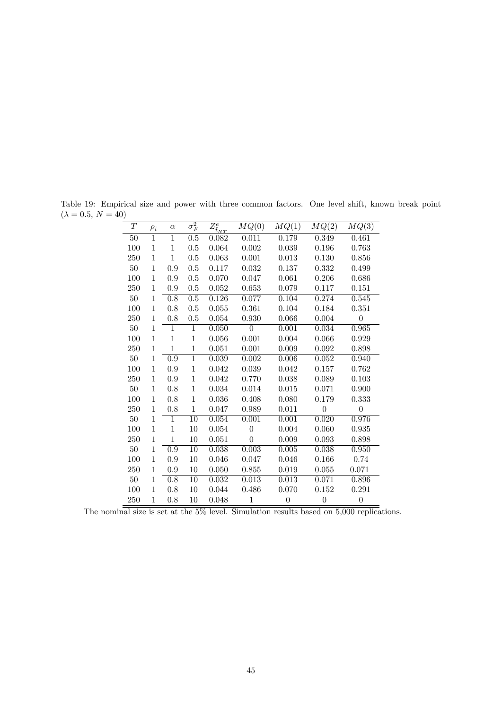| T      | $\rho_i$       | $\alpha$         | $\sigma_F^2$     | $\overline{Z^e_{\hat{t}_{NT}}}$ | MQ(0)          | MQ(1)            | MQ(2)            | MQ(3)            |
|--------|----------------|------------------|------------------|---------------------------------|----------------|------------------|------------------|------------------|
| $50\,$ | $\overline{1}$ | $\overline{1}$   | 0.5              | 0.082                           | 0.011          | 0.179            | 0.349            | 0.461            |
| 100    | 1              | 1                | 0.5              | 0.064                           | 0.002          | 0.039            | 0.196            | 0.763            |
| 250    | $\mathbf{1}$   | 1                | 0.5              | 0.063                           | 0.001          | 0.013            | 0.130            | 0.856            |
| $50\,$ | $\mathbf 1$    | 0.9              | 0.5              | 0.117                           | 0.032          | 0.137            | 0.332            | 0.499            |
| 100    | 1              | 0.9              | 0.5              | 0.070                           | 0.047          | 0.061            | 0.206            | 0.686            |
| 250    | 1              | 0.9              | $0.5\,$          | 0.052                           | 0.653          | 0.079            | 0.117            | 0.151            |
| 50     | 1              | $\overline{0.8}$ | $\overline{0.5}$ | 0.126                           | 0.077          | 0.104            | 0.274            | 0.545            |
| 100    | $\mathbf{1}$   | 0.8              | 0.5              | 0.055                           | 0.361          | 0.104            | 0.184            | 0.351            |
| 250    | $\mathbf{1}$   | 0.8              | 0.5              | 0.054                           | 0.930          | 0.066            | 0.004            | $\overline{0}$   |
| $50\,$ | $\mathbf{1}$   | $\mathbf 1$      | $\mathbf{1}$     | 0.050                           | $\overline{0}$ | 0.001            | 0.034            | 0.965            |
| 100    | $\mathbf{1}$   | $\mathbf{1}$     | $\mathbf{1}$     | 0.056                           | 0.001          | 0.004            | 0.066            | 0.929            |
| 250    | 1              | $\mathbf 1$      | $\mathbf{1}$     | 0.051                           | 0.001          | 0.009            | 0.092            | 0.898            |
| $50\,$ | 1              | $\overline{0.9}$ | $\overline{1}$   | 0.039                           | 0.002          | 0.006            | 0.052            | 0.940            |
| 100    | $\mathbf{1}$   | $0.9\,$          | $\,1$            | 0.042                           | 0.039          | 0.042            | 0.157            | 0.762            |
| 250    | 1              | 0.9              | $\mathbf{1}$     | 0.042                           | 0.770          | 0.038            | 0.089            | 0.103            |
| $50\,$ | 1              | $\overline{0.8}$ | $\overline{1}$   | 0.034                           | 0.014          | 0.015            | 0.071            | 0.900            |
| 100    | $\mathbf{1}$   | 0.8              | $\mathbf{1}$     | 0.036                           | 0.408          | 0.080            | 0.179            | 0.333            |
| 250    | 1              | 0.8              | $\mathbf{1}$     | 0.047                           | 0.989          | 0.011            | $\overline{0}$   | $\overline{0}$   |
| 50     | 1              | $\mathbf 1$      | $\overline{10}$  | 0.054                           | 0.001          | 0.001            | 0.020            | 0.976            |
| 100    | $\mathbf{1}$   | $\mathbf{1}$     | 10               | 0.054                           | $\overline{0}$ | 0.004            | 0.060            | 0.935            |
| 250    | $\mathbf{1}$   | $\overline{1}$   | $10\,$           | 0.051                           | $\theta$       | 0.009            | 0.093            | 0.898            |
| $50\,$ | 1              | 0.9              | $\overline{10}$  | 0.038                           | 0.003          | 0.005            | 0.038            | 0.950            |
| 100    | $\mathbf{1}$   | 0.9              | 10               | 0.046                           | 0.047          | 0.046            | 0.166            | 0.74             |
| 250    | 1              | $0.9\,$          | $10\,$           | 0.050                           | 0.855          | 0.019            | 0.055            | 0.071            |
| 50     | 1              | 0.8              | 10               | 0.032                           | 0.013          | 0.013            | 0.071            | 0.896            |
| 100    | 1              | 0.8              | 10               | 0.044                           | 0.486          | 0.070            | 0.152            | 0.291            |
| 250    | $\mathbf{1}$   | 0.8              | 10               | 0.048                           | $\mathbf{1}$   | $\boldsymbol{0}$ | $\boldsymbol{0}$ | $\boldsymbol{0}$ |

Table 19: Empirical size and power with three common factors. One level shift, known break point  $(\lambda = 0.5, N = 40)$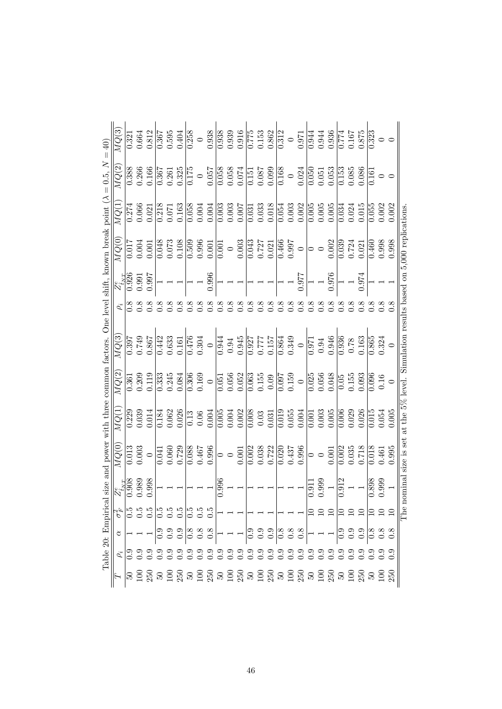| MQ(3)                           | $\frac{1}{321}$ | 0.664     | 0.812            | 0.367         | 0.595         | 0.404                           | 0.258              | $\circ$  | 0.938            | 0.938         | 0.939         | 0.916         | 0.775          | 0.153    | 0.862                            | 0.312         | $\circ$       | 0.971                                                              | 0.944   | 0.944            | 0.936            | 0.774                 | 0.167          | 0.875  | $\overline{0.323}$ |                  | $\circ$ |
|---------------------------------|-----------------|-----------|------------------|---------------|---------------|---------------------------------|--------------------|----------|------------------|---------------|---------------|---------------|----------------|----------|----------------------------------|---------------|---------------|--------------------------------------------------------------------|---------|------------------|------------------|-----------------------|----------------|--------|--------------------|------------------|---------|
| MQ(2)                           | 0.388           | 0.266     | 0.166            | 0.367         | 0.261         | 0.325                           | $\overline{0.175}$ |          | 0.057            | 0.058         | 0.058         | 0.074         | 0.151          | 0.087    | 0.099                            | 0.168         | $\circ$       | 0.024                                                              | 0.050   | 0.051            | 0.053            | $\overline{0.153}$    | 0.085          | 0.086  | 0.161              |                  | $\circ$ |
| MQ(1                            | 0.274           | $0.066\,$ | 0.021            | 0.218         | 0.071         | 0.163                           | 0.058              | 0.004    | 0.004            | 0.003         | 0.003         | 0.007         | 0.031          | 0.033    | 0.018                            | 0.054         | 0.003         | 0.002                                                              | 0.005   | 0.005            | $0.005$          | 0.034                 | 0.024          | 0.015  | 0.055              | 0.002            | 0.002   |
| MQ(0)                           | 0.017           | 0.004     | 0.001            | 0.048         | 0.073         | 0.108                           | $\frac{603}{0}$    | 0.996    | 0.001            | 0.001         | $\circ$       | 0.003         | 0.043          | 0.727    | 0.021                            | 0.466         | 0.997         | $\circ$                                                            | $\circ$ | $\circ$          | 0.002            | $\frac{0.039}{0.039}$ | 0.724          | 0.021  | $\frac{1}{460}$    | 0.998            | 0.998   |
| $Z_{\tilde{t}_{NT}}^e$          | 0.926           | 0.991     | 0.997            |               |               |                                 |                    |          | 0.996            |               |               |               |                |          |                                  |               |               | 126.0                                                              |         |                  | 0.976            |                       |                | 0.974  |                    |                  |         |
| $\rho_i$                        | $\frac{8}{2}$   |           | $\frac{8}{2}$    | $\frac{8}{2}$ | $\frac{8}{2}$ | 0.8                             | $\frac{8}{10}$     | 0.8      | 0.8              | $\frac{8}{2}$ | $\frac{8}{2}$ | $\frac{8}{2}$ | $\frac{8}{10}$ | 0.8      | 0.8                              | $\frac{8}{2}$ | $\frac{8}{2}$ | 0.8                                                                |         | $\frac{8}{2}$    | 8.0              | $0.\overline{8}$      | $\frac{8}{10}$ | 0.8    | 0.8                | 0.8              | 0.8     |
| MQ(3                            | 0.397           | 0.749     | 0.867            | 0.442         | 0.633         | 0.161                           | 0.476              | 0.304    | $\circ$          | 0.944         | 0.94          | 0.945         | 0.927          | 0.777    | 0.157                            | 0.864         | 0.349         | $\circ$                                                            | 0.971   | $0.94\,$         | 0.946            | $\frac{1}{0.936}$     | 0.78           | 0.163  | 0.865              | 0.324            |         |
| MQ(2)                           | 0.361           | 0.209     | 0.119            | 0.333         | 0.245         | 0.084                           | $\frac{306}{2}$    | 0.169    | $\circ$          | 0.051         | 0.056         | 0.052         | 0.063          | 0.155    | 0.09                             | 0.097         | 0.159         | $\circ$                                                            | 0.025   | 0.056            | 0.048            | 0.05                  | 0.155          | 0.093  | 0.096              | 0.16             | $\circ$ |
| MQ(1                            | 0.229           | 0.039     | 0.014            | 0.184         | 0.062         | 0.026                           | $\overline{0.13}$  | $0.06\,$ | 0.004            | 0.005         | 0.004         | 0.002         | 0.008          | $0.03\,$ | 0.031                            | 0.019         | 0.055         | 0.004                                                              | 0.001   | 0.003            | 0.005            | 0.006                 | 0.029          | 0.026  | $\overline{0.015}$ | 0.054            | 0.005   |
| MQ(0)                           | 0.013           | 0.003     | $\circ$          | 0.041         | 0.060         | 0.729                           | $\overline{0.088}$ | 0.467    | 0.996            | ⊃             | $\circ$       | 0.001         | 0.002          | 0.038    | 0.722                            | 0.020         | 0.437         | 0.996                                                              | $\circ$ | $\circ$          | $0.001\,$        | $0.\overline{002}$    | 0.035          | 0.718  | $\overline{0.018}$ | 0.461            | 0.995   |
| $\overline{Z}^e_{\hat{t}_{NT}}$ | 0.908           | 0.989     | 0.998            |               |               |                                 |                    |          |                  | 0.996         |               |               |                |          |                                  |               |               |                                                                    | 0.911   | 0.999            |                  | 0.912                 |                |        | 0.898              | 0.999            |         |
| $\sigma_F^2$                    |                 |           | $\frac{5}{0}$ .5 |               |               | ပ် ၁ ၁ ၁ ၁ ၁ ၁<br>၁ ၁ ၁ ၁ ၁ ၁ ၁ |                    |          |                  |               |               |               |                |          |                                  |               |               |                                                                    |         |                  |                  |                       |                | 음음음음음음 |                    |                  |         |
| ੇ                               |                 |           |                  |               |               |                                 |                    |          |                  |               |               |               |                |          |                                  |               |               | ○ ○ ○ ○ ○ ○ ○ │ ┐ ┐ │ ○ ○ ○ ○ ○ ○ ○ ○ ○                            |         |                  |                  |                       |                |        |                    |                  |         |
| $\rho_i$                        |                 |           |                  |               |               |                                 |                    |          | $\sum_{i=1}^{n}$ |               |               |               |                |          | 。。。。。。。。。。。<br>○ ○ ○ ○ ○ ○ ○ ○ ○ |               |               |                                                                    |         | $\sum_{i=1}^{n}$ | $\sum_{i=1}^{n}$ | $\frac{6}{2}$         | $\frac{6}{5}$  | 0.9    | $\sum_{i=1}^{n}$   | $\sum_{i=1}^{n}$ |         |
| $\overline{F}$                  | $\Omega$        | $\Xi$     | 250              | $50\,$        |               |                                 |                    |          |                  |               |               |               |                |          |                                  |               |               | <u>ក្នុង ក្នុង ក្នុង ក្នុង ក្នុង ក្នុង ក្នុង ក្នុង ក្នុង ក្នុង</u> |         |                  |                  |                       |                |        |                    | $\Xi$            | 250     |

46